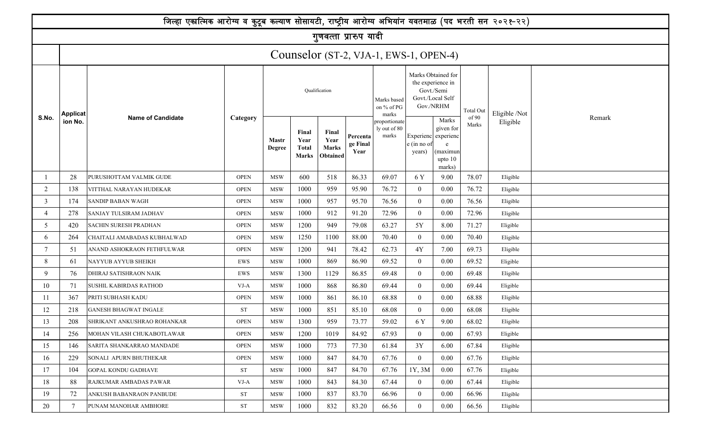|                |                 | जिल्हा एकात्मिक आरोग्य व कुटूब कल्याण सोसायटी, राष्ट्रीय आरोग्य अभियांन यवतमाळ (पद भरती सन २०२१-२२) |                    |                               |                                               |                                                  |                              |                                        |                                    |                                                                           |                  |               |        |
|----------------|-----------------|-----------------------------------------------------------------------------------------------------|--------------------|-------------------------------|-----------------------------------------------|--------------------------------------------------|------------------------------|----------------------------------------|------------------------------------|---------------------------------------------------------------------------|------------------|---------------|--------|
|                |                 |                                                                                                     |                    |                               |                                               | गुणवत्ता प्रारुप यादी                            |                              |                                        |                                    |                                                                           |                  |               |        |
|                |                 |                                                                                                     |                    |                               |                                               |                                                  |                              | Counselor (ST-2, VJA-1, EWS-1, OPEN-4) |                                    |                                                                           |                  |               |        |
|                | <b>Applicat</b> |                                                                                                     |                    |                               |                                               | Qualification                                    |                              | Marks based<br>on % of PG<br>marks     | Gov./NRHM                          | Marks Obtained for<br>the experience in<br>Govt./Semi<br>Govt./Local Self | <b>Total Out</b> | Eligible /Not |        |
| S.No.          | ion No.         | <b>Name of Candidate</b>                                                                            | Category           | <b>Mastr</b><br><b>Degree</b> | Final<br>Year<br><b>Total</b><br><b>Marks</b> | Final<br>Year<br><b>Marks</b><br><b>Obtained</b> | Percenta<br>ge Final<br>Year | proportionate<br>ly out of 80<br>marks | Experienc<br>e (in no of<br>years) | Marks<br>given for<br>experienc<br>(maximun<br>upto $10$<br>marks)        | of 90<br>Marks   | Eligible      | Remark |
|                | 28              | PURUSHOTTAM VALMIK GUDE                                                                             | Eligible           |                               |                                               |                                                  |                              |                                        |                                    |                                                                           |                  |               |        |
| $\overline{c}$ | 138             | VITTHAL NARAYAN HUDEKAR                                                                             | Eligible           |                               |                                               |                                                  |                              |                                        |                                    |                                                                           |                  |               |        |
| $\mathfrak{Z}$ | 174             | SANDIP BABAN WAGH                                                                                   | <b>OPEN</b>        | <b>MSW</b>                    | 1000                                          | 957                                              | 95.70                        | 76.56                                  | $\overline{0}$                     | 0.00                                                                      | 76.56            | Eligible      |        |
| 4              | 278             | SANJAY TULSIRAM JADHAV                                                                              | <b>OPEN</b>        | <b>MSW</b>                    | 1000                                          | 912                                              | 91.20                        | 72.96                                  | $\overline{0}$                     | 0.00                                                                      | 72.96            | Eligible      |        |
| 5              | 420             | <b>SACHIN SURESH PRADHAN</b>                                                                        | <b>OPEN</b>        | <b>MSW</b>                    | 1200                                          | 949                                              | 79.08                        | 63.27                                  | $5{\rm Y}$                         | 8.00                                                                      | 71.27            | Eligible      |        |
| 6              | 264             | CHAITALI AMABADAS KUBHALWAD                                                                         | <b>OPEN</b>        | <b>MSW</b>                    | 1250                                          | 1100                                             | 88.00                        | 70.40                                  | $\overline{0}$                     | 0.00                                                                      | 70.40            | Eligible      |        |
| 7              | 51              | ANAND ASHOKRAON FETHFULWAR                                                                          | <b>OPEN</b>        | <b>MSW</b>                    | 1200                                          | 941                                              | 78.42                        | 62.73                                  | 4Y                                 | 7.00                                                                      | 69.73            | Eligible      |        |
| 8              | 61              | NAYYUB AYYUB SHEIKH                                                                                 | EWS                | <b>MSW</b>                    | 1000                                          | 869                                              | 86.90                        | 69.52                                  | $\overline{0}$                     | 0.00                                                                      | 69.52            | Eligible      |        |
| 9              | 76              | DHIRAJ SATISHRAON NAIK                                                                              | EWS                | <b>MSW</b>                    | 1300                                          | 1129                                             | 86.85                        | 69.48                                  | $\overline{0}$                     | 0.00                                                                      | 69.48            | Eligible      |        |
| 10             | 71              | SUSHIL KABIRDAS RATHOD                                                                              | $VJ-A$             | <b>MSW</b>                    | 1000                                          | 868                                              | 86.80                        | 69.44                                  | $\overline{0}$                     | 0.00                                                                      | 69.44            | Eligible      |        |
| 11             | 367             | PRITI SUBHASH KADU                                                                                  | <b>OPEN</b>        | <b>MSW</b>                    | 1000                                          | 861                                              | 86.10                        | 68.88                                  | $\overline{0}$                     | 0.00                                                                      | 68.88            | Eligible      |        |
| 12             | 218             | <b>GANESH BHAGWAT INGALE</b>                                                                        | <b>ST</b>          | <b>MSW</b>                    | 1000                                          | 851                                              | 85.10                        | 68.08                                  | $\overline{0}$                     | 0.00                                                                      | 68.08            | Eligible      |        |
| 13             | 208             | SHRIKANT ANKUSHRAO ROHANKAR                                                                         | <b>OPEN</b>        | <b>MSW</b>                    | 1300                                          | 959                                              | 73.77                        | 59.02                                  | 6 Y                                | 9.00                                                                      | 68.02            | Eligible      |        |
| 14             | 256             | MOHAN VILASH CHUKABOTLAWAR                                                                          | <b>OPEN</b>        | <b>MSW</b>                    | 1200                                          | 1019                                             | 84.92                        | 67.93                                  | $\overline{0}$                     | 0.00                                                                      | 67.93            | Eligible      |        |
| 15             | 146             | SARITA SHANKARRAO MANDADE                                                                           | <b>OPEN</b>        | <b>MSW</b>                    | 1000                                          | 773                                              | 77.30                        | 61.84                                  | 3Y                                 | 6.00                                                                      | 67.84            | Eligible      |        |
| 16             | 229             | SONALI APURN BHUTHEKAR                                                                              | <b>OPEN</b>        | <b>MSW</b>                    | 1000                                          | 847                                              | 84.70                        | 67.76                                  | $\overline{0}$                     | 0.00                                                                      | 67.76            | Eligible      |        |
| 17             | 104             | <b>GOPAL KONDU GADHAVE</b>                                                                          | <b>ST</b>          | <b>MSW</b>                    | 1000                                          | 847                                              | 84.70                        | 67.76                                  | 1Y, 3M                             | 0.00                                                                      | 67.76            | Eligible      |        |
| 18             | 88              | RAJKUMAR AMBADAS PAWAR                                                                              | $VJ-A$             | <b>MSW</b>                    | 1000                                          | 843                                              | 84.30                        | 67.44                                  | $\boldsymbol{0}$                   | 0.00                                                                      | 67.44            | Eligible      |        |
| 19             | 72              | ANKUSH BABANRAON PANBUDE                                                                            | <b>ST</b>          | <b>MSW</b>                    | 1000                                          | 837                                              | 83.70                        | 66.96                                  | $\overline{0}$                     | 0.00                                                                      | 66.96            | Eligible      |        |
| 20             |                 | PUNAM MANOHAR AMBHORE                                                                               | ${\cal S}{\cal T}$ | $_{\rm MSW}$                  | 1000                                          | 832                                              | 83.20                        | 66.56                                  | $\overline{0}$                     | $0.00\,$                                                                  | 66.56            | Eligible      |        |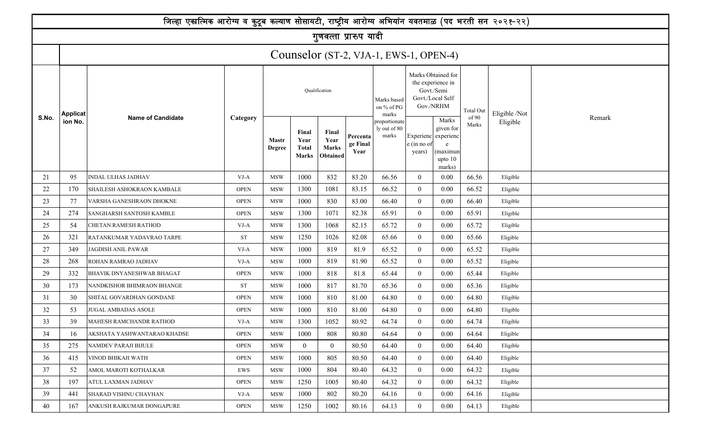|       |                 | जिल्हा एकात्मिक आरोग्य व कुटूब कल्याण सोसायटी, राष्ट्रीय आरोग्य अभियांन यवतमाळ (पद भरती सन २०२१-२२) |             |                        |                                               |                                                  |                              |                                        |                                    |                                                                                        |                  |               |        |
|-------|-----------------|-----------------------------------------------------------------------------------------------------|-------------|------------------------|-----------------------------------------------|--------------------------------------------------|------------------------------|----------------------------------------|------------------------------------|----------------------------------------------------------------------------------------|------------------|---------------|--------|
|       |                 |                                                                                                     |             |                        |                                               | गुणवत्ता प्रारुप यादी                            |                              |                                        |                                    |                                                                                        |                  |               |        |
|       |                 |                                                                                                     |             |                        |                                               |                                                  |                              | Counselor (ST-2, VJA-1, EWS-1, OPEN-4) |                                    |                                                                                        |                  |               |        |
|       | <b>Applicat</b> |                                                                                                     |             |                        |                                               | Qualification                                    |                              | Marks based<br>on % of PG<br>marks     |                                    | Marks Obtained for<br>the experience in<br>Govt./Semi<br>Govt./Local Self<br>Gov./NRHM | <b>Total Out</b> | Eligible /Not |        |
| S.No. | ion No.         | <b>Name of Candidate</b>                                                                            | Category    | <b>Mastr</b><br>Degree | Final<br>Year<br><b>Total</b><br><b>Marks</b> | Final<br>Year<br><b>Marks</b><br><b>Obtained</b> | Percenta<br>ge Final<br>Year | proportionate<br>ly out of 80<br>marks | Experienc<br>e (in no of<br>years) | Marks<br>given for<br>experienc<br>(maximun<br>upto 10<br>marks)                       | of 90<br>Marks   | Eligible      | Remark |
| 21    | 95              | <b>INDAL ULHAS JADHAV</b>                                                                           | Eligible    |                        |                                               |                                                  |                              |                                        |                                    |                                                                                        |                  |               |        |
| 22    | 170             | SHAILESH ASHOKRAON KAMBALE                                                                          | Eligible    |                        |                                               |                                                  |                              |                                        |                                    |                                                                                        |                  |               |        |
| 23    | 77              | VARSHA GANESHRAON DHOKNE                                                                            | <b>OPEN</b> | <b>MSW</b>             | 1000                                          | 830                                              | 83.00                        | 66.40                                  | $\overline{0}$                     | 0.00                                                                                   | 66.40            | Eligible      |        |
| 24    | 274             | SANGHARSH SANTOSH KAMBLE                                                                            | <b>OPEN</b> | <b>MSW</b>             | 1300                                          | 1071                                             | 82.38                        | 65.91                                  | $\overline{0}$                     | 0.00                                                                                   | 65.91            | Eligible      |        |
| 25    | 54              | CHETAN RAMESH RATHOD                                                                                | VJ-A        | <b>MSW</b>             | 1300                                          | 1068                                             | 82.15                        | 65.72                                  | $\overline{0}$                     | 0.00                                                                                   | 65.72            | Eligible      |        |
| 26    | 321             | RATANKUMAR YADAVRAO TARPE                                                                           | <b>ST</b>   | <b>MSW</b>             | 1250                                          | 1026                                             | 82.08                        | 65.66                                  | $\overline{0}$                     | 0.00                                                                                   | 65.66            | Eligible      |        |
| 27    | 349             | JAGDISH ANIL PAWAR                                                                                  | $VI-A$      | <b>MSW</b>             | 1000                                          | 819                                              | 81.9                         | 65.52                                  | $\overline{0}$                     | 0.00                                                                                   | 65.52            | Eligible      |        |
| 28    | 268             | ROHAN RAMRAO JADHAV                                                                                 | VJ-A        | <b>MSW</b>             | 1000                                          | 819                                              | 81.90                        | 65.52                                  | $\overline{0}$                     | 0.00                                                                                   | 65.52            | Eligible      |        |
| 29    | 332             | BHAVIK DNYANESHWAR BHAGAT                                                                           | <b>OPEN</b> | <b>MSW</b>             | 1000                                          | 818                                              | 81.8                         | 65.44                                  | $\overline{0}$                     | 0.00                                                                                   | 65.44            | Eligible      |        |
| 30    | 173             | NANDKISHOR BHIMRAON BHANGE                                                                          | <b>ST</b>   | <b>MSW</b>             | 1000                                          | 817                                              | 81.70                        | 65.36                                  | $\overline{0}$                     | 0.00                                                                                   | 65.36            | Eligible      |        |
| 31    | 30              | SHITAL GOVARDHAN GONDANE                                                                            | <b>OPEN</b> | <b>MSW</b>             | 1000                                          | 810                                              | 81.00                        | 64.80                                  | $\overline{0}$                     | 0.00                                                                                   | 64.80            | Eligible      |        |
| 32    | 53              | <b>JUGAL AMBADAS ASOLE</b>                                                                          | <b>OPEN</b> | <b>MSW</b>             | 1000                                          | 810                                              | 81.00                        | 64.80                                  | $\overline{0}$                     | 0.00                                                                                   | 64.80            | Eligible      |        |
| 33    | 39              | <b>MAHESH RAMCHANDR RATHOD</b>                                                                      | VJ-A        | <b>MSW</b>             | 1300                                          | 1052                                             | 80.92                        | 64.74                                  | $\overline{0}$                     | 0.00                                                                                   | 64.74            | Eligible      |        |
| 34    | 16              | AKSHATA YASHWANTARAO KHADSE                                                                         | <b>OPEN</b> | <b>MSW</b>             | 1000                                          | 808                                              | 80.80                        | 64.64                                  | $\overline{0}$                     | 0.00                                                                                   | 64.64            | Eligible      |        |
| 35    | 275             | NAMDEV PARAJI BIJULE                                                                                | <b>OPEN</b> | <b>MSW</b>             | $\overline{0}$                                | $\overline{0}$                                   | 80.50                        | 64.40                                  | $\overline{0}$                     | 0.00                                                                                   | 64.40            | Eligible      |        |
| 36    | 415             | VINOD BHIKAJI WATH                                                                                  | <b>OPEN</b> | MSW                    | 1000                                          | 805                                              | 80.50                        | 64.40                                  | $\boldsymbol{0}$                   | $0.00\,$                                                                               | 64.40            | Eligible      |        |
| 37    | 52              | AMOL MAROTI KOTHALKAR                                                                               | EWS         | <b>MSW</b>             | 1000                                          | 804                                              | 80.40                        | 64.32                                  | $\overline{0}$                     | 0.00                                                                                   | 64.32            | Eligible      |        |
| 38    | 197             | ATUL LAXMAN JADHAV                                                                                  | <b>OPEN</b> | <b>MSW</b>             | 1250                                          | 1005                                             | 80.40                        | 64.32                                  | $\boldsymbol{0}$                   | 0.00                                                                                   | 64.32            | Eligible      |        |
| 39    | 441             | SHARAD VISHNU CHAVHAN                                                                               | VJ-A        | <b>MSW</b>             | 1000                                          | 802                                              | 80.20                        | 64.16                                  | $\overline{0}$                     | 0.00                                                                                   | 64.16            | Eligible      |        |
| 40    | 167             | ANKUSH RAJKUMAR DONGAPURE                                                                           | <b>OPEN</b> | $_{\rm MSW}$           | 1250                                          | 1002                                             | 80.16                        | 64.13                                  | $\overline{0}$                     | $0.00\,$                                                                               | 64.13            | Eligible      |        |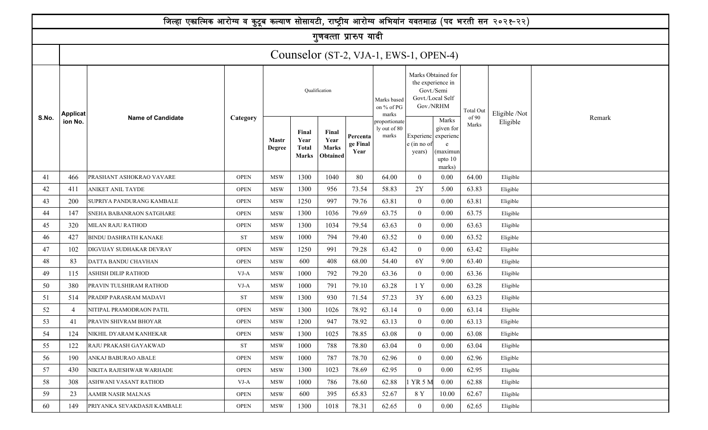|       |                 | जिल्हा एकात्मिक आरोग्य व कुटूब कल्याण सोसायटी, राष्ट्रीय आरोग्य अभियांन यवतमाळ (पद भरती सन २०२१-२२) |             |                        |                                               |                                                  |                              |                                        |                                    |                                                                    |                  |               |        |
|-------|-----------------|-----------------------------------------------------------------------------------------------------|-------------|------------------------|-----------------------------------------------|--------------------------------------------------|------------------------------|----------------------------------------|------------------------------------|--------------------------------------------------------------------|------------------|---------------|--------|
|       |                 |                                                                                                     |             |                        |                                               | गुणवत्ता प्रारुप यादी                            |                              |                                        |                                    |                                                                    |                  |               |        |
|       |                 |                                                                                                     |             |                        |                                               |                                                  |                              | Counselor (ST-2, VJA-1, EWS-1, OPEN-4) |                                    |                                                                    |                  |               |        |
|       | <b>Applicat</b> |                                                                                                     |             |                        |                                               | Qualification                                    |                              | Marks based<br>on % of PG<br>marks     | the experience in<br>Gov./NRHM     | Marks Obtained for<br>Govt./Semi<br>Govt./Local Self               | <b>Total Out</b> | Eligible /Not |        |
| S.No. | ion No.         | <b>Name of Candidate</b>                                                                            | Category    | <b>Mastr</b><br>Degree | Final<br>Year<br><b>Total</b><br><b>Marks</b> | Final<br>Year<br><b>Marks</b><br><b>Obtained</b> | Percenta<br>ge Final<br>Year | proportionate<br>ly out of 80<br>marks | Experienc<br>e (in no of<br>years) | Marks<br>given for<br>experienc<br>(maximun<br>upto $10$<br>marks) | of 90<br>Marks   | Eligible      | Remark |
| 41    | 466             | PRASHANT ASHOKRAO VAVARE                                                                            | Eligible    |                        |                                               |                                                  |                              |                                        |                                    |                                                                    |                  |               |        |
| 42    | 411             | ANIKET ANIL TAYDE                                                                                   | Eligible    |                        |                                               |                                                  |                              |                                        |                                    |                                                                    |                  |               |        |
| 43    | 200             | SUPRIYA PANDURANG KAMBALE                                                                           | <b>OPEN</b> | <b>MSW</b>             | 1250                                          | 997                                              | 79.76                        | 63.81                                  | $\overline{0}$                     | 0.00                                                               | 63.81            | Eligible      |        |
| 44    | 147             | SNEHA BABANRAON SATGHARE                                                                            | <b>OPEN</b> | <b>MSW</b>             | 1300                                          | 1036                                             | 79.69                        | 63.75                                  | $\overline{0}$                     | 0.00                                                               | 63.75            | Eligible      |        |
| 45    | 320             | MILAN RAJU RATHOD                                                                                   | <b>OPEN</b> | <b>MSW</b>             | 1300                                          | 1034                                             | 79.54                        | 63.63                                  | $\overline{0}$                     | 0.00                                                               | 63.63            | Eligible      |        |
| 46    | 427             | <b>BINDU DASHRATH KANAKE</b>                                                                        | <b>ST</b>   | <b>MSW</b>             | 1000                                          | 794                                              | 79.40                        | 63.52                                  | $\overline{0}$                     | 0.00                                                               | 63.52            | Eligible      |        |
| 47    | 102             | DIGVIJAY SUDHAKAR DEVRAY                                                                            | <b>OPEN</b> | <b>MSW</b>             | 1250                                          | 991                                              | 79.28                        | 63.42                                  | $\overline{0}$                     | 0.00                                                               | 63.42            | Eligible      |        |
| 48    | 83              | DATTA BANDU CHAVHAN                                                                                 | <b>OPEN</b> | <b>MSW</b>             | 600                                           | 408                                              | 68.00                        | 54.40                                  | 6Y                                 | 9.00                                                               | 63.40            | Eligible      |        |
| 49    | 115             | ASHISH DILIP RATHOD                                                                                 | $VI-A$      | <b>MSW</b>             | 1000                                          | 792                                              | 79.20                        | 63.36                                  | $\overline{0}$                     | 0.00                                                               | 63.36            | Eligible      |        |
| 50    | 380             | PRAVIN TULSHIRAM RATHOD                                                                             | $VJ-A$      | <b>MSW</b>             | 1000                                          | 791                                              | 79.10                        | 63.28                                  | $1\ \mathrm{Y}$                    | 0.00                                                               | 63.28            | Eligible      |        |
| 51    | 514             | PRADIP PARASRAM MADAVI                                                                              | <b>ST</b>   | <b>MSW</b>             | 1300                                          | 930                                              | 71.54                        | 57.23                                  | 3Y                                 | 6.00                                                               | 63.23            | Eligible      |        |
| 52    | $\overline{4}$  | NITIPAL PRAMODRAON PATIL                                                                            | <b>OPEN</b> | <b>MSW</b>             | 1300                                          | 1026                                             | 78.92                        | 63.14                                  | $\overline{0}$                     | 0.00                                                               | 63.14            | Eligible      |        |
| 53    | 41              | PRAVIN SHIVRAM BHOYAR                                                                               | <b>OPEN</b> | <b>MSW</b>             | 1200                                          | 947                                              | 78.92                        | 63.13                                  | $\overline{0}$                     | 0.00                                                               | 63.13            | Eligible      |        |
| 54    | 124             | NIKHIL DYARAM KANHEKAR                                                                              | <b>OPEN</b> | <b>MSW</b>             | 1300                                          | 1025                                             | 78.85                        | 63.08                                  | $\overline{0}$                     | 0.00                                                               | 63.08            | Eligible      |        |
| 55    | 122             | RAJU PRAKASH GAYAKWAD                                                                               | <b>ST</b>   | <b>MSW</b>             | 1000                                          | 788                                              | 78.80                        | 63.04                                  | $\overline{0}$                     | 0.00                                                               | 63.04            | Eligible      |        |
| 56    | 190             | ANKAJ BABURAO ABALE                                                                                 | <b>OPEN</b> | <b>MSW</b>             | 1000                                          | 787                                              | 78.70                        | 62.96                                  | $\overline{0}$                     | 0.00                                                               | 62.96            | Eligible      |        |
| 57    | 430             | NIKITA RAJESHWAR WARHADE                                                                            | <b>OPEN</b> | <b>MSW</b>             | 1300                                          | 1023                                             | 78.69                        | 62.95                                  | $\boldsymbol{0}$                   | 0.00                                                               | 62.95            | Eligible      |        |
| 58    | 308             | ASHWANI VASANT RATHOD                                                                               | VJ-A        | <b>MSW</b>             | 1000                                          | 786                                              | 78.60                        | 62.88                                  | 1 YR 5 M                           | 0.00                                                               | 62.88            | Eligible      |        |
| 59    | 23              | <b>AAMIR NASIR MALNAS</b>                                                                           | <b>OPEN</b> | <b>MSW</b>             | 600                                           | 395                                              | 65.83                        | 52.67                                  | 8 Y                                | 10.00                                                              | 62.67            | Eligible      |        |
| 60    | 149             | PRIYANKA SEVAKDASJI KAMBALE                                                                         | <b>OPEN</b> | $_{\rm MSW}$           | 1300                                          | 1018                                             | 78.31                        | 62.65                                  | $\overline{0}$                     | $0.00\,$                                                           | 62.65            | Eligible      |        |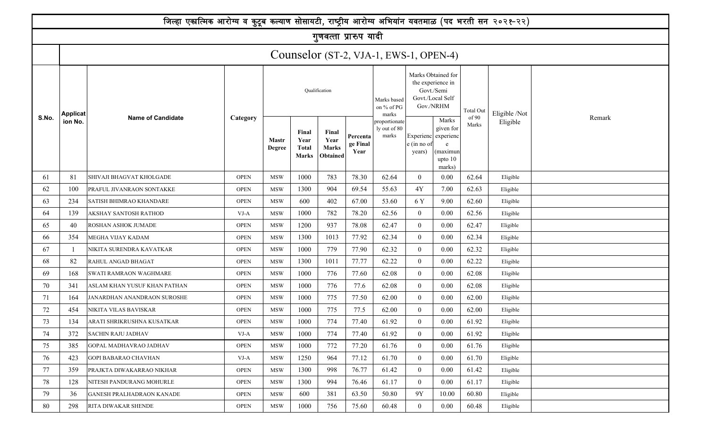|       |                            | जिल्हा एकात्मिक आरोग्य व कुटूब कल्याण सोसायटी, राष्ट्रीय आरोग्य अभियांन यवतमाळ (पद भरती सन २०२१-२२) |             |                        |                                               |                                                  |                              |                                        |                                    |                                                                                        |                  |               |        |
|-------|----------------------------|-----------------------------------------------------------------------------------------------------|-------------|------------------------|-----------------------------------------------|--------------------------------------------------|------------------------------|----------------------------------------|------------------------------------|----------------------------------------------------------------------------------------|------------------|---------------|--------|
|       |                            |                                                                                                     |             |                        |                                               | गुणवत्ता प्रारुप यादी                            |                              |                                        |                                    |                                                                                        |                  |               |        |
|       |                            |                                                                                                     |             |                        |                                               |                                                  |                              | Counselor (ST-2, VJA-1, EWS-1, OPEN-4) |                                    |                                                                                        |                  |               |        |
|       |                            |                                                                                                     |             |                        |                                               | Qualification                                    |                              | Marks based<br>on % of PG<br>marks     |                                    | Marks Obtained for<br>the experience in<br>Govt./Semi<br>Govt./Local Self<br>Gov./NRHM | <b>Total Out</b> | Eligible /Not |        |
| S.No. | <b>Applicat</b><br>ion No. | <b>Name of Candidate</b>                                                                            | Category    | <b>Mastr</b><br>Degree | Final<br>Year<br><b>Total</b><br><b>Marks</b> | Final<br>Year<br><b>Marks</b><br><b>Obtained</b> | Percenta<br>ge Final<br>Year | proportionate<br>ly out of 80<br>marks | Experienc<br>e (in no of<br>years) | Marks<br>given for<br>experienc<br>(maximun<br>upto $10$<br>marks)                     | of 90<br>Marks   | Eligible      | Remark |
| 61    | 81                         | SHIVAJI BHAGVAT KHOLGADE                                                                            | Eligible    |                        |                                               |                                                  |                              |                                        |                                    |                                                                                        |                  |               |        |
| 62    | 100                        | PRAFUL JIVANRAON SONTAKKE                                                                           | Eligible    |                        |                                               |                                                  |                              |                                        |                                    |                                                                                        |                  |               |        |
| 63    | 234                        | SATISH BHIMRAO KHANDARE                                                                             | <b>OPEN</b> | <b>MSW</b>             | 600                                           | 402                                              | 67.00                        | 53.60                                  | 6 Y                                | 9.00                                                                                   | 62.60            | Eligible      |        |
| 64    | 139                        | <b>AKSHAY SANTOSH RATHOD</b>                                                                        | $VJ-A$      | <b>MSW</b>             | 1000                                          | 782                                              | 78.20                        | 62.56                                  | $\overline{0}$                     | 0.00                                                                                   | 62.56            | Eligible      |        |
| 65    | 40                         | ROSHAN ASHOK JUMADE                                                                                 | <b>OPEN</b> | <b>MSW</b>             | 1200                                          | 937                                              | 78.08                        | 62.47                                  | $\overline{0}$                     | 0.00                                                                                   | 62.47            | Eligible      |        |
| 66    | 354                        | MEGHA VIJAY KADAM                                                                                   | <b>OPEN</b> | <b>MSW</b>             | 1300                                          | 1013                                             | 77.92                        | 62.34                                  | $\overline{0}$                     | 0.00                                                                                   | 62.34            | Eligible      |        |
| 67    |                            | NIKITA SURENDRA KAVATKAR                                                                            | <b>OPEN</b> | <b>MSW</b>             | 1000                                          | 779                                              | 77.90                        | 62.32                                  | $\overline{0}$                     | 0.00                                                                                   | 62.32            | Eligible      |        |
| 68    | 82                         | RAHUL ANGAD BHAGAT                                                                                  | <b>OPEN</b> | <b>MSW</b>             | 1300                                          | 1011                                             | 77.77                        | 62.22                                  | $\overline{0}$                     | 0.00                                                                                   | 62.22            | Eligible      |        |
| 69    | 168                        | SWATI RAMRAON WAGHMARE                                                                              | <b>OPEN</b> | <b>MSW</b>             | 1000                                          | 776                                              | 77.60                        | 62.08                                  | $\overline{0}$                     | 0.00                                                                                   | 62.08            | Eligible      |        |
| 70    | 341                        | ASLAM KHAN YUSUF KHAN PATHAN                                                                        | <b>OPEN</b> | <b>MSW</b>             | 1000                                          | 776                                              | 77.6                         | 62.08                                  | $\overline{0}$                     | 0.00                                                                                   | 62.08            | Eligible      |        |
| 71    | 164                        | JANARDHAN ANANDRAON SUROSHE                                                                         | <b>OPEN</b> | <b>MSW</b>             | 1000                                          | 775                                              | 77.50                        | 62.00                                  | $\overline{0}$                     | 0.00                                                                                   | 62.00            | Eligible      |        |
| 72    | 454                        | NIKITA VILAS BAVISKAR                                                                               | <b>OPEN</b> | <b>MSW</b>             | 1000                                          | 775                                              | 77.5                         | 62.00                                  | $\overline{0}$                     | 0.00                                                                                   | 62.00            | Eligible      |        |
| 73    | 134                        | ARATI SHRIKRUSHNA KUSATKAR                                                                          | <b>OPEN</b> | <b>MSW</b>             | 1000                                          | 774                                              | 77.40                        | 61.92                                  | $\theta$                           | 0.00                                                                                   | 61.92            | Eligible      |        |
| 74    | 372                        | <b>SACHIN RAJU JADHAV</b>                                                                           | VJ-A        | <b>MSW</b>             | 1000                                          | 774                                              | 77.40                        | 61.92                                  | $\overline{0}$                     | 0.00                                                                                   | 61.92            | Eligible      |        |
| 75    | 385                        | GOPAL MADHAVRAO JADHAV                                                                              | <b>OPEN</b> | <b>MSW</b>             | 1000                                          | 772                                              | 77.20                        | 61.76                                  | $\overline{0}$                     | 0.00                                                                                   | 61.76            | Eligible      |        |
| 76    | 423                        | GOPI BABARAO CHAVHAN                                                                                | $VI-A$      | <b>MSW</b>             | 1250                                          | 964                                              | 77.12                        | 61.70                                  | $\boldsymbol{0}$                   | 0.00                                                                                   | 61.70            | Eligible      |        |
| 77    | 359                        | PRAJKTA DIWAKARRAO NIKHAR                                                                           | <b>OPEN</b> | <b>MSW</b>             | 1300                                          | 998                                              | 76.77                        | 61.42                                  | $\overline{0}$                     | 0.00                                                                                   | 61.42            | Eligible      |        |
| 78    | 128                        | NITESH PANDURANG MOHURLE                                                                            | <b>OPEN</b> | <b>MSW</b>             | 1300                                          | 994                                              | 76.46                        | 61.17                                  | $\boldsymbol{0}$                   | 0.00                                                                                   | 61.17            | Eligible      |        |
| 79    | 36                         | <b>GANESH PRALHADRAON KANADE</b>                                                                    | <b>OPEN</b> | <b>MSW</b>             | 600                                           | 381                                              | 63.50                        | 50.80                                  | 9Y                                 | 10.00                                                                                  | 60.80            | Eligible      |        |
| 80    | 298                        | RITA DIWAKAR SHENDE                                                                                 | <b>OPEN</b> | $_{\rm MSW}$           | 1000                                          | 756                                              | 75.60                        | 60.48                                  | $\overline{0}$                     | $0.00\,$                                                                               | 60.48            | Eligible      |        |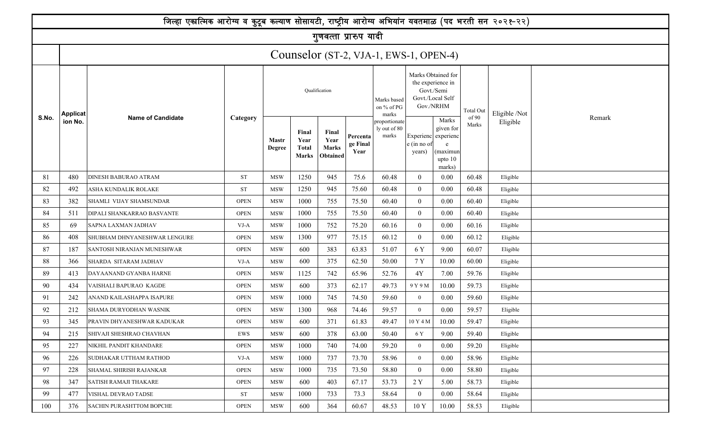|       |                 | जिल्हा एकात्मिक आरोग्य व कुटूब कल्याण सोसायटी, राष्ट्रीय आरोग्य अभियांन यवतमाळ (पद भरती सन २०२१-२२) |             |                        |                                               |                                                  |                              |                                        |                       |                                                                                        |                  |               |        |
|-------|-----------------|-----------------------------------------------------------------------------------------------------|-------------|------------------------|-----------------------------------------------|--------------------------------------------------|------------------------------|----------------------------------------|-----------------------|----------------------------------------------------------------------------------------|------------------|---------------|--------|
|       |                 |                                                                                                     |             |                        |                                               | गुणवत्ता प्रारुप यादी                            |                              |                                        |                       |                                                                                        |                  |               |        |
|       |                 |                                                                                                     |             |                        |                                               |                                                  |                              | Counselor (ST-2, VJA-1, EWS-1, OPEN-4) |                       |                                                                                        |                  |               |        |
|       | <b>Applicat</b> |                                                                                                     |             |                        |                                               | Qualification                                    |                              | Marks based<br>on % of PG<br>marks     |                       | Marks Obtained for<br>the experience in<br>Govt./Semi<br>Govt./Local Self<br>Gov./NRHM | <b>Total Out</b> | Eligible /Not |        |
| S.No. | ion No.         | <b>Name of Candidate</b>                                                                            | Category    | <b>Mastr</b><br>Degree | Final<br>Year<br><b>Total</b><br><b>Marks</b> | Final<br>Year<br><b>Marks</b><br><b>Obtained</b> | Percenta<br>ge Final<br>Year | proportionate<br>ly out of 80<br>marks | e (in no of<br>years) | Marks<br>given for<br>Experienc experienc<br>(maximun<br>upto 10<br>marks)             | of 90<br>Marks   | Eligible      | Remark |
| 81    | 480             | <b>DINESH BABURAO ATRAM</b>                                                                         | Eligible    |                        |                                               |                                                  |                              |                                        |                       |                                                                                        |                  |               |        |
| 82    | 492             | ASHA KUNDALIK ROLAKE                                                                                | Eligible    |                        |                                               |                                                  |                              |                                        |                       |                                                                                        |                  |               |        |
| 83    | 382             | SHAMLI VIJAY SHAMSUNDAR                                                                             | <b>OPEN</b> | <b>MSW</b>             | 1000                                          | 755                                              | 75.50                        | 60.40                                  | $\overline{0}$        | 0.00                                                                                   | 60.40            | Eligible      |        |
| 84    | 511             | DIPALI SHANKARRAO BASVANTE                                                                          | <b>OPEN</b> | <b>MSW</b>             | 1000                                          | 755                                              | 75.50                        | 60.40                                  | $\overline{0}$        | 0.00                                                                                   | 60.40            | Eligible      |        |
| 85    | 69              | SAPNA LAXMAN JADHAV                                                                                 | $VJ-A$      | <b>MSW</b>             | 1000                                          | 752                                              | 75.20                        | 60.16                                  | $\overline{0}$        | 0.00                                                                                   | 60.16            | Eligible      |        |
| 86    | 408             | SHUBHAM DHNYANESHWAR LENGURE                                                                        | <b>OPEN</b> | <b>MSW</b>             | 1300                                          | 977                                              | 75.15                        | 60.12                                  | $\overline{0}$        | 0.00                                                                                   | 60.12            | Eligible      |        |
| 87    | 187             | SANTOSH NIRANJAN MUNESHWAR                                                                          | <b>OPEN</b> | <b>MSW</b>             | 600                                           | 383                                              | 63.83                        | 51.07                                  | 6 Y                   | 9.00                                                                                   | 60.07            | Eligible      |        |
| 88    | 366             | SHARDA  SITARAM JADHAV                                                                              | VJ-A        | <b>MSW</b>             | 600                                           | 375                                              | 62.50                        | 50.00                                  | 7 Y                   | 10.00                                                                                  | 60.00            | Eligible      |        |
| 89    | 413             | DAYAANAND GYANBA HARNE                                                                              | <b>OPEN</b> | <b>MSW</b>             | 1125                                          | 742                                              | 65.96                        | 52.76                                  | 4Y                    | 7.00                                                                                   | 59.76            | Eligible      |        |
| 90    | 434             | VAISHALI BAPURAO KAGDE                                                                              | <b>OPEN</b> | <b>MSW</b>             | 600                                           | 373                                              | 62.17                        | 49.73                                  | 9 Y 9 M               | 10.00                                                                                  | 59.73            | Eligible      |        |
| 91    | 242             | ANAND KAILASHAPPA ISAPURE                                                                           | <b>OPEN</b> | <b>MSW</b>             | 1000                                          | 745                                              | 74.50                        | 59.60                                  | $\mathbf{0}$          | 0.00                                                                                   | 59.60            | Eligible      |        |
| 92    | 212             | SHAMA DURYODHAN WASNIK                                                                              | <b>OPEN</b> | <b>MSW</b>             | 1300                                          | 968                                              | 74.46                        | 59.57                                  | $\boldsymbol{0}$      | 0.00                                                                                   | 59.57            | Eligible      |        |
| 93    | 345             | PRAVIN DHYANESHWAR KADUKAR                                                                          | <b>OPEN</b> | <b>MSW</b>             | 600                                           | 371                                              | 61.83                        | 49.47                                  | 10 Y 4 M              | 10.00                                                                                  | 59.47            | Eligible      |        |
| 94    | 215             | SHIVAJI SHESHRAO CHAVHAN                                                                            | EWS         | <b>MSW</b>             | 600                                           | 378                                              | 63.00                        | 50.40                                  | 6 Y                   | 9.00                                                                                   | 59.40            | Eligible      |        |
| 95    | 227             | NIKHIL PANDIT KHANDARE                                                                              | <b>OPEN</b> | <b>MSW</b>             | 1000                                          | 740                                              | 74.00                        | 59.20                                  | $\overline{0}$        | 0.00                                                                                   | 59.20            | Eligible      |        |
| 96    | 226             | SUDHAKAR UTTHAM RATHOD                                                                              | $VI-A$      | <b>MSW</b>             | 1000                                          | 737                                              | 73.70                        | 58.96                                  | $\overline{0}$        | 0.00                                                                                   | 58.96            | Eligible      |        |
| 97    | 228             | SHAMAL SHIRISH RAJANKAR                                                                             | <b>OPEN</b> | <b>MSW</b>             | 1000                                          | 735                                              | 73.50                        | 58.80                                  | $\overline{0}$        | 0.00                                                                                   | 58.80            | Eligible      |        |
| 98    | 347             | SATISH RAMAJI THAKARE                                                                               | <b>OPEN</b> | <b>MSW</b>             | 600                                           | 403                                              | 67.17                        | 53.73                                  | 2 Y                   | 5.00                                                                                   | 58.73            | Eligible      |        |
| 99    | 477             | VISHAL DEVRAO TADSE                                                                                 | <b>ST</b>   | <b>MSW</b>             | 1000                                          | 733                                              | 73.3                         | 58.64                                  | $\overline{0}$        | 0.00                                                                                   | 58.64            | Eligible      |        |
| 100   | 376             | <b>SACHIN PURASHTTOM BOPCHE</b>                                                                     | <b>OPEN</b> | $_{\rm MSW}$           | 600                                           | 364                                              | 60.67                        | 48.53                                  | 10 Y                  | 10.00                                                                                  | 58.53            | Eligible      |        |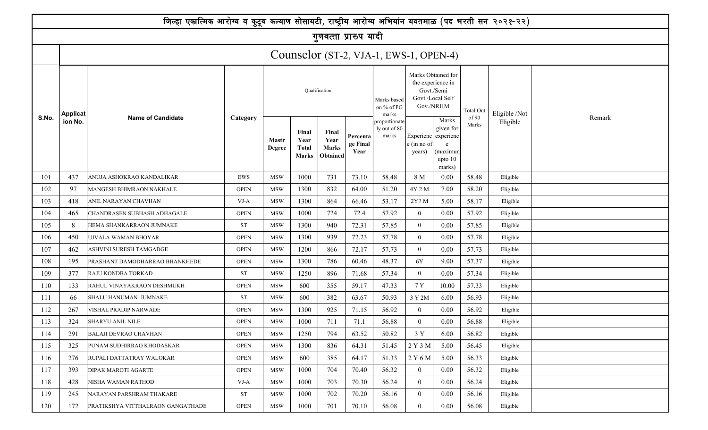|       |                                                                                                                                                                                                                            | जिल्हा एकात्मिक आरोग्य व कुटूब कल्याण सोसायटी, राष्ट्रीय आरोग्य अभियांन यवतमाळ (पद भरती सन २०२१-२२) |             |                        |                                               |                                                  |                              |                                        |                                    |                                                                                        |                |               |        |  |
|-------|----------------------------------------------------------------------------------------------------------------------------------------------------------------------------------------------------------------------------|-----------------------------------------------------------------------------------------------------|-------------|------------------------|-----------------------------------------------|--------------------------------------------------|------------------------------|----------------------------------------|------------------------------------|----------------------------------------------------------------------------------------|----------------|---------------|--------|--|
|       |                                                                                                                                                                                                                            |                                                                                                     |             |                        |                                               | गुणवत्ता प्रारुप यादी                            |                              |                                        |                                    |                                                                                        |                |               |        |  |
|       |                                                                                                                                                                                                                            |                                                                                                     |             |                        |                                               |                                                  |                              | Counselor (ST-2, VJA-1, EWS-1, OPEN-4) |                                    |                                                                                        |                |               |        |  |
|       |                                                                                                                                                                                                                            |                                                                                                     |             |                        |                                               | Qualification                                    |                              | Marks based<br>on % of PG<br>marks     |                                    | Marks Obtained for<br>the experience in<br>Govt./Semi<br>Govt./Local Self<br>Gov./NRHM | Total Out      | Eligible /Not |        |  |
| S.No. | <b>Applicat</b><br>ion No.                                                                                                                                                                                                 | <b>Name of Candidate</b>                                                                            | Category    | <b>Mastr</b><br>Degree | Final<br>Year<br><b>Total</b><br><b>Marks</b> | Final<br>Year<br><b>Marks</b><br><b>Obtained</b> | Percenta<br>ge Final<br>Year | proportionate<br>ly out of 80<br>marks | Experienc<br>e (in no of<br>years) | Marks<br>given for<br>experienc<br>(maximun<br>upto $10$<br>marks)                     | of 90<br>Marks | Eligible      | Remark |  |
| 101   | 437                                                                                                                                                                                                                        |                                                                                                     |             |                        |                                               |                                                  |                              |                                        |                                    |                                                                                        |                |               |        |  |
| 102   | 4Y 2 M<br>7.00<br>97<br>1300<br>832<br>64.00<br>51.20<br>58.20<br><b>OPEN</b><br><b>MSW</b><br>MANGESH BHIMRAON NAKHALE<br>Eligible<br>1300<br>2Y7 M<br>418<br>864<br>5.00<br><b>MSW</b><br>ANIL NARAYAN CHAVHAN<br>$VI-A$ |                                                                                                     |             |                        |                                               |                                                  |                              |                                        |                                    |                                                                                        |                |               |        |  |
| 103   |                                                                                                                                                                                                                            |                                                                                                     |             |                        |                                               |                                                  | 66.46                        | 53.17                                  |                                    |                                                                                        | 58.17          | Eligible      |        |  |
| 104   | 465                                                                                                                                                                                                                        | CHANDRASEN SUBHASH ADHAGALE                                                                         | <b>OPEN</b> | <b>MSW</b>             | 1000                                          | 724                                              | 72.4                         | 57.92                                  | $\overline{0}$                     | 0.00                                                                                   | 57.92          | Eligible      |        |  |
| 105   | 8                                                                                                                                                                                                                          | HEMA SHANKARRAON JUMNAKE                                                                            | ST          | <b>MSW</b>             | 1300                                          | 940                                              | 72.31                        | 57.85                                  | $\overline{0}$                     | 0.00                                                                                   | 57.85          | Eligible      |        |  |
| 106   | 450                                                                                                                                                                                                                        | UJVALA WAMAN BHOYAR                                                                                 | <b>OPEN</b> | <b>MSW</b>             | 1300                                          | 939                                              | 72.23                        | 57.78                                  | $\overline{0}$                     | 0.00                                                                                   | 57.78          | Eligible      |        |  |
| 107   | 462                                                                                                                                                                                                                        | ASHVINI SURESH TAMGADGE                                                                             | <b>OPEN</b> | <b>MSW</b>             | 1200                                          | 866                                              | 72.17                        | 57.73                                  | $\overline{0}$                     | 0.00                                                                                   | 57.73          | Eligible      |        |  |
| 108   | 195                                                                                                                                                                                                                        | PRASHANT DAMODHARRAO BHANKHEDE                                                                      | <b>OPEN</b> | <b>MSW</b>             | 1300                                          | 786                                              | 60.46                        | 48.37                                  | $6{\rm Y}$                         | 9.00                                                                                   | 57.37          | Eligible      |        |  |
| 109   | 377                                                                                                                                                                                                                        | RAJU KONDBA TORKAD                                                                                  | <b>ST</b>   | <b>MSW</b>             | 1250                                          | 896                                              | 71.68                        | 57.34                                  | $\overline{0}$                     | 0.00                                                                                   | 57.34          | Eligible      |        |  |
| 110   | 133                                                                                                                                                                                                                        | RAHUL VINAYAKRAON DESHMUKH                                                                          | <b>OPEN</b> | <b>MSW</b>             | 600                                           | 355                                              | 59.17                        | 47.33                                  | 7 Y                                | 10.00                                                                                  | 57.33          | Eligible      |        |  |
| 111   | 66                                                                                                                                                                                                                         | SHALU HANUMAN JUMNAKE                                                                               | <b>ST</b>   | <b>MSW</b>             | 600                                           | 382                                              | 63.67                        | 50.93                                  | 3 Y 2M                             | 6.00                                                                                   | 56.93          | Eligible      |        |  |
| 112   | 267                                                                                                                                                                                                                        | VISHAL PRADIP NARWADE                                                                               | <b>OPEN</b> | <b>MSW</b>             | 1300                                          | 925                                              | 71.15                        | 56.92                                  | $\overline{0}$                     | $0.00\,$                                                                               | 56.92          | Eligible      |        |  |
| 113   | 324                                                                                                                                                                                                                        | <b>SHARYU ANIL NILE</b>                                                                             | <b>OPEN</b> | <b>MSW</b>             | 1000                                          | 711                                              | 71.1                         | 56.88                                  | $\theta$                           | 0.00                                                                                   | 56.88          | Eligible      |        |  |
| 114   | 291                                                                                                                                                                                                                        | <b>BALAJI DEVRAO CHAVHAN</b>                                                                        | <b>OPEN</b> | <b>MSW</b>             | 1250                                          | 794                                              | 63.52                        | 50.82                                  | 3 Y                                | 6.00                                                                                   | 56.82          | Eligible      |        |  |
| 115   | 325                                                                                                                                                                                                                        | PUNAM SUDHIRRAO KHODASKAR                                                                           | <b>OPEN</b> | <b>MSW</b>             | 1300                                          | 836                                              | 64.31                        | 51.45                                  | 2 Y 3 M                            | 5.00                                                                                   | 56.45          | Eligible      |        |  |
| 116   | 276                                                                                                                                                                                                                        | RUPALI DATTATRAY WALOKAR                                                                            | <b>OPEN</b> | <b>MSW</b>             | 600                                           | 385                                              | 64.17                        | 51.33                                  | 2 Y 6 M                            | 5.00                                                                                   | 56.33          | Eligible      |        |  |
| 117   | 393                                                                                                                                                                                                                        | DIPAK MAROTI AGARTE                                                                                 | <b>OPEN</b> | <b>MSW</b>             | 1000                                          | 704                                              | 70.40                        | 56.32                                  | $\overline{0}$                     | 0.00                                                                                   | 56.32          | Eligible      |        |  |
| 118   | 428                                                                                                                                                                                                                        | NISHA WAMAN RATHOD                                                                                  | VJ-A        | <b>MSW</b>             | 1000                                          | 703                                              | 70.30                        | 56.24                                  | $\boldsymbol{0}$                   | 0.00                                                                                   | 56.24          | Eligible      |        |  |
| 119   | 245                                                                                                                                                                                                                        | NARAYAN PARSHRAM THAKARE                                                                            | <b>ST</b>   | <b>MSW</b>             | 1000                                          | 702                                              | 70.20                        | 56.16                                  | $\overline{0}$                     | 0.00                                                                                   | 56.16          | Eligible      |        |  |
| 120   | 172                                                                                                                                                                                                                        | PRATIKSHYA VITTHALRAON GANGATHADE                                                                   | <b>OPEN</b> | <b>MSW</b>             | 1000                                          | 701                                              | 70.10                        | 56.08                                  | $\overline{0}$                     | $0.00\,$                                                                               | 56.08          | Eligible      |        |  |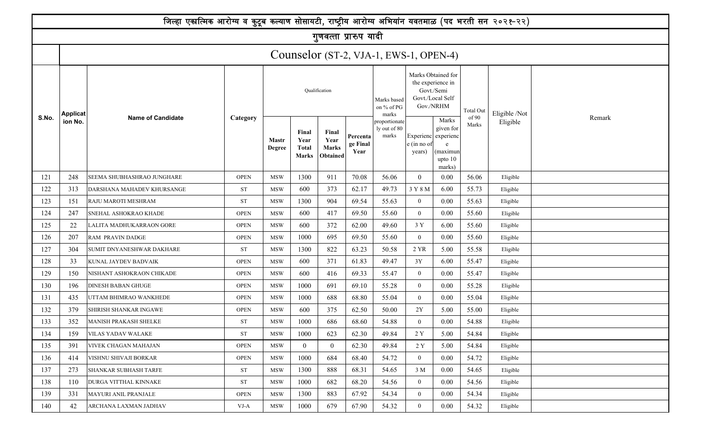|       |                 | जिल्हा एकात्मिक आरोग्य व कुटूब कल्याण सोसायटी, राष्ट्रीय आरोग्य अभियांन यवतमाळ (पद भरती सन २०२१-२२) |             |                        |                                               |                                                  |                              |                                        |                                    |                                                                                        |                  |               |        |
|-------|-----------------|-----------------------------------------------------------------------------------------------------|-------------|------------------------|-----------------------------------------------|--------------------------------------------------|------------------------------|----------------------------------------|------------------------------------|----------------------------------------------------------------------------------------|------------------|---------------|--------|
|       |                 |                                                                                                     |             |                        |                                               | गुणवत्ता प्रारुप यादी                            |                              |                                        |                                    |                                                                                        |                  |               |        |
|       |                 |                                                                                                     |             |                        |                                               |                                                  |                              | Counselor (ST-2, VJA-1, EWS-1, OPEN-4) |                                    |                                                                                        |                  |               |        |
|       | <b>Applicat</b> |                                                                                                     |             |                        |                                               | Qualification                                    |                              | Marks based<br>on % of PG<br>marks     |                                    | Marks Obtained for<br>the experience in<br>Govt./Semi<br>Govt./Local Self<br>Gov./NRHM | <b>Total Out</b> | Eligible /Not |        |
| S.No. | ion No.         | <b>Name of Candidate</b>                                                                            | Category    | <b>Mastr</b><br>Degree | Final<br>Year<br><b>Total</b><br><b>Marks</b> | Final<br>Year<br><b>Marks</b><br><b>Obtained</b> | Percenta<br>ge Final<br>Year | proportionate<br>ly out of 80<br>marks | Experienc<br>e (in no of<br>years) | Marks<br>given for<br>experienc<br>(maximun<br>upto $10$<br>marks)                     | of 90<br>Marks   | Eligible      | Remark |
| 121   | 248             | SEEMA SHUBHASHRAO JUNGHARE                                                                          | Eligible    |                        |                                               |                                                  |                              |                                        |                                    |                                                                                        |                  |               |        |
| 122   | 313             | DARSHANA MAHADEV KHURSANGE                                                                          | Eligible    |                        |                                               |                                                  |                              |                                        |                                    |                                                                                        |                  |               |        |
| 123   | 151             | RAJU MAROTI MESHRAM                                                                                 | <b>ST</b>   | <b>MSW</b>             | 1300                                          | 904                                              | 69.54                        | 55.63                                  | $\overline{0}$                     | 0.00                                                                                   | 55.63            | Eligible      |        |
| 124   | 247             | SNEHAL ASHOKRAO KHADE                                                                               | <b>OPEN</b> | <b>MSW</b>             | 600                                           | 417                                              | 69.50                        | 55.60                                  | $\overline{0}$                     | 0.00                                                                                   | 55.60            | Eligible      |        |
| 125   | 22              | LALITA MADHUKARRAON GORE                                                                            | <b>OPEN</b> | <b>MSW</b>             | 600                                           | 372                                              | 62.00                        | 49.60                                  | 3 Y                                | 6.00                                                                                   | 55.60            | Eligible      |        |
| 126   | 207             | RAM PRAVIN DADGE                                                                                    | <b>OPEN</b> | <b>MSW</b>             | 1000                                          | 695                                              | 69.50                        | 55.60                                  | $\overline{0}$                     | 0.00                                                                                   | 55.60            | Eligible      |        |
| 127   | 304             | SUMIT DNYANESHWAR DAKHARE                                                                           | ST          | <b>MSW</b>             | 1300                                          | 822                                              | 63.23                        | 50.58                                  | 2 YR                               | 5.00                                                                                   | 55.58            | Eligible      |        |
| 128   | 33              | KUNAL JAYDEV BADVAIK                                                                                | <b>OPEN</b> | <b>MSW</b>             | 600                                           | 371                                              | 61.83                        | 49.47                                  | 3Y                                 | 6.00                                                                                   | 55.47            | Eligible      |        |
| 129   | 150             | NISHANT ASHOKRAON CHIKADE                                                                           | <b>OPEN</b> | <b>MSW</b>             | 600                                           | 416                                              | 69.33                        | 55.47                                  | $\mathbf{0}$                       | 0.00                                                                                   | 55.47            | Eligible      |        |
| 130   | 196             | <b>DINESH BABAN GHUGE</b>                                                                           | <b>OPEN</b> | <b>MSW</b>             | 1000                                          | 691                                              | 69.10                        | 55.28                                  | $\overline{0}$                     | 0.00                                                                                   | 55.28            | Eligible      |        |
| 131   | 435             | UTTAM BHIMRAO WANKHEDE                                                                              | <b>OPEN</b> | <b>MSW</b>             | 1000                                          | 688                                              | 68.80                        | 55.04                                  | $\mathbf{0}$                       | 0.00                                                                                   | 55.04            | Eligible      |        |
| 132   | 379             | SHIRISH SHANKAR INGAWE                                                                              | <b>OPEN</b> | <b>MSW</b>             | 600                                           | 375                                              | 62.50                        | 50.00                                  | 2Y                                 | 5.00                                                                                   | 55.00            | Eligible      |        |
| 133   | 352             | MANISH PRAKASH SHELKE                                                                               | <b>ST</b>   | <b>MSW</b>             | 1000                                          | 686                                              | 68.60                        | 54.88                                  | $\Omega$                           | 0.00                                                                                   | 54.88            | Eligible      |        |
| 134   | 159             | VILAS YADAV WALAKE                                                                                  | <b>ST</b>   | <b>MSW</b>             | 1000                                          | 623                                              | 62.30                        | 49.84                                  | 2 Y                                | 5.00                                                                                   | 54.84            | Eligible      |        |
| 135   | 391             | VIVEK CHAGAN MAHAJAN                                                                                | <b>OPEN</b> | <b>MSW</b>             | $\overline{0}$                                | $\overline{0}$                                   | 62.30                        | 49.84                                  | 2 Y                                | 5.00                                                                                   | 54.84            | Eligible      |        |
| 136   | 414             | VISHNU SHIVAJI BORKAR                                                                               | <b>OPEN</b> | <b>MSW</b>             | 1000                                          | 684                                              | 68.40                        | 54.72                                  | $\overline{0}$                     | 0.00                                                                                   | 54.72            | Eligible      |        |
| 137   | 273             | SHANKAR SUBHASH TARFE                                                                               | ST          | <b>MSW</b>             | 1300                                          | 888                                              | 68.31                        | 54.65                                  | 3 M                                | 0.00                                                                                   | 54.65            | Eligible      |        |
| 138   | 110             | DURGA VITTHAL KINNAKE                                                                               | <b>ST</b>   | <b>MSW</b>             | 1000                                          | 682                                              | 68.20                        | 54.56                                  | $\overline{0}$                     | 0.00                                                                                   | 54.56            | Eligible      |        |
| 139   | 331             | <b>MAYURI ANIL PRANJALE</b>                                                                         | <b>OPEN</b> | <b>MSW</b>             | 1300                                          | 883                                              | 67.92                        | 54.34                                  | $\overline{0}$                     | 0.00                                                                                   | 54.34            | Eligible      |        |
| 140   | 42              | ARCHANA LAXMAN JADHAV                                                                               | VJ-A        | $_{\rm MSW}$           | 1000                                          | 679                                              | 67.90                        | 54.32                                  | $\overline{0}$                     | $0.00\,$                                                                               | 54.32            | Eligible      |        |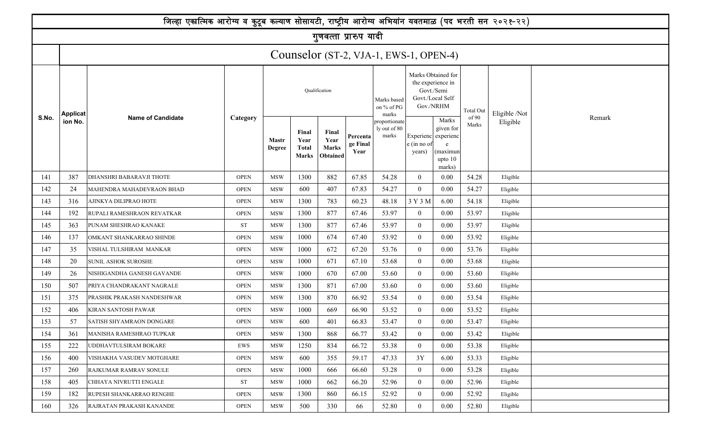|       |                 | जिल्हा एकात्मिक आरोग्य व कुटूब कल्याण सोसायटी, राष्ट्रीय आरोग्य अभियांन यवतमाळ (पद भरती सन २०२१-२२) |             |                               |                                               |                                                  |                              |                                        |                                                                                        |                                                                         |                |               |        |
|-------|-----------------|-----------------------------------------------------------------------------------------------------|-------------|-------------------------------|-----------------------------------------------|--------------------------------------------------|------------------------------|----------------------------------------|----------------------------------------------------------------------------------------|-------------------------------------------------------------------------|----------------|---------------|--------|
|       |                 |                                                                                                     |             |                               |                                               | गुणवत्ता प्रारुप यादी                            |                              |                                        |                                                                                        |                                                                         |                |               |        |
|       |                 |                                                                                                     |             |                               |                                               |                                                  |                              | Counselor (ST-2, VJA-1, EWS-1, OPEN-4) |                                                                                        |                                                                         |                |               |        |
|       | <b>Applicat</b> |                                                                                                     |             |                               |                                               | Qualification                                    |                              | Marks based<br>on % of PG<br>marks     | Marks Obtained for<br>the experience in<br>Govt./Semi<br>Govt./Local Self<br>Gov./NRHM |                                                                         | Total Out      | Eligible /Not |        |
| S.No. | ion No.         | <b>Name of Candidate</b>                                                                            | Category    | <b>Mastr</b><br><b>Degree</b> | Final<br>Year<br><b>Total</b><br><b>Marks</b> | Final<br>Year<br><b>Marks</b><br><b>Obtained</b> | Percenta<br>ge Final<br>Year | proportionate<br>ly out of 80<br>marks | Experienc<br>e (in no of<br>years)                                                     | Marks<br>given for<br>experienc<br>e<br>(maximun<br>upto $10$<br>marks) | of 90<br>Marks | Eligible      | Remark |
| 141   | 387             | DHANSHRI BABARAVJI THOTE                                                                            | <b>OPEN</b> | <b>MSW</b>                    | 1300                                          | 882                                              | 67.85                        | 54.28                                  | $\overline{0}$                                                                         | 0.00                                                                    | 54.28          | Eligible      |        |
| 142   | 24              | MAHENDRA MAHADEVRAON BHAD                                                                           | <b>OPEN</b> | <b>MSW</b>                    | 600                                           | 407                                              | 67.83                        | 54.27                                  | $\overline{0}$                                                                         | 0.00                                                                    | 54.27          | Eligible      |        |
| 143   | 316             | AJINKYA DILIPRAO HOTE                                                                               | <b>OPEN</b> | <b>MSW</b>                    | 1300                                          | 783                                              | 60.23                        | 48.18                                  | 3 Y 3 M                                                                                | 6.00                                                                    | 54.18          | Eligible      |        |
| 144   | 192             | RUPALI RAMESHRAON REVATKAR                                                                          | <b>OPEN</b> | <b>MSW</b>                    | 1300                                          | 877                                              | 67.46                        | 53.97                                  | $\theta$                                                                               | 0.00                                                                    | 53.97          | Eligible      |        |
| 145   | 363             | PUNAM SHESHRAO KANAKE                                                                               | <b>ST</b>   | <b>MSW</b>                    | 1300                                          | 877                                              | 67.46                        | 53.97                                  | $\overline{0}$                                                                         | 0.00                                                                    | 53.97          | Eligible      |        |
| 146   | 137             | OMKANT SHANKARRAO SHINDE                                                                            | <b>OPEN</b> | <b>MSW</b>                    | 1000                                          | 674                                              | 67.40                        | 53.92                                  | $\theta$                                                                               | 0.00                                                                    | 53.92          | Eligible      |        |
| 147   | 35              | VISHAL TULSHIRAM MANKAR                                                                             | <b>OPEN</b> | <b>MSW</b>                    | 1000                                          | 672                                              | 67.20                        | 53.76                                  | $\overline{0}$                                                                         | 0.00                                                                    | 53.76          | Eligible      |        |
| 148   | 20              | SUNIL ASHOK SUROSHE                                                                                 | <b>OPEN</b> | <b>MSW</b>                    | 1000                                          | 671                                              | 67.10                        | 53.68                                  | $\overline{0}$                                                                         | 0.00                                                                    | 53.68          | Eligible      |        |
| 149   | 26              | NISHIGANDHA GANESH GAVANDE                                                                          | <b>OPEN</b> | <b>MSW</b>                    | 1000                                          | 670                                              | 67.00                        | 53.60                                  | $\mathbf{0}$                                                                           | 0.00                                                                    | 53.60          | Eligible      |        |
| 150   | 507             | PRIYA CHANDRAKANT NAGRALE                                                                           | <b>OPEN</b> | <b>MSW</b>                    | 1300                                          | 871                                              | 67.00                        | 53.60                                  | $\overline{0}$                                                                         | 0.00                                                                    | 53.60          | Eligible      |        |
| 151   | 375             | PRASHIK PRAKASH NANDESHWAR                                                                          | <b>OPEN</b> | <b>MSW</b>                    | 1300                                          | 870                                              | 66.92                        | 53.54                                  | $\theta$                                                                               | 0.00                                                                    | 53.54          | Eligible      |        |
| 152   | 406             | KIRAN SANTOSH PAWAR                                                                                 | <b>OPEN</b> | <b>MSW</b>                    | 1000                                          | 669                                              | 66.90                        | 53.52                                  | $\overline{0}$                                                                         | 0.00                                                                    | 53.52          | Eligible      |        |
| 153   | 57              | SATISH SHYAMRAON DONGARE                                                                            | <b>OPEN</b> | <b>MSW</b>                    | 600                                           | 401                                              | 66.83                        | 53.47                                  | $\Omega$                                                                               | 0.00                                                                    | 53.47          | Eligible      |        |
| 154   | 361             | MANISHA RAMESHRAO TUPKAR                                                                            | <b>OPEN</b> | <b>MSW</b>                    | 1300                                          | 868                                              | 66.77                        | 53.42                                  | $\theta$                                                                               | 0.00                                                                    | 53.42          | Eligible      |        |
| 155   | 222             | UDDHAVTULSIRAM BOKARE                                                                               | EWS         | <b>MSW</b>                    | 1250                                          | 834                                              | 66.72                        | 53.38                                  | $\overline{0}$                                                                         | 0.00                                                                    | 53.38          | Eligible      |        |
| 156   | 400             | VISHAKHA VASUDEV MOTGHARE                                                                           | <b>OPEN</b> | <b>MSW</b>                    | 600                                           | 355                                              | 59.17                        | 47.33                                  | 3Y                                                                                     | 6.00                                                                    | 53.33          | Eligible      |        |
| 157   | 260             | RAJKUMAR RAMRAV SONULE                                                                              | <b>OPEN</b> | <b>MSW</b>                    | 1000                                          | 666                                              | 66.60                        | 53.28                                  | $\overline{0}$                                                                         | 0.00                                                                    | 53.28          | Eligible      |        |
| 158   | 405             | CHHAYA NIVRUTTI ENGALE                                                                              | ST          | <b>MSW</b>                    | 1000                                          | 662                                              | 66.20                        | 52.96                                  | $\theta$                                                                               | 0.00                                                                    | 52.96          | Eligible      |        |
| 159   | 182             | RUPESH SHANKARRAO RENGHE                                                                            | <b>OPEN</b> | <b>MSW</b>                    | 1300                                          | 860                                              | 66.15                        | 52.92                                  | $\overline{0}$                                                                         | 0.00                                                                    | 52.92          | Eligible      |        |
| 160   | 326             | RAJRATAN PRAKASH KANANDE                                                                            | <b>OPEN</b> | MSW                           | 500                                           | 330                                              | 66                           | 52.80                                  | $\theta$                                                                               | 0.00                                                                    | 52.80          | Eligible      |        |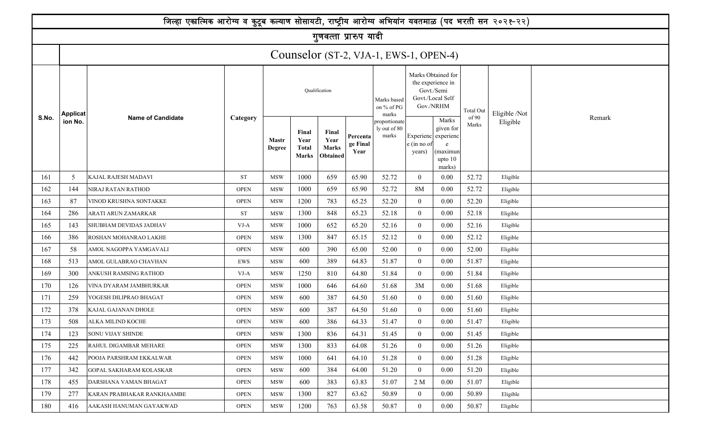|       |                 | जिल्हा एकात्मिक आरोग्य व कुटूब कल्याण सोसायटी, राष्ट्रीय आरोग्य अभियांन यवतमाळ (पद भरती सन २०२१-२२) |             |                        |                                               |                                                  |                              |                                        |                                    |                                                                                        |                  |               |        |
|-------|-----------------|-----------------------------------------------------------------------------------------------------|-------------|------------------------|-----------------------------------------------|--------------------------------------------------|------------------------------|----------------------------------------|------------------------------------|----------------------------------------------------------------------------------------|------------------|---------------|--------|
|       |                 |                                                                                                     |             |                        |                                               | गुणवत्ता प्रारुप यादी                            |                              |                                        |                                    |                                                                                        |                  |               |        |
|       |                 |                                                                                                     |             |                        |                                               |                                                  |                              | Counselor (ST-2, VJA-1, EWS-1, OPEN-4) |                                    |                                                                                        |                  |               |        |
|       | <b>Applicat</b> |                                                                                                     |             |                        |                                               | Qualification                                    |                              | Marks based<br>on % of PG<br>marks     |                                    | Marks Obtained for<br>the experience in<br>Govt./Semi<br>Govt./Local Self<br>Gov./NRHM | <b>Total Out</b> | Eligible /Not |        |
| S.No. | ion No.         | <b>Name of Candidate</b>                                                                            | Category    | <b>Mastr</b><br>Degree | Final<br>Year<br><b>Total</b><br><b>Marks</b> | Final<br>Year<br><b>Marks</b><br><b>Obtained</b> | Percenta<br>ge Final<br>Year | proportionate<br>ly out of 80<br>marks | Experienc<br>e (in no of<br>years) | Marks<br>given for<br>experienc<br>(maximun<br>upto $10$<br>marks)                     | of 90<br>Marks   | Eligible      | Remark |
| 161   | 5 <sup>5</sup>  | KAJAL RAJESH MADAVI                                                                                 | Eligible    |                        |                                               |                                                  |                              |                                        |                                    |                                                                                        |                  |               |        |
| 162   | 144             | NIRAJ RATAN RATHOD                                                                                  | <b>OPEN</b> | <b>MSW</b>             | 1000                                          | 659                                              | 65.90                        | 52.72                                  | <b>8M</b>                          | 0.00                                                                                   | 52.72            | Eligible      |        |
| 163   | 87              | VINOD KRUSHNA SONTAKKE                                                                              | <b>OPEN</b> | <b>MSW</b>             | 1200                                          | 783                                              | 65.25                        | 52.20                                  | $\overline{0}$                     | 0.00                                                                                   | 52.20            | Eligible      |        |
| 164   | 286             | ARATI ARUN ZAMARKAR                                                                                 | <b>ST</b>   | <b>MSW</b>             | 1300                                          | 848                                              | 65.23                        | 52.18                                  | $\overline{0}$                     | 0.00                                                                                   | 52.18            | Eligible      |        |
| 165   | 143             | SHUBHAM DEVIDAS JADHAV                                                                              | VJ-A        | <b>MSW</b>             | 1000                                          | 652                                              | 65.20                        | 52.16                                  | $\boldsymbol{0}$                   | 0.00                                                                                   | 52.16            | Eligible      |        |
| 166   | 386             | ROSHAN MOHANRAO LAKHE                                                                               | <b>OPEN</b> | <b>MSW</b>             | 1300                                          | 847                                              | 65.15                        | 52.12                                  | $\overline{0}$                     | 0.00                                                                                   | 52.12            | Eligible      |        |
| 167   | 58              | AMOL NAGOPPA YAMGAVALI                                                                              | <b>OPEN</b> | <b>MSW</b>             | 600                                           | 390                                              | 65.00                        | 52.00                                  | $\overline{0}$                     | 0.00                                                                                   | 52.00            | Eligible      |        |
| 168   | 513             | AMOL GULABRAO CHAVHAN                                                                               | EWS         | <b>MSW</b>             | 600                                           | 389                                              | 64.83                        | 51.87                                  | $\overline{0}$                     | 0.00                                                                                   | 51.87            | Eligible      |        |
| 169   | 300             | ANKUSH RAMSING RATHOD                                                                               | $VJ-A$      | <b>MSW</b>             | 1250                                          | 810                                              | 64.80                        | 51.84                                  | $\overline{0}$                     | 0.00                                                                                   | 51.84            | Eligible      |        |
| 170   | 126             | VINA DYARAM JAMBHURKAR                                                                              | <b>OPEN</b> | <b>MSW</b>             | 1000                                          | 646                                              | 64.60                        | 51.68                                  | 3M                                 | 0.00                                                                                   | 51.68            | Eligible      |        |
| 171   | 259             | YOGESH DILIPRAO BHAGAT                                                                              | <b>OPEN</b> | <b>MSW</b>             | 600                                           | 387                                              | 64.50                        | 51.60                                  | $\overline{0}$                     | 0.00                                                                                   | 51.60            | Eligible      |        |
| 172   | 378             | KAJAL GAJANAN DHOLE                                                                                 | <b>OPEN</b> | <b>MSW</b>             | 600                                           | 387                                              | 64.50                        | 51.60                                  | $\overline{0}$                     | 0.00                                                                                   | 51.60            | Eligible      |        |
| 173   | 508             | ALKA MILIND KOCHE                                                                                   | <b>OPEN</b> | <b>MSW</b>             | 600                                           | 386                                              | 64.33                        | 51.47                                  | $\theta$                           | 0.00                                                                                   | 51.47            | Eligible      |        |
| 174   | 123             | <b>SONU VIJAY SHINDE</b>                                                                            | <b>OPEN</b> | <b>MSW</b>             | 1300                                          | 836                                              | 64.31                        | 51.45                                  | $\overline{0}$                     | 0.00                                                                                   | 51.45            | Eligible      |        |
| 175   | 225             | RAHUL DIGAMBAR MEHARE                                                                               | <b>OPEN</b> | <b>MSW</b>             | 1300                                          | 833                                              | 64.08                        | 51.26                                  | $\overline{0}$                     | 0.00                                                                                   | 51.26            | Eligible      |        |
| 176   | 442             | POOJA PARSHRAM EKKALWAR                                                                             | <b>OPEN</b> | <b>MSW</b>             | 1000                                          | 641                                              | 64.10                        | 51.28                                  | $\boldsymbol{0}$                   | 0.00                                                                                   | 51.28            | Eligible      |        |
| 177   | 342             | GOPAL SAKHARAM KOLASKAR                                                                             | <b>OPEN</b> | <b>MSW</b>             | 600                                           | 384                                              | 64.00                        | 51.20                                  | $\overline{0}$                     | 0.00                                                                                   | 51.20            | Eligible      |        |
| 178   | 455             | DARSHANA VAMAN BHAGAT                                                                               | <b>OPEN</b> | <b>MSW</b>             | 600                                           | 383                                              | 63.83                        | 51.07                                  | 2 M                                | 0.00                                                                                   | 51.07            | Eligible      |        |
| 179   | 277             | KARAN PRABHAKAR RANKHAAMBE                                                                          | <b>OPEN</b> | <b>MSW</b>             | 1300                                          | 827                                              | 63.62                        | 50.89                                  | $\overline{0}$                     | 0.00                                                                                   | 50.89            | Eligible      |        |
| 180   | 416             | AAKASH HANUMAN GAYAKWAD                                                                             | <b>OPEN</b> | $_{\rm MSW}$           | 1200                                          | 763                                              | 63.58                        | 50.87                                  | $\overline{0}$                     | $0.00\,$                                                                               | 50.87            | Eligible      |        |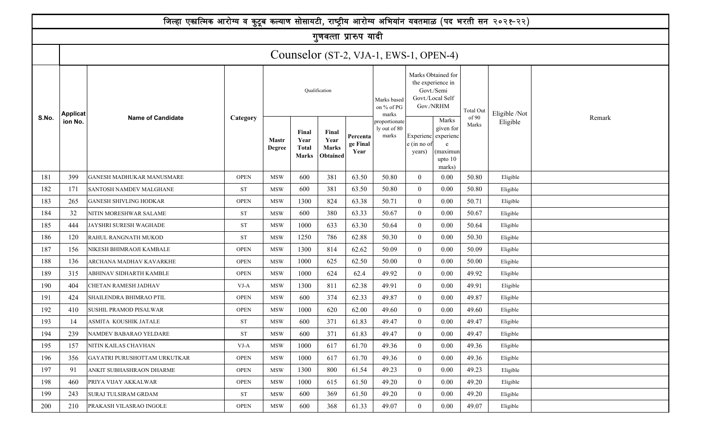|       |                 | जिल्हा एकात्मिक आरोग्य व कुटूब कल्याण सोसायटी, राष्ट्रीय आरोग्य अभियांन यवतमाळ (पद भरती सन २०२१-२२) |             |                        |                                               |                                                  |                              |                                        |                                    |                                                                                        |                  |               |        |
|-------|-----------------|-----------------------------------------------------------------------------------------------------|-------------|------------------------|-----------------------------------------------|--------------------------------------------------|------------------------------|----------------------------------------|------------------------------------|----------------------------------------------------------------------------------------|------------------|---------------|--------|
|       |                 |                                                                                                     |             |                        |                                               | गुणवत्ता प्रारुप यादी                            |                              |                                        |                                    |                                                                                        |                  |               |        |
|       |                 |                                                                                                     |             |                        |                                               |                                                  |                              | Counselor (ST-2, VJA-1, EWS-1, OPEN-4) |                                    |                                                                                        |                  |               |        |
|       | <b>Applicat</b> |                                                                                                     |             |                        |                                               | Qualification                                    |                              | Marks based<br>on % of PG<br>marks     |                                    | Marks Obtained for<br>the experience in<br>Govt./Semi<br>Govt./Local Self<br>Gov./NRHM | <b>Total Out</b> | Eligible /Not |        |
| S.No. | ion No.         | <b>Name of Candidate</b>                                                                            | Category    | <b>Mastr</b><br>Degree | Final<br>Year<br><b>Total</b><br><b>Marks</b> | Final<br>Year<br><b>Marks</b><br><b>Obtained</b> | Percenta<br>ge Final<br>Year | proportionate<br>ly out of 80<br>marks | Experienc<br>e (in no of<br>years) | Marks<br>given for<br>experienc<br>(maximun<br>upto $10$<br>marks)                     | of 90<br>Marks   | Eligible      | Remark |
| 181   | 399             | <b>GANESH MADHUKAR MANUSMARE</b>                                                                    | Eligible    |                        |                                               |                                                  |                              |                                        |                                    |                                                                                        |                  |               |        |
| 182   | 171             | SANTOSH NAMDEV MALGHANE                                                                             | Eligible    |                        |                                               |                                                  |                              |                                        |                                    |                                                                                        |                  |               |        |
| 183   | 265             | <b>GANESH SHIVLING HODKAR</b>                                                                       | <b>OPEN</b> | <b>MSW</b>             | 1300                                          | 824                                              | 63.38                        | 50.71                                  | $\overline{0}$                     | 0.00                                                                                   | 50.71            | Eligible      |        |
| 184   | 32              | NITIN MORESHWAR SALAME                                                                              | <b>ST</b>   | <b>MSW</b>             | 600                                           | 380                                              | 63.33                        | 50.67                                  | $\overline{0}$                     | 0.00                                                                                   | 50.67            | Eligible      |        |
| 185   | 444             | JAYSHRI SURESH WAGHADE                                                                              | ST          | <b>MSW</b>             | 1000                                          | 633                                              | 63.30                        | 50.64                                  | $\overline{0}$                     | 0.00                                                                                   | 50.64            | Eligible      |        |
| 186   | 120             | RAHUL RANGNATH MUKOD                                                                                | <b>ST</b>   | <b>MSW</b>             | 1250                                          | 786                                              | 62.88                        | 50.30                                  | $\overline{0}$                     | 0.00                                                                                   | 50.30            | Eligible      |        |
| 187   | 156             | NIKESH BHIMRAOJI KAMBALE                                                                            | <b>OPEN</b> | <b>MSW</b>             | 1300                                          | 814                                              | 62.62                        | 50.09                                  | $\overline{0}$                     | 0.00                                                                                   | 50.09            | Eligible      |        |
| 188   | 136             | ARCHANA MADHAV KAVARKHE                                                                             | <b>OPEN</b> | <b>MSW</b>             | 1000                                          | 625                                              | 62.50                        | 50.00                                  | $\overline{0}$                     | 0.00                                                                                   | 50.00            | Eligible      |        |
| 189   | 315             | ABHINAV SIDHARTH KAMBLE                                                                             | <b>OPEN</b> | <b>MSW</b>             | 1000                                          | 624                                              | 62.4                         | 49.92                                  | $\overline{0}$                     | 0.00                                                                                   | 49.92            | Eligible      |        |
| 190   | 404             | CHETAN RAMESH JADHAV                                                                                | $VJ-A$      | <b>MSW</b>             | 1300                                          | 811                                              | 62.38                        | 49.91                                  | $\overline{0}$                     | 0.00                                                                                   | 49.91            | Eligible      |        |
| 191   | 424             | SHAILENDRA BHIMRAO PTIL                                                                             | <b>OPEN</b> | <b>MSW</b>             | 600                                           | 374                                              | 62.33                        | 49.87                                  | $\overline{0}$                     | 0.00                                                                                   | 49.87            | Eligible      |        |
| 192   | 410             | SUSHIL PRAMOD PISALWAR                                                                              | <b>OPEN</b> | <b>MSW</b>             | 1000                                          | 620                                              | 62.00                        | 49.60                                  | $\overline{0}$                     | 0.00                                                                                   | 49.60            | Eligible      |        |
| 193   | 14              | ASMITA KOUSHIK JATALE                                                                               | <b>ST</b>   | <b>MSW</b>             | 600                                           | 371                                              | 61.83                        | 49.47                                  | $\theta$                           | 0.00                                                                                   | 49.47            | Eligible      |        |
| 194   | 239             | NAMDEV BABARAO YELDARE                                                                              | <b>ST</b>   | <b>MSW</b>             | 600                                           | 371                                              | 61.83                        | 49.47                                  | $\overline{0}$                     | 0.00                                                                                   | 49.47            | Eligible      |        |
| 195   | 157             | NITIN KAILAS CHAVHAN                                                                                | $VI-A$      | <b>MSW</b>             | 1000                                          | 617                                              | 61.70                        | 49.36                                  | $\overline{0}$                     | 0.00                                                                                   | 49.36            | Eligible      |        |
| 196   | 356             | GAYATRI PURUSHOTTAM URKUTKAR                                                                        | <b>OPEN</b> | <b>MSW</b>             | 1000                                          | 617                                              | 61.70                        | 49.36                                  | $\boldsymbol{0}$                   | 0.00                                                                                   | 49.36            | Eligible      |        |
| 197   | 91              | ANKIT SUBHASHRAON DHARME                                                                            | <b>OPEN</b> | <b>MSW</b>             | 1300                                          | 800                                              | 61.54                        | 49.23                                  | $\overline{0}$                     | 0.00                                                                                   | 49.23            | Eligible      |        |
| 198   | 460             | PRIYA VIJAY AKKALWAR                                                                                | <b>OPEN</b> | <b>MSW</b>             | 1000                                          | 615                                              | 61.50                        | 49.20                                  | $\overline{0}$                     | 0.00                                                                                   | 49.20            | Eligible      |        |
| 199   | 243             | SURAJ TULSIRAM GRDAM                                                                                | <b>ST</b>   | <b>MSW</b>             | 600                                           | 369                                              | 61.50                        | 49.20                                  | $\overline{0}$                     | 0.00                                                                                   | 49.20            | Eligible      |        |
| 200   | 210             | PRAKASH VILASRAO INGOLE                                                                             | <b>OPEN</b> | $_{\rm MSW}$           | 600                                           | 368                                              | 61.33                        | 49.07                                  | $\overline{0}$                     | $0.00\,$                                                                               | 49.07            | Eligible      |        |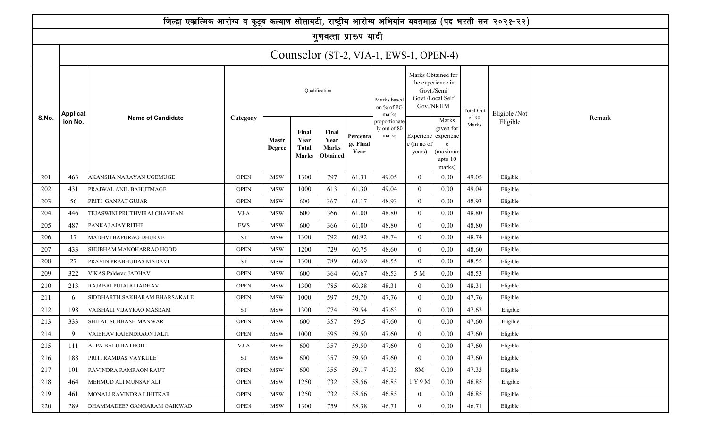|       |                 | जिल्हा एकात्मिक आरोग्य व कुटूब कल्याण सोसायटी, राष्ट्रीय आरोग्य अभियांन यवतमाळ (पद भरती सन २०२१-२२) |             |                               |                                               |                                                  |                              |                                        |                       |                                                                            |                  |               |        |
|-------|-----------------|-----------------------------------------------------------------------------------------------------|-------------|-------------------------------|-----------------------------------------------|--------------------------------------------------|------------------------------|----------------------------------------|-----------------------|----------------------------------------------------------------------------|------------------|---------------|--------|
|       |                 |                                                                                                     |             |                               |                                               | गुणवत्ता प्रारुप यादी                            |                              |                                        |                       |                                                                            |                  |               |        |
|       |                 |                                                                                                     |             |                               |                                               |                                                  |                              | Counselor (ST-2, VJA-1, EWS-1, OPEN-4) |                       |                                                                            |                  |               |        |
|       | <b>Applicat</b> |                                                                                                     |             |                               |                                               | Qualification                                    |                              | Marks based<br>on % of PG<br>marks     | Gov./NRHM             | Marks Obtained for<br>the experience in<br>Govt./Semi<br>Govt./Local Self  | <b>Total Out</b> | Eligible /Not |        |
| S.No. | ion No.         | <b>Name of Candidate</b>                                                                            | Category    | <b>Mastr</b><br><b>Degree</b> | Final<br>Year<br><b>Total</b><br><b>Marks</b> | Final<br>Year<br><b>Marks</b><br><b>Obtained</b> | Percenta<br>ge Final<br>Year | proportionate<br>ly out of 80<br>marks | e (in no of<br>years) | Marks<br>given for<br>Experienc experienc<br>(maximun<br>upto 10<br>marks) | of 90<br>Marks   | Eligible      | Remark |
| 201   | 463             | <b>AKANSHA NARAYAN UGEMUGE</b>                                                                      | <b>OPEN</b> | <b>MSW</b>                    | 1300                                          | 797                                              | 61.31                        | 49.05                                  | $\overline{0}$        | 0.00                                                                       | 49.05            | Eligible      |        |
| 202   | 431             | PRAJWAL ANIL BAHUTMAGE                                                                              | <b>OPEN</b> | <b>MSW</b>                    | 1000                                          | 613                                              | 61.30                        | 49.04                                  | $\boldsymbol{0}$      | 0.00                                                                       | 49.04            | Eligible      |        |
| 203   | 56              | PRITI GANPAT GUJAR                                                                                  | <b>OPEN</b> | <b>MSW</b>                    | 600                                           | 367                                              | 61.17                        | 48.93                                  | $\overline{0}$        | 0.00                                                                       | 48.93            | Eligible      |        |
| 204   | 446             | TEJASWINI PRUTHVIRAJ CHAVHAN                                                                        | $VI-A$      | <b>MSW</b>                    | 600                                           | 366                                              | 61.00                        | 48.80                                  | $\overline{0}$        | 0.00                                                                       | 48.80            | Eligible      |        |
| 205   | 487             | PANKAJ AJAY RITHE                                                                                   | EWS         | <b>MSW</b>                    | 600                                           | 366                                              | 61.00                        | 48.80                                  | $\overline{0}$        | 0.00                                                                       | 48.80            | Eligible      |        |
| 206   | 17              | MADHVI BAPURAO DHURVE                                                                               | <b>ST</b>   | <b>MSW</b>                    | 1300                                          | 792                                              | 60.92                        | 48.74                                  | $\overline{0}$        | 0.00                                                                       | 48.74            | Eligible      |        |
| 207   | 433             | SHUBHAM MANOHARRAO HOOD                                                                             | <b>OPEN</b> | <b>MSW</b>                    | 1200                                          | 729                                              | 60.75                        | 48.60                                  | $\overline{0}$        | 0.00                                                                       | 48.60            | Eligible      |        |
| 208   | 27              | PRAVIN PRABHUDAS MADAVI                                                                             | <b>ST</b>   | <b>MSW</b>                    | 1300                                          | 789                                              | 60.69                        | 48.55                                  | $\overline{0}$        | 0.00                                                                       | 48.55            | Eligible      |        |
| 209   | 322             | VIKAS Palderao JADHAV                                                                               | <b>OPEN</b> | <b>MSW</b>                    | 600                                           | 364                                              | 60.67                        | 48.53                                  | 5 M                   | 0.00                                                                       | 48.53            | Eligible      |        |
| 210   | 213             | RAJABAI PUJAJAI JADHAV                                                                              | <b>OPEN</b> | <b>MSW</b>                    | 1300                                          | 785                                              | 60.38                        | 48.31                                  | $\overline{0}$        | 0.00                                                                       | 48.31            | Eligible      |        |
| 211   | 6               | SIDDHARTH SAKHARAM BHARSAKALE                                                                       | <b>OPEN</b> | <b>MSW</b>                    | 1000                                          | 597                                              | 59.70                        | 47.76                                  | $\overline{0}$        | 0.00                                                                       | 47.76            | Eligible      |        |
| 212   | 198             | VAISHALI VIJAYRAO MASRAM                                                                            | <b>ST</b>   | <b>MSW</b>                    | 1300                                          | 774                                              | 59.54                        | 47.63                                  | $\overline{0}$        | 0.00                                                                       | 47.63            | Eligible      |        |
| 213   | 333             | SHITAL SUBHASH MANWAR                                                                               | <b>OPEN</b> | <b>MSW</b>                    | 600                                           | 357                                              | 59.5                         | 47.60                                  | $\theta$              | 0.00                                                                       | 47.60            | Eligible      |        |
| 214   | 9               | VAIBHAV RAJENDRAON JALIT                                                                            | <b>OPEN</b> | <b>MSW</b>                    | 1000                                          | 595                                              | 59.50                        | 47.60                                  | $\overline{0}$        | 0.00                                                                       | 47.60            | Eligible      |        |
| 215   | 111             | <b>ALPA BALU RATHOD</b>                                                                             | VJ-A        | <b>MSW</b>                    | 600                                           | 357                                              | 59.50                        | 47.60                                  | $\overline{0}$        | 0.00                                                                       | 47.60            | Eligible      |        |
| 216   | 188             | PRITI RAMDAS VAYKULE                                                                                | <b>ST</b>   | <b>MSW</b>                    | 600                                           | 357                                              | 59.50                        | 47.60                                  | $\boldsymbol{0}$      | 0.00                                                                       | 47.60            | Eligible      |        |
| 217   | 101             | RAVINDRA RAMRAON RAUT                                                                               | <b>OPEN</b> | <b>MSW</b>                    | 600                                           | 355                                              | 59.17                        | 47.33                                  | 8M                    | 0.00                                                                       | 47.33            | Eligible      |        |
| 218   | 464             | MEHMUD ALI MUNSAF ALI                                                                               | <b>OPEN</b> | $\operatorname{\mathsf{MSW}}$ | 1250                                          | 732                                              | 58.56                        | 46.85                                  | 1 Y 9 M               | 0.00                                                                       | 46.85            | Eligible      |        |
| 219   | 461             | MONALI RAVINDRA LIHITKAR                                                                            | <b>OPEN</b> | <b>MSW</b>                    | 1250                                          | 732                                              | 58.56                        | 46.85                                  | $\overline{0}$        | 0.00                                                                       | 46.85            | Eligible      |        |
| 220   | 289             | DHAMMADEEP GANGARAM GAIKWAD                                                                         | <b>OPEN</b> | $_{\rm MSW}$                  | 1300                                          | 759                                              | 58.38                        | 46.71                                  | $\overline{0}$        | $0.00\,$                                                                   | 46.71            | Eligible      |        |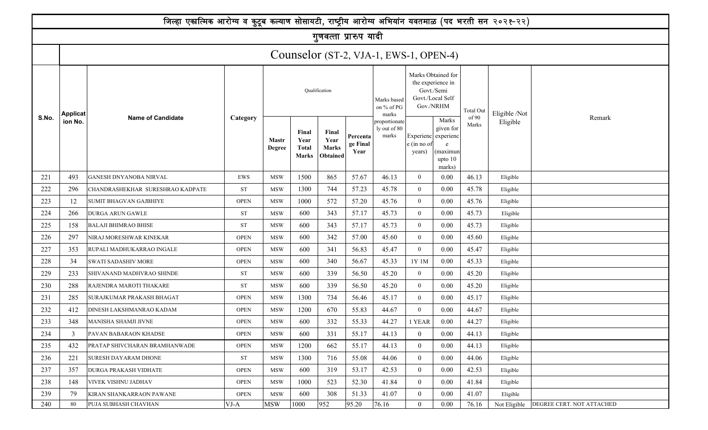|       |                                                                                                                                                                                                                                                                                  | जिल्हा एकात्मिक आरोग्य व कुटूब कल्याण सोसायटी, राष्ट्रीय आरोग्य अभियांन यवतमाळ (पद भरती सन २०२१-२२) |             |            |        |                       |       |                                        |                  |                                                                                        |                    |               |                           |  |  |
|-------|----------------------------------------------------------------------------------------------------------------------------------------------------------------------------------------------------------------------------------------------------------------------------------|-----------------------------------------------------------------------------------------------------|-------------|------------|--------|-----------------------|-------|----------------------------------------|------------------|----------------------------------------------------------------------------------------|--------------------|---------------|---------------------------|--|--|
|       |                                                                                                                                                                                                                                                                                  |                                                                                                     |             |            |        | गुणवत्ता प्रारुप यादी |       |                                        |                  |                                                                                        |                    |               |                           |  |  |
|       |                                                                                                                                                                                                                                                                                  |                                                                                                     |             |            |        |                       |       | Counselor (ST-2, VJA-1, EWS-1, OPEN-4) |                  |                                                                                        |                    |               |                           |  |  |
|       | <b>Applicat</b>                                                                                                                                                                                                                                                                  |                                                                                                     |             |            |        | Qualification         |       | Marks based<br>on % of PG<br>marks     |                  | Marks Obtained for<br>the experience in<br>Govt./Semi<br>Govt./Local Self<br>Gov./NRHM | Total Out<br>of 90 | Eligible /Not |                           |  |  |
| S.No. | ion No.                                                                                                                                                                                                                                                                          | <b>Name of Candidate</b>                                                                            | Category    | Eligible   | Remark |                       |       |                                        |                  |                                                                                        |                    |               |                           |  |  |
| 221   | 1500<br>865<br>57.67<br>493<br>46.13<br>$\mathbf{0}$<br>0.00<br>46.13<br>GANESH DNYANOBA NIRVAL<br>EWS<br><b>MSW</b><br>Eligible<br>1300<br>744<br>57.23<br>45.78<br>0.00<br>45.78<br>296<br><b>ST</b><br><b>MSW</b><br>$\theta$<br>CHANDRASHEKHAR SURESHRAO KADPATE<br>Eligible |                                                                                                     |             |            |        |                       |       |                                        |                  |                                                                                        |                    |               |                           |  |  |
| 222   | 12<br>1000<br>572<br>57.20<br>45.76<br>0.00<br>45.76<br><b>OPEN</b><br><b>MSW</b><br>$\overline{0}$<br>SUMIT BHAGVAN GAJBHIYE<br>Eligible                                                                                                                                        |                                                                                                     |             |            |        |                       |       |                                        |                  |                                                                                        |                    |               |                           |  |  |
| 223   |                                                                                                                                                                                                                                                                                  |                                                                                                     |             |            |        |                       |       |                                        |                  |                                                                                        |                    |               |                           |  |  |
| 224   | 266                                                                                                                                                                                                                                                                              | <b>DURGA ARUN GAWLE</b>                                                                             | ST          | <b>MSW</b> | 600    | 343                   | 57.17 | 45.73                                  | $\theta$         | 0.00                                                                                   | 45.73              | Eligible      |                           |  |  |
| 225   | 158                                                                                                                                                                                                                                                                              | <b>BALAJI BHIMRAO BHISE</b>                                                                         | <b>ST</b>   | <b>MSW</b> | 600    | 343                   | 57.17 | 45.73                                  | $\overline{0}$   | 0.00                                                                                   | 45.73              | Eligible      |                           |  |  |
| 226   | 297                                                                                                                                                                                                                                                                              | NIRAJ MORESHWAR KINEKAR                                                                             | <b>OPEN</b> | <b>MSW</b> | 600    | 342                   | 57.00 | 45.60                                  | $\overline{0}$   | 0.00                                                                                   | 45.60              | Eligible      |                           |  |  |
| 227   | 353                                                                                                                                                                                                                                                                              | RUPALI MADHUKARRAO INGALE                                                                           | <b>OPEN</b> | <b>MSW</b> | 600    | 341                   | 56.83 | 45.47                                  | $\mathbf{0}$     | 0.00                                                                                   | 45.47              | Eligible      |                           |  |  |
| 228   | 34                                                                                                                                                                                                                                                                               | <b>SWATI SADASHIV MORE</b>                                                                          | <b>OPEN</b> | <b>MSW</b> | 600    | 340                   | 56.67 | 45.33                                  | 1Y 1M            | 0.00                                                                                   | 45.33              | Eligible      |                           |  |  |
| 229   | 233                                                                                                                                                                                                                                                                              | SHIVANAND MADHVRAO SHINDE                                                                           | <b>ST</b>   | <b>MSW</b> | 600    | 339                   | 56.50 | 45.20                                  | $\overline{0}$   | 0.00                                                                                   | 45.20              | Eligible      |                           |  |  |
| 230   | 288                                                                                                                                                                                                                                                                              | RAJENDRA MAROTI THAKARE                                                                             | <b>ST</b>   | <b>MSW</b> | 600    | 339                   | 56.50 | 45.20                                  | $\mathbf{0}$     | 0.00                                                                                   | 45.20              | Eligible      |                           |  |  |
| 231   | 285                                                                                                                                                                                                                                                                              | SURAJKUMAR PRAKASH BHAGAT                                                                           | <b>OPEN</b> | <b>MSW</b> | 1300   | 734                   | 56.46 | 45.17                                  | $\overline{0}$   | 0.00                                                                                   | 45.17              | Eligible      |                           |  |  |
| 232   | 412                                                                                                                                                                                                                                                                              | DINESH LAKSHMANRAO KADAM                                                                            | <b>OPEN</b> | <b>MSW</b> | 1200   | 670                   | 55.83 | 44.67                                  | $\theta$         | 0.00                                                                                   | 44.67              | Eligible      |                           |  |  |
| 233   | 348                                                                                                                                                                                                                                                                              | MANISHA SHAMJI JIVNE                                                                                | <b>OPEN</b> | <b>MSW</b> | 600    | 332                   | 55.33 | 44.27                                  | 1 YEAR           | 0.00                                                                                   | 44.27              | Eligible      |                           |  |  |
| 234   | 3                                                                                                                                                                                                                                                                                | PAVAN BABARAON KHADSE                                                                               | <b>OPEN</b> | <b>MSW</b> | 600    | 331                   | 55.17 | 44.13                                  | $\mathbf{0}$     | 0.00                                                                                   | 44.13              | Eligible      |                           |  |  |
| 235   | 432                                                                                                                                                                                                                                                                              | PRATAP SHIVCHARAN BRAMHANWADE                                                                       | <b>OPEN</b> | <b>MSW</b> | 1200   | 662                   | 55.17 | 44.13                                  | $\overline{0}$   | 0.00                                                                                   | 44.13              | Eligible      |                           |  |  |
| 236   | 221                                                                                                                                                                                                                                                                              | SURESH DAYARAM DHONE                                                                                | ST          | <b>MSW</b> | 1300   | 716                   | 55.08 | 44.06                                  | $\boldsymbol{0}$ | 0.00                                                                                   | 44.06              | Eligible      |                           |  |  |
| 237   | 357                                                                                                                                                                                                                                                                              | <b>DURGA PRAKASH VIDHATE</b>                                                                        | <b>OPEN</b> | <b>MSW</b> | 600    | 319                   | 53.17 | 42.53                                  | $\overline{0}$   | 0.00                                                                                   | 42.53              | Eligible      |                           |  |  |
| 238   | 148                                                                                                                                                                                                                                                                              | <b>VIVEK VISHNU JADHAV</b>                                                                          | <b>OPEN</b> | <b>MSW</b> | 1000   | 523                   | 52.30 | 41.84                                  | $\overline{0}$   | 0.00                                                                                   | 41.84              | Eligible      |                           |  |  |
| 239   | 79                                                                                                                                                                                                                                                                               | KIRAN SHANKARRAON PAWANE                                                                            | <b>OPEN</b> | <b>MSW</b> | 600    | 308                   | 51.33 | 41.07                                  | $\overline{0}$   | 0.00                                                                                   | 41.07              | Eligible      |                           |  |  |
| 240   | 80                                                                                                                                                                                                                                                                               | PUJA SUBHASH CHAVHAN                                                                                | $VJ-A$      | <b>MSW</b> | 1000   | 952                   | 95.20 | 76.16                                  | $\overline{0}$   | 0.00                                                                                   | 76.16              | Not Eligible  | DEGREE CERT. NOT ATTACHED |  |  |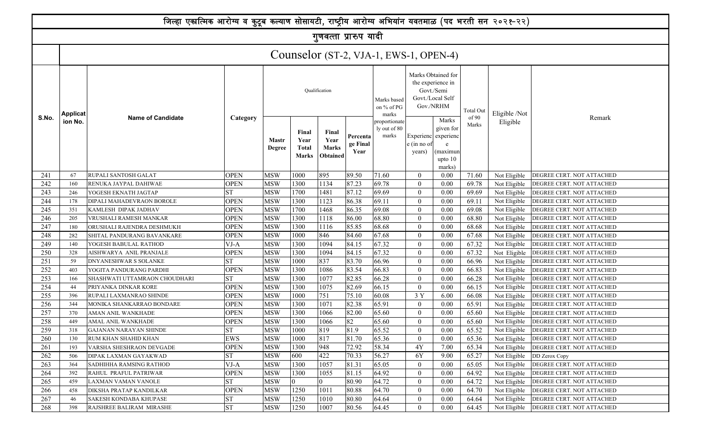|            |                                                                                                                                                                                                                                                                                                                                   | जिल्हा एकात्मिक आरोग्य व कुटूब कल्याण सोसायटी, राष्ट्रीय आरोग्य अभियांन यवतमाळ (पद भरती सन २०२१-२२) |                    |                               |                                               |                                                  |                              |                                        |                                                                                        |                                                            |                |                              |                                                        |  |  |
|------------|-----------------------------------------------------------------------------------------------------------------------------------------------------------------------------------------------------------------------------------------------------------------------------------------------------------------------------------|-----------------------------------------------------------------------------------------------------|--------------------|-------------------------------|-----------------------------------------------|--------------------------------------------------|------------------------------|----------------------------------------|----------------------------------------------------------------------------------------|------------------------------------------------------------|----------------|------------------------------|--------------------------------------------------------|--|--|
|            |                                                                                                                                                                                                                                                                                                                                   |                                                                                                     |                    |                               |                                               | गुणवत्ता प्रारुप यादी                            |                              |                                        |                                                                                        |                                                            |                |                              |                                                        |  |  |
|            |                                                                                                                                                                                                                                                                                                                                   |                                                                                                     |                    |                               |                                               |                                                  |                              |                                        | Counselor (ST-2, VJA-1, EWS-1, OPEN-4)                                                 |                                                            |                |                              |                                                        |  |  |
|            | <b>Applicat</b>                                                                                                                                                                                                                                                                                                                   |                                                                                                     |                    |                               |                                               | Qualification                                    |                              | Marks based<br>on % of PG<br>marks     | Marks Obtained for<br>the experience in<br>Govt./Semi<br>Govt./Local Self<br>Gov./NRHM |                                                            | Total Out      | Eligible /Not                |                                                        |  |  |
| S.No.      | ion No.                                                                                                                                                                                                                                                                                                                           | <b>Name of Candidate</b>                                                                            | Category           | <b>Mastr</b><br><b>Degree</b> | Final<br>Year<br><b>Total</b><br><b>Marks</b> | Final<br>Year<br><b>Marks</b><br><b>Obtained</b> | Percenta<br>ge Final<br>Year | proportionate<br>ly out of 80<br>marks | Experienc<br>e (in no of<br>years)                                                     | Marks<br>given for<br>experienc<br>e<br>maximun<br>upto 10 | of 90<br>Marks | Eligible                     | Remark                                                 |  |  |
| 241        | marks)<br>895<br>89.50<br><b>RUPALI SANTOSH GALAT</b><br><b>OPEN</b><br><b>MSW</b><br>1000<br>71.60<br>71.60<br>DEGREE CERT. NOT ATTACHED<br>67<br>$\overline{0}$<br>0.00<br>Not Eligible                                                                                                                                         |                                                                                                     |                    |                               |                                               |                                                  |                              |                                        |                                                                                        |                                                            |                |                              |                                                        |  |  |
| 242        | 1134<br>87.23<br>69.78<br><b>OPEN</b><br><b>MSW</b><br>1300<br>0.00<br>160<br>$\overline{0}$<br>69.78<br>RENUKA JAYPAL DAHIWAE<br>DEGREE CERT. NOT ATTACHED<br>Not Eligible<br>87.12<br>69.69<br><b>ST</b><br><b>MSW</b><br>1700<br>1481<br>69.69<br>$\theta$<br>0.00<br>246<br>YOGESH EKNATH JAGTAP<br>DEGREE CERT. NOT ATTACHED |                                                                                                     |                    |                               |                                               |                                                  |                              |                                        |                                                                                        |                                                            |                |                              |                                                        |  |  |
| 243        |                                                                                                                                                                                                                                                                                                                                   |                                                                                                     |                    |                               |                                               |                                                  |                              |                                        |                                                                                        |                                                            |                | Not Eligible                 |                                                        |  |  |
| 244        | 178                                                                                                                                                                                                                                                                                                                               | DIPALI MAHADEVRAON BOROLE                                                                           | <b>OPEN</b>        | <b>MSW</b>                    | 1300                                          | 1123                                             | 86.38                        | 69.11                                  | $\theta$                                                                               | 0.00                                                       | 69.11          | Not Eligible                 | DEGREE CERT. NOT ATTACHED                              |  |  |
| 245        | 351                                                                                                                                                                                                                                                                                                                               | KAMLESH DIPAK JADHAV                                                                                | <b>OPEN</b>        | <b>MSW</b>                    | 1700                                          | 1468                                             | 86.35                        | 69.08                                  | $\theta$                                                                               | 0.00                                                       | 69.08          | Not Eligible                 | DEGREE CERT. NOT ATTACHED                              |  |  |
| 246        | 205                                                                                                                                                                                                                                                                                                                               | VRUSHALI RAMESH MANKAR                                                                              | <b>OPEN</b>        | <b>MSW</b>                    | 1300                                          | 1118                                             | 86.00                        | 68.80                                  | $\mathbf{0}$                                                                           | 0.00                                                       | 68.80          | Not Eligible                 | DEGREE CERT. NOT ATTACHED                              |  |  |
| 247        | 180                                                                                                                                                                                                                                                                                                                               | ORUSHALI RAJENDRA DESHMUKH                                                                          | <b>OPEN</b>        | <b>MSW</b>                    | 1300                                          | 1116                                             | 85.85                        | 68.68                                  | $\overline{0}$                                                                         | 0.00                                                       | 68.68          | Not Eligible                 | DEGREE CERT. NOT ATTACHED                              |  |  |
| 248        | 282                                                                                                                                                                                                                                                                                                                               | SHITAL PANDURANG BAVANKARE                                                                          | <b>OPEN</b>        | <b>MSW</b>                    | 1000                                          | 846                                              | 84.60                        | 67.68                                  | $\overline{0}$                                                                         | 0.00                                                       | 67.68          | Not Eligible                 | DEGREE CERT. NOT ATTACHED                              |  |  |
| 249        | 140                                                                                                                                                                                                                                                                                                                               | YOGESH BABULAL RATHOD                                                                               | VJ-A               | <b>MSW</b>                    | 1300                                          | 1094                                             | 84.15                        | 67.32                                  | $\overline{0}$                                                                         | 0.00                                                       | 67.32          | Not Eligible                 | DEGREE CERT. NOT ATTACHED                              |  |  |
| 250        | 328                                                                                                                                                                                                                                                                                                                               | AISHWARYA ANIL PRANJALE                                                                             | <b>OPEN</b>        | <b>MSW</b>                    | 1300                                          | 1094                                             | 84.15                        | 67.32                                  | $\overline{0}$                                                                         | 0.00                                                       | 67.32          | Not Eligible                 | DEGREE CERT. NOT ATTACHED                              |  |  |
| 251        | 59                                                                                                                                                                                                                                                                                                                                | <b>DNYANESHWAR S SOLANKE</b>                                                                        | <b>ST</b>          | <b>MSW</b>                    | 1000                                          | 837                                              | 83.70                        | 66.96                                  | $\theta$                                                                               | 0.00                                                       | 66.96          | Not Eligible                 | DEGREE CERT. NOT ATTACHED                              |  |  |
| 252        | 403                                                                                                                                                                                                                                                                                                                               | YOGITA PANDURANG PARDHI                                                                             | <b>OPEN</b>        | <b>MSW</b>                    | 1300                                          | 1086                                             | 83.54                        | 66.83                                  | $\overline{0}$                                                                         | 0.00                                                       | 66.83          | Not Eligible                 | DEGREE CERT. NOT ATTACHED                              |  |  |
| 253        | 166                                                                                                                                                                                                                                                                                                                               | SHASHWATI UTTAMRAON CHOUDHARI                                                                       | <b>ST</b>          | <b>MSW</b>                    | 1300                                          | 1077                                             | 82.85                        | 66.28                                  | $\overline{0}$                                                                         | 0.00                                                       | 66.28          | Not Eligible                 | DEGREE CERT. NOT ATTACHED                              |  |  |
| 254        | 44                                                                                                                                                                                                                                                                                                                                | PRIYANKA DINKAR KORE                                                                                | <b>OPEN</b>        | <b>MSW</b>                    | 1300                                          | 1075                                             | 82.69                        | 66.15                                  | $\overline{0}$                                                                         | 0.00                                                       | 66.15          | Not Eligible                 | DEGREE CERT. NOT ATTACHED                              |  |  |
| 255        | 396                                                                                                                                                                                                                                                                                                                               | RUPALI LAXMANRAO SHINDE                                                                             | <b>OPEN</b>        | <b>MSW</b>                    | 1000                                          | 751                                              | 75.10                        | 60.08                                  | 3 Y                                                                                    | 6.00                                                       | 66.08          | Not Eligible                 | DEGREE CERT. NOT ATTACHED                              |  |  |
| 256        | 344                                                                                                                                                                                                                                                                                                                               | MONIKA SHANKARRAO BONDARE                                                                           | <b>OPEN</b>        | <b>MSW</b>                    | 1300                                          | 1071                                             | 82.38                        | 65.91                                  | $\overline{0}$                                                                         | 0.00                                                       | 65.91          | Not Eligible                 | DEGREE CERT. NOT ATTACHED                              |  |  |
| 257        | 370                                                                                                                                                                                                                                                                                                                               | AMAN ANIL WANKHADE                                                                                  | <b>OPEN</b>        | <b>MSW</b>                    | 1300                                          | 1066                                             | 82.00                        | 65.60<br>65.60                         | $\Omega$<br>$\Omega$                                                                   | 0.00                                                       | 65.60          | Not Eligible                 | DEGREE CERT. NOT ATTACHED                              |  |  |
| 258        | 449                                                                                                                                                                                                                                                                                                                               | AMAL ANIL WANKHADE                                                                                  | <b>OPEN</b>        | <b>MSW</b>                    | 1300                                          | 1066                                             | 82                           |                                        |                                                                                        | 0.00                                                       | 65.60          | Not Eligible                 | DEGREE CERT. NOT ATTACHED                              |  |  |
| 259        | 318<br>130                                                                                                                                                                                                                                                                                                                        | GAJANAN NARAYAN SHINDE<br>RUM KHAN SHAHID KHAN                                                      | SТ                 | <b>MSW</b>                    | 1000                                          | 819<br>817                                       | 81.9                         | 65.52                                  | $\boldsymbol{0}$<br>$\overline{0}$                                                     | 0.00                                                       | 65.52          | Not Eligible                 | DEGREE CERT. NOT ATTACHED<br>DEGREE CERT. NOT ATTACHED |  |  |
| 260        | 193                                                                                                                                                                                                                                                                                                                               | VARSHA SHESHRAON DEVGADE                                                                            | EWS<br><b>OPEN</b> | MSW<br>MSW                    | 1000<br>1300                                  | 948                                              | 81.70<br>72.92               | 65.36<br>58.34                         | 4Y                                                                                     | 0.00<br>7.00                                               | 65.36<br>65.34 | Not Eligible                 | <b>DEGREE CERT. NOT ATTACHED</b>                       |  |  |
| 261        |                                                                                                                                                                                                                                                                                                                                   |                                                                                                     | <b>ST</b>          |                               |                                               | 422                                              |                              |                                        | 6Y                                                                                     | 9.00                                                       |                | Not Eligible                 |                                                        |  |  |
| 262<br>263 | 506<br>364                                                                                                                                                                                                                                                                                                                        | DIPAK LAXMAN GAYAKWAD<br><b>SADHIHHA RAMSING RATHOD</b>                                             | VJ-A               | <b>MSW</b><br>MSW             | 600<br>1300                                   | 1057                                             | 70.33<br>81.31               | 56.27<br>65.05                         | $\theta$                                                                               | 0.00                                                       | 65.27<br>65.05 | Not Eligible<br>Not Eligible | DD Zerox Copy<br>DEGREE CERT. NOT ATTACHED             |  |  |
| 264        | 392                                                                                                                                                                                                                                                                                                                               | RAHUL PRAFUL PATRIWAR                                                                               | <b>OPEN</b>        | <b>MSW</b>                    | 1300                                          | 1055                                             | 81.15                        | 64.92                                  | $\theta$                                                                               | 0.00                                                       | 64.92          | Not Eligible                 | DEGREE CERT. NOT ATTACHED                              |  |  |
| 265        | 459                                                                                                                                                                                                                                                                                                                               | LAXMAN VAMAN VANOLE                                                                                 | ST                 | <b>MSW</b>                    |                                               | 0                                                | 80.90                        | 64.72                                  | $\overline{0}$                                                                         | 0.00                                                       | 64.72          | Not Eligible                 | DEGREE CERT. NOT ATTACHED                              |  |  |
| 266        | 458                                                                                                                                                                                                                                                                                                                               | DIKSHA PRATAP KANDILKAR                                                                             | <b>OPEN</b>        | <b>MSW</b>                    | 1250                                          | 1011                                             | 80.88                        | 64.70                                  | $\overline{0}$                                                                         | 0.00                                                       | 64.70          | Not Eligible                 | DEGREE CERT. NOT ATTACHED                              |  |  |
| 267        | 46                                                                                                                                                                                                                                                                                                                                | <b>SAKESH KONDABA KHUPASE</b>                                                                       | ST                 | <b>MSW</b>                    | 1250                                          | 1010                                             | 80.80                        | 64.64                                  | $\theta$                                                                               | 0.00                                                       | 64.64          | Not Eligible                 | DEGREE CERT. NOT ATTACHED                              |  |  |
| 268        | 398                                                                                                                                                                                                                                                                                                                               | RAJSHREE BALIRAM MIRASHE                                                                            | <b>ST</b>          | <b>MSW</b>                    | 1250                                          | 1007                                             | 80.56                        | 64.45                                  | $\theta$                                                                               | 0.00                                                       | 64.45          | Not Eligible                 | DEGREE CERT. NOT ATTACHED                              |  |  |
|            |                                                                                                                                                                                                                                                                                                                                   |                                                                                                     |                    |                               |                                               |                                                  |                              |                                        |                                                                                        |                                                            |                |                              |                                                        |  |  |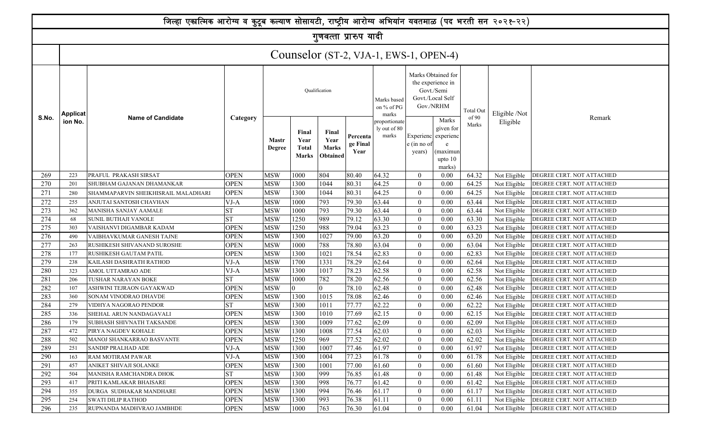|            |                                                                                                                                                                                                              | जिल्हा एकात्मिक आरोग्य व कुटूब कल्याण सोसायटी, राष्ट्रीय आरोग्य अभियांन यवतमाळ (पद भरती सन २०२१-२२) |                          |                               |                                               |                                                  |                              |                                        |                                    |                                                                                        |                |                              |                                                        |  |  |
|------------|--------------------------------------------------------------------------------------------------------------------------------------------------------------------------------------------------------------|-----------------------------------------------------------------------------------------------------|--------------------------|-------------------------------|-----------------------------------------------|--------------------------------------------------|------------------------------|----------------------------------------|------------------------------------|----------------------------------------------------------------------------------------|----------------|------------------------------|--------------------------------------------------------|--|--|
|            |                                                                                                                                                                                                              |                                                                                                     |                          |                               |                                               | गुणवत्ता प्रारुप यादी                            |                              |                                        |                                    |                                                                                        |                |                              |                                                        |  |  |
|            |                                                                                                                                                                                                              |                                                                                                     |                          |                               |                                               |                                                  |                              | Counselor (ST-2, VJA-1, EWS-1, OPEN-4) |                                    |                                                                                        |                |                              |                                                        |  |  |
|            | <b>Applicat</b>                                                                                                                                                                                              |                                                                                                     |                          |                               |                                               | Qualification                                    |                              | Marks based<br>on % of PG<br>marks     |                                    | Marks Obtained for<br>the experience in<br>Govt./Semi<br>Govt./Local Self<br>Gov./NRHM | Total Out      | Eligible /Not                |                                                        |  |  |
| S.No.      | ion No.                                                                                                                                                                                                      | <b>Name of Candidate</b>                                                                            | Category                 | <b>Mastr</b><br><b>Degree</b> | Final<br>Year<br><b>Total</b><br><b>Marks</b> | Final<br>Year<br><b>Marks</b><br><b>Obtained</b> | Percenta<br>ge Final<br>Year | proportionate<br>ly out of 80<br>marks | Experienc<br>e (in no of<br>years) | Marks<br>given for<br>experienc<br>e<br>maximun<br>upto 10<br>marks)                   | of 90<br>Marks | Eligible                     | Remark                                                 |  |  |
| 269        | PRAFUL PRAKASH SIRSAT<br>804<br>80.40<br>64.32<br><b>OPEN</b><br><b>MSW</b><br>1000<br>64.32<br>DEGREE CERT. NOT ATTACHED<br>223<br>$\overline{0}$<br>0.00<br>Not Eligible                                   |                                                                                                     |                          |                               |                                               |                                                  |                              |                                        |                                    |                                                                                        |                |                              |                                                        |  |  |
| 270        | 1044<br>80.31<br>64.25<br><b>OPEN</b><br><b>MSW</b><br>1300<br>0.00<br>64.25<br>$\overline{0}$<br>201<br>SHUBHAM GAJANAN DHAMANKAR<br>DEGREE CERT. NOT ATTACHED<br>Not Eligible<br>DEGREE CERT. NOT ATTACHED |                                                                                                     |                          |                               |                                               |                                                  |                              |                                        |                                    |                                                                                        |                |                              |                                                        |  |  |
| 271        | 280                                                                                                                                                                                                          | SHAMMAPARVIN SHEIKHISRAIL MALADHARI                                                                 | <b>OPEN</b>              | <b>MSW</b>                    | 1300                                          | 1044                                             | 80.31                        | 64.25                                  | $\overline{0}$                     | 0.00                                                                                   | 64.25          | Not Eligible                 |                                                        |  |  |
| 272        | 255                                                                                                                                                                                                          | ANJUTAI SANTOSH CHAVHAN                                                                             | VJ-A                     | <b>MSW</b>                    | 1000                                          | 793                                              | 79.30                        | 63.44                                  | $\overline{0}$                     | 0.00                                                                                   | 63.44          | Not Eligible                 | DEGREE CERT. NOT ATTACHED                              |  |  |
| 273        | 362                                                                                                                                                                                                          | MANISHA SANJAY AAMALE                                                                               | <b>ST</b>                | <b>MSW</b>                    | 1000                                          | 793                                              | 79.30                        | 63.44                                  | $\theta$                           | 0.00                                                                                   | 63.44          | Not Eligible                 | DEGREE CERT. NOT ATTACHED                              |  |  |
| 274        | 68                                                                                                                                                                                                           | <b>SUNIL BUTHAJI VANOLE</b>                                                                         | <b>ST</b>                | <b>MSW</b>                    | 1250                                          | 989                                              | 79.12                        | 63.30                                  | $\theta$                           | 0.00                                                                                   | 63.30          | Not Eligible                 | DEGREE CERT. NOT ATTACHED                              |  |  |
| 275        | 303                                                                                                                                                                                                          | VAISHANVI DIGAMBAR KADAM                                                                            | <b>OPEN</b>              | <b>MSW</b>                    | 1250                                          | 988                                              | 79.04                        | 63.23                                  | $\overline{0}$                     | 0.00                                                                                   | 63.23          | Not Eligible                 | DEGREE CERT. NOT ATTACHED                              |  |  |
| 276        | 490                                                                                                                                                                                                          | VAIBHAVKUMAR GANESH TAJNE                                                                           | <b>OPEN</b>              | <b>MSW</b>                    | 1300                                          | 1027                                             | 79.00                        | 63.20                                  | $\overline{0}$                     | 0.00                                                                                   | 63.20          | Not Eligible                 | DEGREE CERT. NOT ATTACHED                              |  |  |
| 277        | 263                                                                                                                                                                                                          | RUSHIKESH SHIVANAND SUROSHE                                                                         | <b>OPEN</b>              | MSW                           | 1000                                          | 788                                              | 78.80                        | 63.04                                  | $\overline{0}$                     | 0.00                                                                                   | 63.04          | Not Eligible                 | DEGREE CERT. NOT ATTACHED                              |  |  |
| 278        | 177                                                                                                                                                                                                          | RUSHIKESH GAUTAM PATIL                                                                              | <b>OPEN</b>              | <b>MSW</b>                    | 1300                                          | 1021                                             | 78.54                        | 62.83                                  | $\theta$                           | 0.00                                                                                   | 62.83          | Not Eligible                 | DEGREE CERT. NOT ATTACHED                              |  |  |
| 279        | 238                                                                                                                                                                                                          | KAILASH DASHRATH RATHOD                                                                             | VJ-A                     | <b>MSW</b>                    | 1700                                          | 1331                                             | 78.29                        | 62.64                                  | $\theta$<br>$\theta$               | 0.00                                                                                   | 62.64          | Not Eligible                 | DEGREE CERT. NOT ATTACHED                              |  |  |
| 280        | 323                                                                                                                                                                                                          | AMOL UTTAMRAO ADE                                                                                   | VJ-A                     | <b>MSW</b>                    | 1300                                          | 1017                                             | 78.23                        | 62.58                                  |                                    | 0.00                                                                                   | 62.58          | Not Eligible                 | DEGREE CERT. NOT ATTACHED                              |  |  |
| 281<br>282 | 206<br>107                                                                                                                                                                                                   | TUSHAR NARAYAN BOKE<br>ASHWINI TEJRAON GAYAKWAD                                                     | <b>ST</b><br><b>OPEN</b> | MSW<br>MSW                    | 1000                                          | 782<br>$\overline{0}$                            | 78.20<br>78.10               | 62.56<br>62.48                         | $\theta$<br>$\theta$               | 0.00<br>0.00                                                                           | 62.56<br>62.48 | Not Eligible                 | DEGREE CERT. NOT ATTACHED<br>DEGREE CERT. NOT ATTACHED |  |  |
| 283        | 360                                                                                                                                                                                                          | SONAM VINODRAO DHAVDE                                                                               | <b>OPEN</b>              | MSW                           | 1300                                          | 1015                                             | 78.08                        | 62.46                                  | $\overline{0}$                     | 0.00                                                                                   | 62.46          | Not Eligible                 | DEGREE CERT. NOT ATTACHED                              |  |  |
| 284        | 279                                                                                                                                                                                                          | VIDHYA NAGORAO PENDOR                                                                               | <b>ST</b>                | MSW                           | 1300                                          | 1011                                             | 77.77                        | 62.22                                  | $\theta$                           | 0.00                                                                                   | 62.22          | Not Eligible<br>Not Eligible | DEGREE CERT. NOT ATTACHED                              |  |  |
| 285        | 336                                                                                                                                                                                                          | SHEHAL ARUN NANDAGAVALI                                                                             | <b>OPEN</b>              | MSW                           | 1300                                          | 1010                                             | 77.69                        | 62.15                                  | $\theta$                           | 0.00                                                                                   | 62.15          | Not Eligible                 | DEGREE CERT. NOT ATTACHED                              |  |  |
| 286        | 179                                                                                                                                                                                                          | SUBHASH SHIVNATH TAKSANDE                                                                           | <b>OPEN</b>              | <b>MSW</b>                    | 1300                                          | 1009                                             | 77.62                        | 62.09                                  | $\Omega$                           | 0.00                                                                                   | 62.09          | Not Eligible                 | DEGREE CERT. NOT ATTACHED                              |  |  |
| 287        | 472                                                                                                                                                                                                          | PIRYA NAGDEV KOHALE                                                                                 | <b>OPEN</b>              | <b>MSW</b>                    | 1300                                          | 1008                                             | 77.54                        | 62.03                                  | $\theta$                           | 0.00                                                                                   | 62.03          | Not Eligible                 | DEGREE CERT. NOT ATTACHED                              |  |  |
| 288        | 502                                                                                                                                                                                                          | MANOJ SHANKARRAO BASVANTE                                                                           | <b>OPEN</b>              | <b>MSW</b>                    | 1250                                          | 969                                              | 77.52                        | 62.02                                  | $\theta$                           | 0.00                                                                                   | 62.02          | Not Eligible                 | DEGREE CERT. NOT ATTACHED                              |  |  |
| 289        | 251                                                                                                                                                                                                          | <b>SANDIP PRALHAD ADE</b>                                                                           | $VJ-A$                   | <b>MSW</b>                    | 1300                                          | 1007                                             | 77.46                        | 61.97                                  | $\overline{0}$                     | 0.00                                                                                   | 61.97          | Not Eligible                 | DEGREE CERT. NOT ATTACHED                              |  |  |
| 290        | 163                                                                                                                                                                                                          | RAM MOTIRAM PAWAR                                                                                   | VJ-A                     | <b>MSW</b>                    | 1300                                          | 1004                                             | 77.23                        | 61.78                                  | $\overline{0}$                     | 0.00                                                                                   | 61.78          | Not Eligible                 | DEGREE CERT. NOT ATTACHED                              |  |  |
| 291        | 457                                                                                                                                                                                                          | ANIKET SHIVAJI SOLANKE                                                                              | <b>OPEN</b>              | MSW                           | 1300                                          | 1001                                             | 77.00                        | 61.60                                  | $\overline{0}$                     | 0.00                                                                                   | 61.60          | Not Eligible                 | DEGREE CERT. NOT ATTACHED                              |  |  |
| 292        | 504                                                                                                                                                                                                          | MANISHA RAMCHANDRA DHOK                                                                             | ST                       | <b>MSW</b>                    | 1300                                          | 999                                              | 76.85                        | 61.48                                  | $\theta$                           | 0.00                                                                                   | 61.48          | Not Eligible                 | <b>DEGREE CERT. NOT ATTACHED</b>                       |  |  |
| 293        | 417                                                                                                                                                                                                          | PRITI KAMLAKAR BHAISARE                                                                             | <b>OPEN</b>              | <b>MSW</b>                    | 1300                                          | 998                                              | 76.77                        | 61.42                                  | $\theta$                           | 0.00                                                                                   | 61.42          | Not Eligible                 | <b>DEGREE CERT. NOT ATTACHED</b>                       |  |  |
| 294        | 355                                                                                                                                                                                                          | DURGA SUDHAKAR MANDHARE                                                                             | <b>OPEN</b>              | <b>MSW</b>                    | 1300                                          | 994                                              | 76.46                        | 61.17                                  | $\bf{0}$                           | 0.00                                                                                   | 61.17          | Not Eligible                 | DEGREE CERT. NOT ATTACHED                              |  |  |
| 295        | 254                                                                                                                                                                                                          | <b>SWATI DILIP RATHOD</b>                                                                           | <b>OPEN</b>              | <b>MSW</b>                    | 1300                                          | 993                                              | 76.38                        | 61.11                                  | $\overline{0}$                     | 0.00                                                                                   | 61.11          | Not Eligible                 | DEGREE CERT. NOT ATTACHED                              |  |  |
| 296        | 235                                                                                                                                                                                                          | RUPNANDA MADHVRAO JAMBHDE                                                                           | <b>OPEN</b>              | <b>MSW</b>                    | 1000                                          | 763                                              | 76.30                        | 61.04                                  | $\overline{0}$                     | 0.00                                                                                   | 61.04          | Not Eligible                 | DEGREE CERT. NOT ATTACHED                              |  |  |
|            |                                                                                                                                                                                                              |                                                                                                     |                          |                               |                                               |                                                  |                              |                                        |                                    |                                                                                        |                |                              |                                                        |  |  |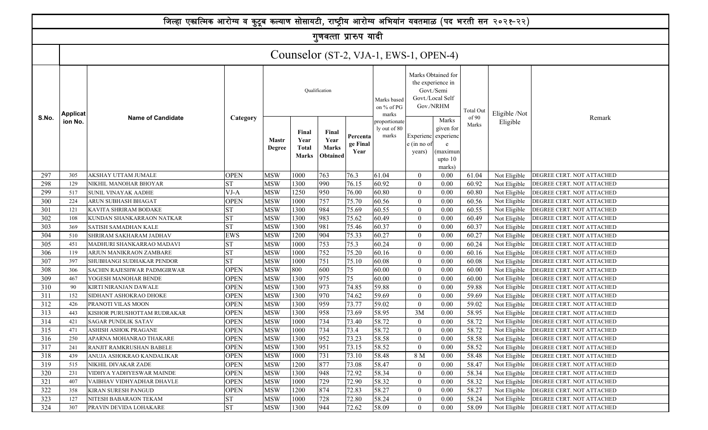| जिल्हा एकात्मिक आरोग्य व कुटूब कल्याण सोसायटी, राष्ट्रीय आरोग्य अभियांन यवतमाळ (पद भरती सन २०२१-२२)<br>गुणवत्ता प्रारुप यादी                                                                                                                                                                                                                                                                            |                                  |  |  |  |  |  |  |  |  |  |  |  |  |  |
|---------------------------------------------------------------------------------------------------------------------------------------------------------------------------------------------------------------------------------------------------------------------------------------------------------------------------------------------------------------------------------------------------------|----------------------------------|--|--|--|--|--|--|--|--|--|--|--|--|--|
|                                                                                                                                                                                                                                                                                                                                                                                                         |                                  |  |  |  |  |  |  |  |  |  |  |  |  |  |
| Counselor (ST-2, VJA-1, EWS-1, OPEN-4)                                                                                                                                                                                                                                                                                                                                                                  |                                  |  |  |  |  |  |  |  |  |  |  |  |  |  |
| Marks Obtained for<br>the experience in<br>Govt./Semi<br>Qualification<br>Govt./Local Self<br>Marks based<br>Gov./NRHM<br>on % of PG<br>Total Out<br>Eligible /Not<br><b>Applicat</b><br>marks                                                                                                                                                                                                          |                                  |  |  |  |  |  |  |  |  |  |  |  |  |  |
| S.No.<br><b>Name of Candidate</b><br>of 90<br>Category<br>Marks<br>ion No.<br>proportionate<br>Eligible<br>Marks<br>ly out of 80<br>given for<br>Final<br>Final<br>marks<br>Experienc<br>Percenta<br>experienc<br><b>Mastr</b><br>Year<br>Year<br>ge Final<br>e (in no of<br>e<br><b>Marks</b><br><b>Total</b><br>Degree<br>maximun)<br>years)<br>Year<br><b>Marks</b><br>Obtained<br>upto 10<br>marks) | Remark                           |  |  |  |  |  |  |  |  |  |  |  |  |  |
| 1000<br>763<br>76.3<br>61.04<br><b>AKSHAY UTTAM JUMALE</b><br><b>OPEN</b><br><b>MSW</b><br>0.00<br>61.04<br>DEGREE CERT. NOT ATTACHED<br>305<br>$\theta$<br>Not Eligible                                                                                                                                                                                                                                |                                  |  |  |  |  |  |  |  |  |  |  |  |  |  |
| 76.15<br>1300<br>990<br>60.92<br><b>ST</b><br><b>MSW</b><br>$\theta$<br>0.00<br>60.92<br>129<br>NIKHIL MANOHAR BHOYAR<br>DEGREE CERT. NOT ATTACHED<br>Not Eligible                                                                                                                                                                                                                                      |                                  |  |  |  |  |  |  |  |  |  |  |  |  |  |
| 950<br>76.00<br>60.80<br>$VJ-A$<br><b>MSW</b><br>1250<br>0.00<br>60.80<br>517<br>$\theta$<br>DEGREE CERT. NOT ATTACHED<br>SUNIL VINAYAK AADHE<br>Not Eligible<br>DEGREE CERT. NOT ATTACHED                                                                                                                                                                                                              |                                  |  |  |  |  |  |  |  |  |  |  |  |  |  |
| 757<br>300<br>75.70<br>60.56<br>224<br><b>OPEN</b><br><b>MSW</b><br>1000<br>$\theta$<br>0.00<br>60.56<br>ARUN SUBHASH BHAGAT<br>Not Eligible                                                                                                                                                                                                                                                            |                                  |  |  |  |  |  |  |  |  |  |  |  |  |  |
| 1300<br>984<br>75.69<br>60.55<br>301<br><b>ST</b><br><b>MSW</b><br>$\theta$<br>0.00<br>60.55<br>121<br>KAVITA SHRIRAM BODAKE<br>Not Eligible                                                                                                                                                                                                                                                            | DEGREE CERT. NOT ATTACHED        |  |  |  |  |  |  |  |  |  |  |  |  |  |
| 75.62<br>302<br>1300<br>983<br>60.49<br>108<br><b>ST</b><br><b>MSW</b><br>$\theta$<br>0.00<br>KUNDAN SHANKARRAON NATKAR<br>60.49<br>Not Eligible                                                                                                                                                                                                                                                        | <b>DEGREE CERT. NOT ATTACHED</b> |  |  |  |  |  |  |  |  |  |  |  |  |  |
| 303<br>1300<br>981<br>75.46<br>60.37<br><b>ST</b><br><b>MSW</b><br>$\theta$<br>0.00<br>60.37<br>369<br><b>SATISH SAMADHAN KALE</b><br>Not Eligible                                                                                                                                                                                                                                                      | <b>DEGREE CERT. NOT ATTACHED</b> |  |  |  |  |  |  |  |  |  |  |  |  |  |
| 1200<br>904<br>75.33<br>60.27<br>304<br><b>EWS</b><br><b>MSW</b><br>$\mathbf{0}$<br>0.00<br>60.27<br>Not Eligible<br>510<br>SHRIRAM SAKHARAM JADHAV                                                                                                                                                                                                                                                     | DEGREE CERT. NOT ATTACHED        |  |  |  |  |  |  |  |  |  |  |  |  |  |
| 75.3<br><b>ST</b><br>753<br>60.24<br>305<br><b>MSW</b><br>1000<br>0.00<br>60.24<br>451<br>MADHURI SHANKARRAO MADAVI<br>$\theta$<br>Not Eligible                                                                                                                                                                                                                                                         | DEGREE CERT. NOT ATTACHED        |  |  |  |  |  |  |  |  |  |  |  |  |  |
| 752<br>306<br><b>ST</b><br>75.20<br>60.16<br><b>MSW</b><br>1000<br>0.00<br>60.16<br>$\theta$<br>119<br>ARJUN MANIKRAON ZAMBARE<br>Not Eligible                                                                                                                                                                                                                                                          | DEGREE CERT. NOT ATTACHED        |  |  |  |  |  |  |  |  |  |  |  |  |  |
| 751<br>307<br><b>ST</b><br>1000<br>75.10<br>60.08<br>0.00<br>397<br><b>MSW</b><br>$\theta$<br>60.08<br>SHUBHANGI SUDHAKAR PENDOR<br>Not Eligible                                                                                                                                                                                                                                                        | DEGREE CERT. NOT ATTACHED        |  |  |  |  |  |  |  |  |  |  |  |  |  |
| 75<br>800<br>600<br>308<br>306<br><b>OPEN</b><br><b>MSW</b><br>60.00<br>$\theta$<br>0.00<br>60.00<br><b>SACHIN RAJESHWAR PADMGIRWAR</b><br>Not Eligible                                                                                                                                                                                                                                                 | DEGREE CERT. NOT ATTACHED        |  |  |  |  |  |  |  |  |  |  |  |  |  |
| 75<br>309<br>1300<br>975<br>60.00<br><b>OPEN</b><br><b>MSW</b><br>$\theta$<br>0.00<br>60.00<br>467<br>YOGESH MANOHAR BENDE<br>Not Eligible                                                                                                                                                                                                                                                              | DEGREE CERT. NOT ATTACHED        |  |  |  |  |  |  |  |  |  |  |  |  |  |
| 310<br>1300<br>973<br>74.85<br>59.88<br><b>OPEN</b><br><b>MSW</b><br>0.00<br>59.88<br>90<br>$\theta$<br>KIRTI NIRANJAN DAWALE<br>Not Eligible                                                                                                                                                                                                                                                           | DEGREE CERT. NOT ATTACHED        |  |  |  |  |  |  |  |  |  |  |  |  |  |
| 311<br>970<br>74.62<br>59.69<br><b>OPEN</b><br><b>MSW</b><br>1300<br>59.69<br>152<br>SIDHANT ASHOKRAO DHOKE<br>$\theta$<br>0.00<br>Not Eligible                                                                                                                                                                                                                                                         | DEGREE CERT. NOT ATTACHED        |  |  |  |  |  |  |  |  |  |  |  |  |  |
| 959<br>73.77<br>312<br>59.02<br>59.02<br><b>OPEN</b><br><b>MSW</b><br>1300<br>0.00<br>$\theta$<br>426<br>PRANOTI VILAS MOON<br>Not Eligible                                                                                                                                                                                                                                                             | DEGREE CERT. NOT ATTACHED        |  |  |  |  |  |  |  |  |  |  |  |  |  |
| 313<br>958<br>73.69<br>58.95<br>3M<br>58.95<br><b>OPEN</b><br><b>MSW</b><br>1300<br>0.00<br>443<br>KISHOR PURUSHOTTAM RUDRAKAR<br>Not Eligible                                                                                                                                                                                                                                                          | DEGREE CERT. NOT ATTACHED        |  |  |  |  |  |  |  |  |  |  |  |  |  |
| 734<br>73.40<br>58.72<br>314<br><b>OPEN</b><br><b>MSW</b><br>1000<br>58.72<br>$\Omega$<br>0.00<br>421<br><b>SAGAR PUNDLIK SATAV</b><br>Not Eligible                                                                                                                                                                                                                                                     | DEGREE CERT. NOT ATTACHED        |  |  |  |  |  |  |  |  |  |  |  |  |  |
| 471<br>ASHISH ASHOK PRAGANE<br>OPEN<br><b>MSW</b><br> 1000<br>734<br>58.72<br>$\overline{0}$<br>0.00<br>58.72<br>Not Eligible<br>73.4<br>315                                                                                                                                                                                                                                                            | DEGREE CERT. NOT ATTACHED        |  |  |  |  |  |  |  |  |  |  |  |  |  |
| 952<br>316<br>250<br>APARNA MOHANRAO THAKARE<br><b>OPEN</b><br><b>MSW</b><br>1300<br>73.23<br>58.58<br>$\overline{0}$<br>0.00<br>58.58<br>Not Eligible                                                                                                                                                                                                                                                  | DEGREE CERT. NOT ATTACHED        |  |  |  |  |  |  |  |  |  |  |  |  |  |
| 317<br><b>OPEN</b><br>1300<br>951<br>73.15<br>58.52<br>0.00<br>58.52<br>RANJIT RAMKRUSHAN BABELE<br>MSW<br>$\overline{0}$<br>241<br>Not Eligible                                                                                                                                                                                                                                                        | <b>DEGREE CERT. NOT ATTACHED</b> |  |  |  |  |  |  |  |  |  |  |  |  |  |
| 318<br>731<br><b>OPEN</b><br><b>MSW</b><br>1000<br>73.10<br>58.48<br>8 M<br>0.00<br>58.48<br>439<br>Not Eligible<br>ANUJA ASHOKRAO KANDALIKAR                                                                                                                                                                                                                                                           | DEGREE CERT. NOT ATTACHED        |  |  |  |  |  |  |  |  |  |  |  |  |  |
| 319<br><b>OPEN</b><br>1200<br>877<br>58.47<br>515<br>NIKHIL DIVAKAR ZADE<br><b>MSW</b><br>73.08<br>$\theta$<br>0.00<br>58.47<br>Not Eligible                                                                                                                                                                                                                                                            | <b>DEGREE CERT. NOT ATTACHED</b> |  |  |  |  |  |  |  |  |  |  |  |  |  |
| 1300<br>948<br>72.92<br>58.34<br>320<br><b>OPEN</b><br><b>MSW</b><br>$\theta$<br>0.00<br>58.34<br>231<br>VIDHYA YADHYESWAR MAINDE<br>Not Eligible                                                                                                                                                                                                                                                       | DEGREE CERT. NOT ATTACHED        |  |  |  |  |  |  |  |  |  |  |  |  |  |
| 729<br>72.90<br>321<br>407<br><b>OPEN</b><br><b>MSW</b><br>1000<br>58.32<br>$\theta$<br>0.00<br>58.32<br>VAIBHAV VIDHYADHAR DHAVLE<br>Not Eligible                                                                                                                                                                                                                                                      | DEGREE CERT. NOT ATTACHED        |  |  |  |  |  |  |  |  |  |  |  |  |  |
| 322<br>358<br>KIRAN SURESH PANGUD<br><b>OPEN</b><br><b>MSW</b><br>1200<br>874<br>72.83<br>58.27<br>$\overline{0}$<br>0.00<br>58.27<br>Not Eligible                                                                                                                                                                                                                                                      | DEGREE CERT. NOT ATTACHED        |  |  |  |  |  |  |  |  |  |  |  |  |  |
| 323<br>728<br>127<br>ST<br><b>MSW</b><br>1000<br>72.80<br>58.24<br>$\overline{0}$<br>0.00<br>58.24<br>NITESH BABARAON TEKAM<br>Not Eligible                                                                                                                                                                                                                                                             | DEGREE CERT. NOT ATTACHED        |  |  |  |  |  |  |  |  |  |  |  |  |  |
| 944<br>324<br>307<br>ST<br><b>MSW</b><br>1300<br>72.62<br>58.09<br>0.00<br>58.09<br>PRAVIN DEVIDA LOHAKARE<br>$\theta$<br>Not Eligible                                                                                                                                                                                                                                                                  | DEGREE CERT. NOT ATTACHED        |  |  |  |  |  |  |  |  |  |  |  |  |  |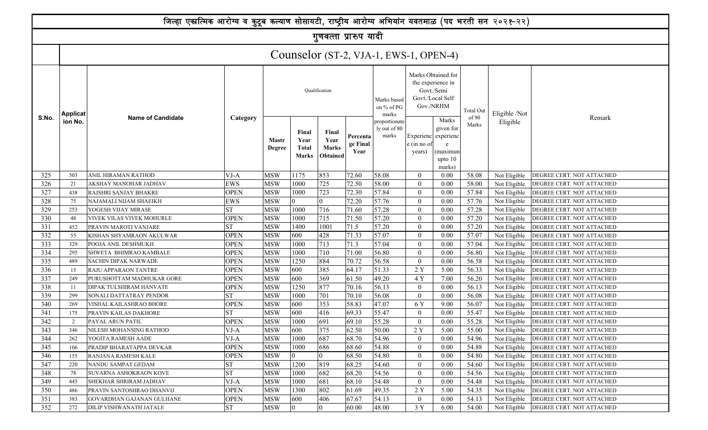|       |                                                                                                                                                                                                                                                                   | जिल्हा एकात्मिक आरोग्य व कुटूब कल्याण सोसायटी, राष्ट्रीय आरोग्य अभियांन यवतमाळ (पद भरती सन २०२१-२२) |             |                        |                                               |                                           |                              |                                        |                                    |                                                                           |                |               |                                  |  |  |
|-------|-------------------------------------------------------------------------------------------------------------------------------------------------------------------------------------------------------------------------------------------------------------------|-----------------------------------------------------------------------------------------------------|-------------|------------------------|-----------------------------------------------|-------------------------------------------|------------------------------|----------------------------------------|------------------------------------|---------------------------------------------------------------------------|----------------|---------------|----------------------------------|--|--|
|       |                                                                                                                                                                                                                                                                   |                                                                                                     |             |                        |                                               | गुणवत्ता प्रारुप यादी                     |                              |                                        |                                    |                                                                           |                |               |                                  |  |  |
|       |                                                                                                                                                                                                                                                                   |                                                                                                     |             |                        |                                               |                                           |                              | Counselor (ST-2, VJA-1, EWS-1, OPEN-4) |                                    |                                                                           |                |               |                                  |  |  |
|       | <b>Applicat</b>                                                                                                                                                                                                                                                   |                                                                                                     |             |                        |                                               | Qualification                             |                              | Marks based<br>on % of PG<br>marks     | Gov./NRHM                          | Marks Obtained for<br>the experience in<br>Govt./Semi<br>Govt./Local Self | Total Out      | Eligible /Not |                                  |  |  |
| S.No. | ion No.                                                                                                                                                                                                                                                           | <b>Name of Candidate</b>                                                                            | Category    | <b>Mastr</b><br>Degree | Final<br>Year<br><b>Total</b><br><b>Marks</b> | Final<br>Year<br><b>Marks</b><br>Obtained | Percenta<br>ge Final<br>Year | proportionate<br>ly out of 80<br>marks | Experienc<br>e (in no of<br>years) | Marks<br>given for<br>experienc<br>e<br>(maximun<br>upto 10<br>marks)     | of 90<br>Marks | Eligible      | Remark                           |  |  |
| 325   | 853<br>72.60<br>58.08<br><b>ANIL HIRAMAN RATHOD</b><br>$VJ-A$<br><b>MSW</b><br>1175<br>0.00<br>58.08<br>DEGREE CERT. NOT ATTACHED<br>503<br>$\theta$<br>Not Eligible                                                                                              |                                                                                                     |             |                        |                                               |                                           |                              |                                        |                                    |                                                                           |                |               |                                  |  |  |
| 326   | 725<br>1000<br>72.50<br>58.00<br><b>EWS</b><br><b>MSW</b><br>$\theta$<br>0.00<br>58.00<br>21<br>AKSHAY MANOHAR JADHAV<br>DEGREE CERT. NOT ATTACHED<br>Not Eligible                                                                                                |                                                                                                     |             |                        |                                               |                                           |                              |                                        |                                    |                                                                           |                |               |                                  |  |  |
| 327   | 723<br>72.30<br>57.84<br><b>OPEN</b><br><b>MSW</b><br>1000<br>0.00<br>57.84<br>438<br>$\theta$<br>DEGREE CERT. NOT ATTACHED<br>RAJSHRI SANJAY BHAKRE<br>Not Eligible<br>57.76<br>72.20<br>57.76<br>75<br><b>EWS</b><br><b>MSW</b><br>$\theta$<br>0.00<br>$\theta$ |                                                                                                     |             |                        |                                               |                                           |                              |                                        |                                    |                                                                           |                |               |                                  |  |  |
| 328   |                                                                                                                                                                                                                                                                   | NAJAMALI NIJAM SHAEIKH                                                                              |             |                        |                                               |                                           |                              |                                        |                                    |                                                                           |                | Not Eligible  | DEGREE CERT. NOT ATTACHED        |  |  |
| 329   | 253                                                                                                                                                                                                                                                               | YOGESH VIJAY MIRASE                                                                                 | <b>ST</b>   | <b>MSW</b>             | 1000                                          | 716                                       | 71.60                        | 57.28                                  | $\theta$                           | 0.00                                                                      | 57.28          | Not Eligible  | DEGREE CERT. NOT ATTACHED        |  |  |
| 330   | 48                                                                                                                                                                                                                                                                | VIVEK VILAS VIVEK MOHURLE                                                                           | <b>OPEN</b> | <b>MSW</b>             | 1000                                          | 715                                       | 71.50                        | 57.20                                  | $\theta$                           | 0.00                                                                      | 57.20          | Not Eligible  | <b>DEGREE CERT. NOT ATTACHED</b> |  |  |
| 331   | 452                                                                                                                                                                                                                                                               | PRAVIN MAROTI VANJARE                                                                               | <b>ST</b>   | <b>MSW</b>             | 1400                                          | 1001                                      | 71.5                         | 57.20                                  | $\theta$                           | 0.00                                                                      | 57.20          | Not Eligible  | <b>DEGREE CERT. NOT ATTACHED</b> |  |  |
| 332   | 55                                                                                                                                                                                                                                                                | KISHAN SHYAMRAON AKULWAR                                                                            | <b>OPEN</b> | <b>MSW</b>             | 600                                           | 428                                       | 71.33                        | 57.07                                  | $\mathbf{0}$                       | 0.00                                                                      | 57.07          | Not Eligible  | DEGREE CERT. NOT ATTACHED        |  |  |
| 333   | 329                                                                                                                                                                                                                                                               | POOJA ANIL DESHMUKH                                                                                 | <b>OPEN</b> | <b>MSW</b>             | 1000                                          | 713                                       | 71.3                         | 57.04                                  | $\theta$                           | 0.00                                                                      | 57.04          | Not Eligible  | DEGREE CERT. NOT ATTACHED        |  |  |
| 334   | 295                                                                                                                                                                                                                                                               | SHWETA BHIMRAO KAMBALE                                                                              | <b>OPEN</b> | <b>MSW</b>             | 1000                                          | 710                                       | 71.00                        | 56.80                                  | $\theta$                           | 0.00                                                                      | 56.80          | Not Eligible  | DEGREE CERT. NOT ATTACHED        |  |  |
| 335   | 489                                                                                                                                                                                                                                                               | <b>SACHIN DIPAK NARWADE</b>                                                                         | <b>OPEN</b> | <b>MSW</b>             | 1250                                          | 884                                       | 70.72                        | 56.58                                  | $\theta$                           | 0.00                                                                      | 56.58          | Not Eligible  | DEGREE CERT. NOT ATTACHED        |  |  |
| 336   | 15                                                                                                                                                                                                                                                                | RAJU APPARAON TANTRE                                                                                | <b>OPEN</b> | <b>MSW</b>             | 600                                           | 385                                       | 64.17                        | 51.33                                  | 2Y                                 | 5.00                                                                      | 56.33          | Not Eligible  | DEGREE CERT. NOT ATTACHED        |  |  |
| 337   | 249                                                                                                                                                                                                                                                               | PURUSHOTTAM MADHUKAR GORE                                                                           | <b>OPEN</b> | <b>MSW</b>             | 600                                           | 369                                       | 61.50                        | 49.20                                  | 4 Y                                | 7.00                                                                      | 56.20          | Not Eligible  | DEGREE CERT. NOT ATTACHED        |  |  |
| 338   | 11                                                                                                                                                                                                                                                                | DIPAK TULSHIRAM HANVATE                                                                             | <b>OPEN</b> | <b>MSW</b>             | 1250                                          | 877                                       | 70.16                        | 56.13                                  | $\overline{0}$                     | 0.00                                                                      | 56.13          | Not Eligible  | DEGREE CERT. NOT ATTACHED        |  |  |
| 339   | 299                                                                                                                                                                                                                                                               | SONALI DATTATRAY PENDOR                                                                             | ST          | <b>MSW</b>             | 1000                                          | 701                                       | 70.10                        | 56.08                                  | $\theta$                           | 0.00                                                                      | 56.08          | Not Eligible  | DEGREE CERT. NOT ATTACHED        |  |  |
| 340   | 269                                                                                                                                                                                                                                                               | VISHAL KAILASHRAO BHORE                                                                             | <b>OPEN</b> | <b>MSW</b>             | 600                                           | 353                                       | 58.83                        | 47.07                                  | 6 Y                                | 9.00                                                                      | 56.07          | Not Eligible  | DEGREE CERT. NOT ATTACHED        |  |  |
| 341   | 175                                                                                                                                                                                                                                                               | PRAVIN KAILAS DAKHORE                                                                               | ST          | <b>MSW</b>             | 600                                           | 416                                       | 69.33                        | 55.47                                  | $\Omega$                           | 0.00                                                                      | 55.47          | Not Eligible  | DEGREE CERT. NOT ATTACHED        |  |  |
| 342   | 2                                                                                                                                                                                                                                                                 | PAYAL ARUN PATIL                                                                                    | <b>OPEN</b> | <b>MSW</b>             | 1000                                          | 691                                       | 69.10                        | 55.28                                  | $\Omega$                           | 0.00                                                                      | 55.28          | Not Eligible  | DEGREE CERT. NOT ATTACHED        |  |  |
| 343   | 346                                                                                                                                                                                                                                                               | NILESH MOHANSING RATHOD                                                                             | VJ-A        | <b>MSW</b>             | 600                                           | 3/5                                       | 62.50                        | 50.00                                  | 2 Y                                | 5.00                                                                      | 55.00          | Not Eligible  | DEGREE CERT. NOT ATTACHED        |  |  |
| 344   | 262                                                                                                                                                                                                                                                               | YOGITA RAMESH AADE                                                                                  | VJ-A        | <b>MSW</b>             | 1000                                          | 687                                       | 68.70                        | 54.96                                  | $\overline{0}$                     | 0.00                                                                      | 54.96          | Not Eligible  | DEGREE CERT. NOT ATTACHED        |  |  |
| 345   | 106                                                                                                                                                                                                                                                               | PRADIP BHARATAPPA DEVKAR                                                                            | <b>OPEN</b> | <b>MSW</b>             | 1000                                          | 686                                       | 68.60                        | 54.88                                  | $\overline{0}$                     | 0.00                                                                      | 54.88          | Not Eligible  | <b>DEGREE CERT. NOT ATTACHED</b> |  |  |
| 346   | 155                                                                                                                                                                                                                                                               | RANJANA RAMESH KALE                                                                                 | <b>OPEN</b> | <b>MSW</b>             |                                               | 0                                         | 68.50                        | 54.80                                  | $\theta$                           | 0.00                                                                      | 54.80          | Not Eligible  | <b>DEGREE CERT. NOT ATTACHED</b> |  |  |
| 347   | 220                                                                                                                                                                                                                                                               | NANDU SAMPAT GEDAM                                                                                  | SТ          | <b>MSW</b>             | 1200                                          | 819                                       | 68.25                        | 54.60                                  | $\theta$                           | 0.00                                                                      | 54.60          | Not Eligible  | <b>DEGREE CERT. NOT ATTACHED</b> |  |  |
| 348   | 78                                                                                                                                                                                                                                                                | SUVARNA ASHOKRAON KOVE                                                                              | <b>ST</b>   | <b>MSW</b>             | 1000                                          | 682                                       | 68.20                        | 54.56                                  | $\theta$                           | 0.00                                                                      | 54.56          | Not Eligible  | DEGREE CERT. NOT ATTACHED        |  |  |
| 349   | 445                                                                                                                                                                                                                                                               | SHEKHAR SHRIRAM JADHAV                                                                              | VJ-A        | <b>MSW</b>             | 1000                                          | 681                                       | 68.10                        | 54.48                                  | $\theta$                           | 0.00                                                                      | 54.48          | Not Eligible  | DEGREE CERT. NOT ATTACHED        |  |  |
| 350   | 486                                                                                                                                                                                                                                                               | PRAVIN SANTOSHRAO DHANVIJ                                                                           | <b>OPEN</b> | <b>MSW</b>             | 1300                                          | 802                                       | 61.69                        | 49.35                                  | 2 Y                                | 5.00                                                                      | 54.35          | Not Eligible  | DEGREE CERT. NOT ATTACHED        |  |  |
| 351   | 383                                                                                                                                                                                                                                                               | GOVARDHAN GAJANAN GULHANE                                                                           | <b>OPEN</b> | <b>MSW</b>             | 600                                           | 406                                       | 67.67                        | 54.13                                  | $\overline{0}$                     | 0.00                                                                      | 54.13          | Not Eligible  | DEGREE CERT. NOT ATTACHED        |  |  |
| 352   | 272                                                                                                                                                                                                                                                               | DILIP VISHWANATH JATALE                                                                             | ST          | <b>MSW</b>             |                                               | 0                                         | 60.00                        | 48.00                                  | 3 Y                                | 6.00                                                                      | 54.00          | Not Eligible  | DEGREE CERT. NOT ATTACHED        |  |  |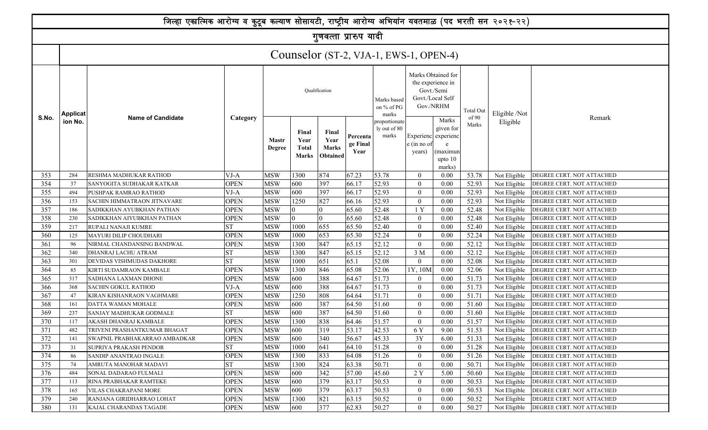|       |                                                                                                                                                                        | जिल्हा एकात्मिक आरोग्य व कुटूब कल्याण सोसायटी, राष्ट्रीय आरोग्य अभियांन यवतमाळ (पद भरती सन २०२१-२२) |             |                        |                                               |                                           |                              |                                        |                                                                    |                                                                       |                |               |                                  |  |  |
|-------|------------------------------------------------------------------------------------------------------------------------------------------------------------------------|-----------------------------------------------------------------------------------------------------|-------------|------------------------|-----------------------------------------------|-------------------------------------------|------------------------------|----------------------------------------|--------------------------------------------------------------------|-----------------------------------------------------------------------|----------------|---------------|----------------------------------|--|--|
|       |                                                                                                                                                                        |                                                                                                     |             |                        |                                               | गुणवत्ता प्रारुप यादी                     |                              |                                        |                                                                    |                                                                       |                |               |                                  |  |  |
|       |                                                                                                                                                                        |                                                                                                     |             |                        |                                               |                                           |                              | Counselor (ST-2, VJA-1, EWS-1, OPEN-4) |                                                                    |                                                                       |                |               |                                  |  |  |
|       | <b>Applicat</b>                                                                                                                                                        |                                                                                                     |             |                        |                                               | Qualification                             |                              | Marks based<br>on % of PG<br>marks     | Marks Obtained for<br>the experience in<br>Govt./Semi<br>Gov./NRHM | Govt./Local Self                                                      | Total Out      | Eligible /Not |                                  |  |  |
| S.No. | ion No.                                                                                                                                                                | <b>Name of Candidate</b>                                                                            | Category    | <b>Mastr</b><br>Degree | Final<br>Year<br><b>Total</b><br><b>Marks</b> | Final<br>Year<br><b>Marks</b><br>Obtained | Percenta<br>ge Final<br>Year | proportionate<br>ly out of 80<br>marks | Experienc<br>e (in no of<br>years)                                 | Marks<br>given for<br>experienc<br>e<br>(maximun<br>upto 10<br>marks) | of 90<br>Marks | Eligible      | Remark                           |  |  |
| 353   | 1300<br>874<br>67.23<br>RESHMA MADHUKAR RATHOD<br>$VJ-A$<br><b>MSW</b><br>53.78<br>0.00<br>53.78<br>DEGREE CERT. NOT ATTACHED<br>284<br>$\theta$<br>Not Eligible       |                                                                                                     |             |                        |                                               |                                           |                              |                                        |                                                                    |                                                                       |                |               |                                  |  |  |
| 354   | 66.17<br>52.93<br>600<br>397<br>52.93<br><b>OPEN</b><br><b>MSW</b><br>$\theta$<br>0.00<br>37<br>DEGREE CERT. NOT ATTACHED<br>SANYOGITA SUDHAKAR KATKAR<br>Not Eligible |                                                                                                     |             |                        |                                               |                                           |                              |                                        |                                                                    |                                                                       |                |               |                                  |  |  |
| 355   | 494                                                                                                                                                                    | PUSHPAK RAMRAO RATHOD                                                                               | VJ-A        | <b>MSW</b>             | 600                                           | 397                                       | 66.17                        | 52.93                                  | $\theta$                                                           | 0.00                                                                  | 52.93          | Not Eligible  | DEGREE CERT. NOT ATTACHED        |  |  |
| 356   | 153                                                                                                                                                                    | SACHIN HIMMATRAON JITNAVARE                                                                         | <b>OPEN</b> | <b>MSW</b>             | 1250                                          | 827                                       | 66.16                        | 52.93                                  | $\theta$                                                           | 0.00                                                                  | 52.93          | Not Eligible  | DEGREE CERT. NOT ATTACHED        |  |  |
| 357   | 186                                                                                                                                                                    | SADIKKHAN AYUBKHAN PATHAN                                                                           | <b>OPEN</b> | <b>MSW</b>             |                                               | $\theta$                                  | 65.60                        | 52.48                                  | 1Y                                                                 | 0.00                                                                  | 52.48          | Not Eligible  | DEGREE CERT. NOT ATTACHED        |  |  |
| 358   | 230                                                                                                                                                                    | SADIKKHAN AIYUBKHAN PATHAN                                                                          | <b>OPEN</b> | <b>MSW</b>             |                                               | $\overline{0}$                            | 65.60                        | 52.48                                  | $\theta$                                                           | 0.00                                                                  | 52.48          | Not Eligible  | <b>DEGREE CERT. NOT ATTACHED</b> |  |  |
| 359   | 217                                                                                                                                                                    | RUPALI NANAJI KUMRE                                                                                 | SТ          | <b>MSW</b>             | 1000                                          | 655                                       | 65.50                        | 52.40                                  | $\theta$                                                           | 0.00                                                                  | 52.40          | Not Eligible  | <b>DEGREE CERT. NOT ATTACHED</b> |  |  |
| 360   | 125                                                                                                                                                                    | MAYURI DILIP CHOUDHARI                                                                              | <b>OPEN</b> | <b>MSW</b>             | 1000                                          | 653                                       | 65.30                        | 52.24                                  | $\mathbf{0}$                                                       | 0.00                                                                  | 52.24          | Not Eligible  | DEGREE CERT. NOT ATTACHED        |  |  |
| 361   | 96                                                                                                                                                                     | NIRMAL CHANDANSING BANDWAL                                                                          | <b>OPEN</b> | <b>MSW</b>             | 1300                                          | 847                                       | 65.15                        | 52.12                                  | $\overline{0}$                                                     | 0.00                                                                  | 52.12          | Not Eligible  | DEGREE CERT. NOT ATTACHED        |  |  |
| 362   | 340                                                                                                                                                                    | DHANRAJ LACHU ATRAM                                                                                 | <b>ST</b>   | <b>MSW</b>             | 1300                                          | 847                                       | 65.15                        | 52.12                                  | 3 M                                                                | 0.00                                                                  | 52.12          | Not Eligible  | DEGREE CERT. NOT ATTACHED        |  |  |
| 363   | 301                                                                                                                                                                    | DEVIDAS VISHMUDAS DAKHORE                                                                           | <b>ST</b>   | <b>MSW</b>             | 1000                                          | 651                                       | 65.1                         | 52.08                                  | $\overline{0}$                                                     | 0.00                                                                  | 52.08          | Not Eligible  | DEGREE CERT. NOT ATTACHED        |  |  |
| 364   | 85                                                                                                                                                                     | KIRTI SUDAMRAON KAMBALE                                                                             | <b>OPEN</b> | <b>MSW</b>             | 1300                                          | 846                                       | 65.08                        | 52.06                                  | 1Y, 10M                                                            | 0.00                                                                  | 52.06          | Not Eligible  | DEGREE CERT. NOT ATTACHED        |  |  |
| 365   | 317                                                                                                                                                                    | SADHANA LAXMAN DHONE                                                                                | <b>OPEN</b> | <b>MSW</b>             | 600                                           | 388                                       | 64.67                        | 51.73                                  | $\overline{0}$                                                     | 0.00                                                                  | 51.73          | Not Eligible  | DEGREE CERT. NOT ATTACHED        |  |  |
| 366   | 368                                                                                                                                                                    | <b>SACHIN GOKUL RATHOD</b>                                                                          | $VJ-A$      | <b>MSW</b>             | 600                                           | 388                                       | 64.67                        | 51.73                                  | $\overline{0}$                                                     | 0.00                                                                  | 51.73          | Not Eligible  | DEGREE CERT. NOT ATTACHED        |  |  |
| 367   | 47                                                                                                                                                                     | KIRAN KISHANRAON VAGHMARE                                                                           | <b>OPEN</b> | <b>MSW</b>             | 1250                                          | 808                                       | 64.64                        | 51.71                                  | $\theta$                                                           | 0.00                                                                  | 51.71          | Not Eligible  | DEGREE CERT. NOT ATTACHED        |  |  |
| 368   | 161                                                                                                                                                                    | DATTA WAMAN MOHALE                                                                                  | <b>OPEN</b> | <b>MSW</b>             | 600                                           | 387                                       | 64.50                        | 51.60                                  | $\theta$                                                           | 0.00                                                                  | 51.60          | Not Eligible  | DEGREE CERT. NOT ATTACHED        |  |  |
| 369   | 237                                                                                                                                                                    | SANJAY MADHUKAR GODMALE                                                                             | ST          | <b>MSW</b>             | 600                                           | 387                                       | 64.50                        | 51.60                                  | $\Omega$                                                           | 0.00                                                                  | 51.60          | Not Eligible  | DEGREE CERT. NOT ATTACHED        |  |  |
| 370   | 117                                                                                                                                                                    | AKASH DHANRAJ KAMBALE                                                                               | <b>OPEN</b> | <b>MSW</b>             | 1300                                          | 838                                       | 64.46                        | 51.57                                  | $\Omega$                                                           | 0.00                                                                  | 51.57          | Not Eligible  | DEGREE CERT. NOT ATTACHED        |  |  |
| 371   | 482                                                                                                                                                                    | TRIVENI PRASHANTKUMAR BHAGAT                                                                        | OPEN        | <b>MSW</b>             | 600                                           | 319                                       | 53.17                        | 42.53                                  | 6Y                                                                 | 9.00                                                                  | 51.53          | Not Eligible  | DEGREE CERT. NOT ATTACHED        |  |  |
| 372   | 141                                                                                                                                                                    | SWAPNIL PRABHAKARRAO AMBADKAR                                                                       | <b>OPEN</b> | <b>MSW</b>             | 600                                           | 340                                       | 56.67                        | 45.33                                  | 3Y                                                                 | 6.00                                                                  | 51.33          | Not Eligible  | <b>DEGREE CERT. NOT ATTACHED</b> |  |  |
| 373   | 31                                                                                                                                                                     | SUPRIYA PRAKASH PENDOR                                                                              | ST          | MSW                    | 1000                                          | 641                                       | 64.10                        | 51.28                                  | $\overline{0}$                                                     | 0.00                                                                  | 51.28          | Not Eligible  | <b>DEGREE CERT. NOT ATTACHED</b> |  |  |
| 374   | 86                                                                                                                                                                     | SANDIP ANANTRAO INGALE                                                                              | <b>OPEN</b> | <b>MSW</b>             | 1300                                          | 833                                       | 64.08                        | 51.26                                  | $\overline{0}$                                                     | 0.00                                                                  | 51.26          | Not Eligible  | <b>DEGREE CERT. NOT ATTACHED</b> |  |  |
| 375   | 74                                                                                                                                                                     | AMRUTA MANOHAR MADAVI                                                                               | ST          | <b>MSW</b>             | 1300                                          | 824                                       | 63.38                        | 50.71                                  | $\theta$                                                           | 0.00                                                                  | 50.71          | Not Eligible  | DEGREE CERT. NOT ATTACHED        |  |  |
| 376   | 484                                                                                                                                                                    | SONAL DADARAO FULMALI                                                                               | <b>OPEN</b> | <b>MSW</b>             | 600                                           | 342                                       | 57.00                        | 45.60                                  | 2Y                                                                 | 5.00                                                                  | 50.60          | Not Eligible  | DEGREE CERT. NOT ATTACHED        |  |  |
| 377   | 113                                                                                                                                                                    | RINA PRABHAKAR RAMTEKE                                                                              | <b>OPEN</b> | <b>MSW</b>             | 600                                           | 379                                       | 63.17                        | 50.53                                  | $\theta$                                                           | 0.00                                                                  | 50.53          | Not Eligible  | DEGREE CERT. NOT ATTACHED        |  |  |
| 378   | 165                                                                                                                                                                    | VILAS CHAKRAPANI MORE                                                                               | <b>OPEN</b> | <b>MSW</b>             | 600                                           | 379                                       | 63.17                        | 50.53                                  | $\overline{0}$                                                     | 0.00                                                                  | 50.53          | Not Eligible  | DEGREE CERT. NOT ATTACHED        |  |  |
| 379   | 240                                                                                                                                                                    | RANJANA GIRIDHARRAO LOHAT                                                                           | <b>OPEN</b> | <b>MSW</b>             | 1300                                          | 821                                       | 63.15                        | 50.52                                  | $\overline{0}$                                                     | 0.00                                                                  | 50.52          | Not Eligible  | DEGREE CERT. NOT ATTACHED        |  |  |
| 380   | 131                                                                                                                                                                    | KAJAL CHARANDAS TAGADE                                                                              | <b>OPEN</b> | <b>MSW</b>             | 600                                           | 377                                       | 62.83                        | 50.27                                  | $\theta$                                                           | 0.00                                                                  | 50.27          | Not Eligible  | DEGREE CERT. NOT ATTACHED        |  |  |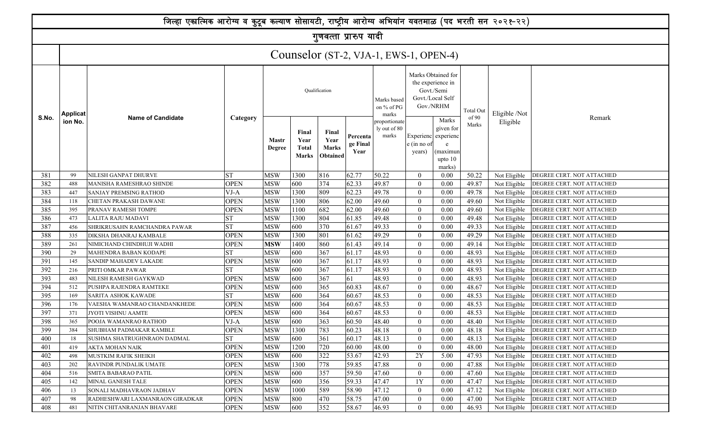|       |                                                                                                                                                                                                                                                                                                                                          | जिल्हा एकात्मिक आरोग्य व कुटूब कल्याण सोसायटी, राष्ट्रीय आरोग्य अभियांन यवतमाळ (पद भरती सन २०२१-२२) |             |                        |                                               |                                           |                              |                                        |                                    |                                                                           |                |               |                                  |  |  |
|-------|------------------------------------------------------------------------------------------------------------------------------------------------------------------------------------------------------------------------------------------------------------------------------------------------------------------------------------------|-----------------------------------------------------------------------------------------------------|-------------|------------------------|-----------------------------------------------|-------------------------------------------|------------------------------|----------------------------------------|------------------------------------|---------------------------------------------------------------------------|----------------|---------------|----------------------------------|--|--|
|       |                                                                                                                                                                                                                                                                                                                                          |                                                                                                     |             |                        |                                               | गुणवत्ता प्रारुप यादी                     |                              |                                        |                                    |                                                                           |                |               |                                  |  |  |
|       |                                                                                                                                                                                                                                                                                                                                          |                                                                                                     |             |                        |                                               |                                           |                              | Counselor (ST-2, VJA-1, EWS-1, OPEN-4) |                                    |                                                                           |                |               |                                  |  |  |
|       | <b>Applicat</b>                                                                                                                                                                                                                                                                                                                          |                                                                                                     |             |                        |                                               | Qualification                             |                              | Marks based<br>on % of PG<br>marks     | Gov./NRHM                          | Marks Obtained for<br>the experience in<br>Govt./Semi<br>Govt./Local Self | Total Out      | Eligible /Not |                                  |  |  |
| S.No. | ion No.                                                                                                                                                                                                                                                                                                                                  | <b>Name of Candidate</b>                                                                            | Category    | <b>Mastr</b><br>Degree | Final<br>Year<br><b>Total</b><br><b>Marks</b> | Final<br>Year<br><b>Marks</b><br>Obtained | Percenta<br>ge Final<br>Year | proportionate<br>ly out of 80<br>marks | Experienc<br>e (in no of<br>years) | Marks<br>given for<br>experienc<br>e<br>(maximun<br>upto 10<br>marks)     | of 90<br>Marks | Eligible      | Remark                           |  |  |
| 381   | 1300<br>816<br>62.77<br>NILESH GANPAT DHURVE<br><b>ST</b><br><b>MSW</b><br>50.22<br>0.00<br>50.22<br>DEGREE CERT. NOT ATTACHED<br>99<br>$\theta$<br>Not Eligible                                                                                                                                                                         |                                                                                                     |             |                        |                                               |                                           |                              |                                        |                                    |                                                                           |                |               |                                  |  |  |
| 382   | 374<br>600<br>62.33<br>49.87<br><b>OPEN</b><br><b>MSW</b><br>$\theta$<br>0.00<br>49.87<br>488<br>MANISHA RAMESHRAO SHINDE<br>DEGREE CERT. NOT ATTACHED<br>Not Eligible                                                                                                                                                                   |                                                                                                     |             |                        |                                               |                                           |                              |                                        |                                    |                                                                           |                |               |                                  |  |  |
| 383   | 809<br>62.23<br>49.78<br>$VJ-A$<br><b>MSW</b><br>1300<br>0.00<br>49.78<br>447<br>$\theta$<br>DEGREE CERT. NOT ATTACHED<br>SANJAY PREMSING RATHOD<br>Not Eligible<br>49.60<br>806<br>62.00<br>49.60<br><b>OPEN</b><br><b>MSW</b><br>1300<br>$\theta$<br>0.00<br>DEGREE CERT. NOT ATTACHED<br>118<br>CHETAN PRAKASH DAWANE<br>Not Eligible |                                                                                                     |             |                        |                                               |                                           |                              |                                        |                                    |                                                                           |                |               |                                  |  |  |
| 384   |                                                                                                                                                                                                                                                                                                                                          |                                                                                                     |             |                        |                                               |                                           |                              |                                        |                                    |                                                                           |                |               |                                  |  |  |
| 385   | 395                                                                                                                                                                                                                                                                                                                                      | PRANAV RAMESH TOMPE                                                                                 | <b>OPEN</b> | <b>MSW</b>             | 1100                                          | 682                                       | 62.00                        | 49.60                                  | $\theta$                           | 0.00                                                                      | 49.60          | Not Eligible  | DEGREE CERT. NOT ATTACHED        |  |  |
| 386   | 473                                                                                                                                                                                                                                                                                                                                      | LALITA RAJU MADAVI                                                                                  | <b>ST</b>   | <b>MSW</b>             | 1300                                          | 804                                       | 61.85                        | 49.48                                  | $\theta$                           | 0.00                                                                      | 49.48          | Not Eligible  | <b>DEGREE CERT. NOT ATTACHED</b> |  |  |
| 387   | 456                                                                                                                                                                                                                                                                                                                                      | SHRIKRUSAHN RAMCHANDRA PAWAR                                                                        | <b>ST</b>   | <b>MSW</b>             | 600                                           | 370                                       | 61.67                        | 49.33                                  | $\theta$                           | 0.00                                                                      | 49.33          | Not Eligible  | DEGREE CERT. NOT ATTACHED        |  |  |
| 388   | 335                                                                                                                                                                                                                                                                                                                                      | DIKSHA DHANRAJ KAMBALE                                                                              | <b>OPEN</b> | <b>MSW</b>             | 1300                                          | 801                                       | 61.62                        | 49.29                                  | $\theta$                           | 0.00                                                                      | 49.29          | Not Eligible  | DEGREE CERT. NOT ATTACHED        |  |  |
| 389   | 261                                                                                                                                                                                                                                                                                                                                      | NIMICHAND CHINDHUJI WADHI                                                                           | <b>OPEN</b> | <b>MSW</b>             | 1400                                          | 860                                       | 61.43                        | 49.14                                  | $\theta$                           | 0.00                                                                      | 49.14          | Not Eligible  | DEGREE CERT. NOT ATTACHED        |  |  |
| 390   | 29                                                                                                                                                                                                                                                                                                                                       | MAHENDRA BABAN KODAPE                                                                               | <b>ST</b>   | <b>MSW</b>             | 600                                           | 367                                       | 61.17                        | 48.93                                  | $\theta$                           | 0.00                                                                      | 48.93          | Not Eligible  | DEGREE CERT. NOT ATTACHED        |  |  |
| 391   | 145                                                                                                                                                                                                                                                                                                                                      | SANDIP MAHADEV LAKADE                                                                               | <b>OPEN</b> | <b>MSW</b>             | 600                                           | 367                                       | 61.17                        | 48.93                                  | $\theta$                           | 0.00                                                                      | 48.93          | Not Eligible  | DEGREE CERT. NOT ATTACHED        |  |  |
| 392   | 216                                                                                                                                                                                                                                                                                                                                      | PRITI OMKAR PAWAR                                                                                   | <b>ST</b>   | <b>MSW</b>             | 600                                           | 367                                       | 61.17                        | 48.93                                  | $\theta$                           | 0.00                                                                      | 48.93          | Not Eligible  | DEGREE CERT. NOT ATTACHED        |  |  |
| 393   | 483                                                                                                                                                                                                                                                                                                                                      | NILESH RAMESH GAYKWAD                                                                               | <b>OPEN</b> | <b>MSW</b>             | 600                                           | 367                                       | 61                           | 48.93                                  | $\theta$                           | 0.00                                                                      | 48.93          | Not Eligible  | DEGREE CERT. NOT ATTACHED        |  |  |
| 394   | 512                                                                                                                                                                                                                                                                                                                                      | PUSHPA RAJENDRA RAMTEKE                                                                             | <b>OPEN</b> | <b>MSW</b>             | 600                                           | 365                                       | 60.83                        | 48.67                                  | $\theta$                           | 0.00                                                                      | 48.67          | Not Eligible  | DEGREE CERT. NOT ATTACHED        |  |  |
| 395   | 169                                                                                                                                                                                                                                                                                                                                      | SARITA ASHOK KAWADE                                                                                 | ST          | <b>MSW</b>             | 600                                           | 364                                       | 60.67                        | 48.53                                  | $\theta$                           | 0.00                                                                      | 48.53          | Not Eligible  | DEGREE CERT. NOT ATTACHED        |  |  |
| 396   | 176                                                                                                                                                                                                                                                                                                                                      | VAESHA WAMANRAO CHANDANKHEDE                                                                        | <b>OPEN</b> | <b>MSW</b>             | 600                                           | 364                                       | 60.67                        | 48.53                                  | $\theta$                           | 0.00                                                                      | 48.53          | Not Eligible  | DEGREE CERT. NOT ATTACHED        |  |  |
| 397   | 371                                                                                                                                                                                                                                                                                                                                      | IYOTI VISHNU AAMTE                                                                                  | <b>OPEN</b> | <b>MSW</b>             | 600                                           | 364                                       | 60.67                        | 48.53                                  | $\Omega$                           | 0.00                                                                      | 48.53          | Not Eligible  | DEGREE CERT. NOT ATTACHED        |  |  |
| 398   | 365                                                                                                                                                                                                                                                                                                                                      | POOJA WAMANRAO RATHOD                                                                               | $VJ-A$      | <b>MSW</b>             | 600                                           | 363                                       | 60.50                        | 48.40                                  | $\Omega$                           | 0.00                                                                      | 48.40          | Not Eligible  | DEGREE CERT. NOT ATTACHED        |  |  |
| 399   | 384                                                                                                                                                                                                                                                                                                                                      | <b>SHUBHAM PADMAKAR KAMBLE</b>                                                                      | OPEN        | <b>MSW</b>             | 1300                                          | 783                                       | 60.23                        | 48.18                                  | $\overline{0}$                     | 0.00                                                                      | 48.18          | Not Eligible  | DEGREE CERT. NOT ATTACHED        |  |  |
| 400   | 18                                                                                                                                                                                                                                                                                                                                       | SUSHMA SHATRUGHNRAON DADMAL                                                                         | SТ          | <b>MSW</b>             | 600                                           | 361                                       | 60.17                        | 48.13                                  | $\overline{0}$                     | 0.00                                                                      | 48.13          | Not Eligible  | DEGREE CERT. NOT ATTACHED        |  |  |
| 401   | 419                                                                                                                                                                                                                                                                                                                                      | AKTA MOHAN NAIK                                                                                     | <b>OPEN</b> | <b>MSW</b>             | 1200                                          | 720                                       | 60.00                        | 48.00                                  | $\overline{0}$                     | 0.00                                                                      | 48.00          | Not Eligible  | <b>DEGREE CERT. NOT ATTACHED</b> |  |  |
| 402   | 498                                                                                                                                                                                                                                                                                                                                      | MUSTKIM RAFIK SHEIKH                                                                                | <b>OPEN</b> | <b>MSW</b>             | 600                                           | 322                                       | 53.67                        | 42.93                                  | 2Y                                 | 5.00                                                                      | 47.93          | Not Eligible  | <b>DEGREE CERT. NOT ATTACHED</b> |  |  |
| 403   | 202                                                                                                                                                                                                                                                                                                                                      | RAVINDR PUNDALIK UMATE                                                                              | <b>OPEN</b> | <b>MSW</b>             | 1300                                          | 778                                       | 59.85                        | 47.88                                  | $\theta$                           | 0.00                                                                      | 47.88          | Not Eligible  | <b>DEGREE CERT. NOT ATTACHED</b> |  |  |
| 404   | 516                                                                                                                                                                                                                                                                                                                                      | <b>SMITA BABARAO PATIL</b>                                                                          | <b>OPEN</b> | <b>MSW</b>             | 600                                           | 357                                       | 59.50                        | 47.60                                  | $\theta$                           | 0.00                                                                      | 47.60          | Not Eligible  | DEGREE CERT. NOT ATTACHED        |  |  |
| 405   | 142                                                                                                                                                                                                                                                                                                                                      | MINAL GANESH TALE                                                                                   | <b>OPEN</b> | <b>MSW</b>             | 600                                           | 356                                       | 59.33                        | 47.47                                  | 1Y                                 | 0.00                                                                      | 47.47          | Not Eligible  | DEGREE CERT. NOT ATTACHED        |  |  |
| 406   | 13                                                                                                                                                                                                                                                                                                                                       | SONALI MADHAVRAON JADHAV                                                                            | <b>OPEN</b> | <b>MSW</b>             | 1000                                          | 589                                       | 58.90                        | 47.12                                  | $\overline{0}$                     | 0.00                                                                      | 47.12          | Not Eligible  | DEGREE CERT. NOT ATTACHED        |  |  |
| 407   | 98                                                                                                                                                                                                                                                                                                                                       | RADHESHWARI LAXMANRAON GIRADKAR                                                                     | <b>OPEN</b> | <b>MSW</b>             | 800                                           | 470                                       | 58.75                        | 47.00                                  | $\theta$                           | 0.00                                                                      | 47.00          | Not Eligible  | DEGREE CERT. NOT ATTACHED        |  |  |
| 408   | 481                                                                                                                                                                                                                                                                                                                                      | NITIN CHITANRANJAN BHAVARE                                                                          | <b>OPEN</b> | <b>MSW</b>             | 600                                           | 352                                       | 58.67                        | 46.93                                  | $\theta$                           | 0.00                                                                      | 46.93          | Not Eligible  | DEGREE CERT. NOT ATTACHED        |  |  |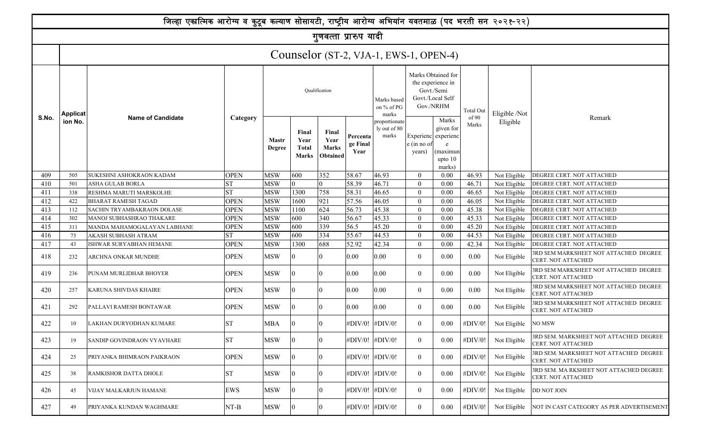|            |                 | जिल्हा एकात्मिक आरोग्य व कुटूब कल्याण सोसायटी, राष्ट्रीय आरोग्य अभियांन यवतमाळ (पद भरती सन २०२१-२२) |                            |                               |                                               |                                           |                              |                                        |                            |                                                                                        |                |                              |                                                                                          |
|------------|-----------------|-----------------------------------------------------------------------------------------------------|----------------------------|-------------------------------|-----------------------------------------------|-------------------------------------------|------------------------------|----------------------------------------|----------------------------|----------------------------------------------------------------------------------------|----------------|------------------------------|------------------------------------------------------------------------------------------|
|            |                 |                                                                                                     |                            |                               |                                               |                                           | गुणवत्ता प्रारुप यादी        |                                        |                            |                                                                                        |                |                              |                                                                                          |
|            |                 |                                                                                                     |                            |                               |                                               |                                           |                              | Counselor (ST-2, VJA-1, EWS-1, OPEN-4) |                            |                                                                                        |                |                              |                                                                                          |
|            | <b>Applicat</b> |                                                                                                     |                            |                               |                                               | Qualification                             |                              | Marks based<br>on % of PG<br>marks     |                            | Marks Obtained for<br>the experience in<br>Govt./Semi<br>Govt./Local Self<br>Gov./NRHM | Total Out      | Eligible /Not                |                                                                                          |
| S.No.      | ion No.         | <b>Name of Candidate</b>                                                                            | Category                   | <b>Mastr</b><br><b>Degree</b> | Final<br>Year<br><b>Total</b><br><b>Marks</b> | Final<br>Year<br><b>Marks</b><br>Obtained | Percenta<br>ge Final<br>Year | proportionate<br>ly out of 80<br>marks | e (in no of<br>years)      | Marks<br>given for<br>Experienc experienc<br>e<br>(maximun<br>upto 10<br>marks)        | of 90<br>Marks | Eligible                     | Remark                                                                                   |
| 409        | 505             | <b>SUKESHNI ASHOKRAON KADAM</b>                                                                     | <b>OPEN</b>                | <b>MSW</b>                    | 600                                           | 352                                       | 58.67                        | 46.93                                  | $\theta$                   | 0.00                                                                                   | 46.93          | Not Eligible                 | DEGREE CERT. NOT ATTACHED                                                                |
| 410        | 501             | ASHA GULAB BORLA                                                                                    | <b>ST</b>                  | <b>MSW</b>                    |                                               |                                           | 58.39                        | 46.71                                  | $\theta$                   | 0.00                                                                                   | 46.71          | Not Eligible                 | DEGREE CERT. NOT ATTACHED                                                                |
| 411        | 338             | RESHMA MARUTI MARSKOLHE                                                                             | <b>ST</b>                  | <b>MSW</b>                    | 1300                                          | 758                                       | 58.31                        | 46.65                                  | $\theta$                   | 0.00                                                                                   | 46.65          | Not Eligible                 | DEGREE CERT. NOT ATTACHED                                                                |
| 412        | 422             | <b>BHARAT RAMESH TAGAD</b>                                                                          | <b>OPEN</b>                | <b>MSW</b>                    | 1600                                          | 921                                       | 57.56                        | 46.05                                  | $\theta$                   | 0.00                                                                                   | 46.05          | Not Eligible                 | DEGREE CERT. NOT ATTACHED                                                                |
| 413        | 112             | <b>SACHIN TRYAMBAKRAON DOLASE</b>                                                                   | <b>OPEN</b>                | <b>MSW</b>                    | 1100                                          | 624                                       | 56.73                        | 45.38                                  | $\theta$                   | 0.00                                                                                   | 45.38          | Not Eligible                 | DEGREE CERT. NOT ATTACHED                                                                |
| 414        | 302             | MANOJ SUBHASHRAO THAKARE                                                                            | <b>OPEN</b>                | <b>MSW</b>                    | 600                                           | 340                                       | 56.67                        | 45.33                                  | $\theta$                   | 0.00                                                                                   | 45.33          | Not Eligible                 | <b>DEGREE CERT. NOT ATTACHED</b>                                                         |
| 415        | 311             | MANDA MAHAMOGALAYAN LABHANE                                                                         | <b>OPEN</b>                | <b>MSW</b>                    | 600                                           | 339                                       | 56.5                         | 45.20                                  | $\theta$                   | 0.00                                                                                   | 45.20          | Not Eligible                 | <b>DEGREE CERT. NOT ATTACHED</b>                                                         |
| 416        | 73              | AKASH SUBHASH ATRAM                                                                                 | <b>ST</b>                  | <b>MSW</b>                    | 600                                           | 334                                       | 55.67                        | 44.53                                  | $\theta$                   | 0.00                                                                                   | 44.53          | Not Eligible                 | DEGREE CERT. NOT ATTACHED                                                                |
| 417<br>418 | 43<br>232       | ISHWAR SURYABHAN HEMANE<br><b>ARCHNA ONKAR MUNDHE</b>                                               | <b>OPEN</b><br><b>OPEN</b> | <b>MSW</b><br><b>MSW</b>      | 1300                                          | 688                                       | 52.92<br>0.00                | 42.34<br>0.00                          | $\theta$<br>$\overline{0}$ | 0.00<br>0.00                                                                           | 42.34<br>0.00  | Not Eligible<br>Not Eligible | DEGREE CERT. NOT ATTACHED<br>3RD SEM MARKSHEET NOT ATTACHED DEGREE<br>CERT. NOT ATTACHED |
| 419        | 236             | PUNAM MURLIDHAR BHOYER                                                                              | <b>OPEN</b>                | <b>MSW</b>                    |                                               |                                           | 0.00                         | 0.00                                   | $\theta$                   | 0.00                                                                                   | 0.00           | Not Eligible                 | 3RD SEM MARKSHEET NOT ATTACHED DEGREE<br>CERT. NOT ATTACHED                              |
| 420        | 257             | <b>KARUNA SHIVDAS KHAIRE</b>                                                                        | <b>OPEN</b>                | <b>MSW</b>                    |                                               |                                           | 0.00                         | 0.00                                   | $\theta$                   | 0.00                                                                                   | 0.00           | Not Eligible                 | 3RD SEM MARKSHEET NOT ATTACHED DEGREE<br>CERT. NOT ATTACHED                              |
| 421        | 292             | PALLAVI RAMESH BONTAWAR                                                                             | <b>OPEN</b>                | <b>MSW</b>                    |                                               |                                           | 0.00                         | 0.00                                   | $\theta$                   | 0.00                                                                                   | 0.00           | Not Eligible                 | 3RD SEM MARKSHEET NOT ATTACHED DEGREE<br>CERT. NOT ATTACHED                              |
| 422        | 10              | LAKHAN DURYODHAN KUMARE                                                                             | <b>ST</b>                  | <b>MBA</b>                    |                                               |                                           | #DIV/0! #DIV/0!              |                                        | $\theta$                   | 0.00                                                                                   | $\#$ DIV/0!    | Not Eligible NO MSW          |                                                                                          |
| 423        | 19              | SANDIP GOVINDRAON VYAVHARE                                                                          | <b>ST</b>                  | <b>MSW</b>                    |                                               | 0                                         | #DIV/0! #DIV/0!              |                                        | $\theta$                   | 0.00                                                                                   | #DIV/0!        | Not Eligible                 | 3RD SEM. MARKSHEET NOT ATTACHED DEGREE<br>CERT. NOT ATTACHED                             |
| 424        | 25              | PRIYANKA BHIMRAON PAIKRAON                                                                          | <b>OPEN</b>                | <b>MSW</b>                    | 0                                             | $\theta$                                  | #DIV/0!  #DIV/0!             |                                        | $\overline{0}$             | 0.00                                                                                   | #DIV/0!        | Not Eligible                 | 3RD SEM. MARKSHEET NOT ATTACHED DEGREE<br>CERT. NOT ATTACHED                             |
| 425        | 38              | RAMKISHOR DATTA DHOLE                                                                               | <b>ST</b>                  | <b>MSW</b>                    |                                               |                                           | #DIV/0!                      | #DIV/0!                                | $\overline{0}$             | 0.00                                                                                   | #DIV/0!        | Not Eligible                 | 3RD SEM. MA RKSHEET NOT ATTACHED DEGREE<br>CERT. NOT ATTACHED                            |
| 426        | 45              | VIJAY MALKARJUN HAMANE                                                                              | EWS                        | <b>MSW</b>                    |                                               |                                           | #DIV/0!                      | #DIV/0!                                | $\overline{0}$             | 0.00                                                                                   | #DIV/0!        | Not Eligible                 | <b>DD NOT JOIN</b>                                                                       |
| 427        | 49              | PRIYANKA KUNDAN WAGHMARE                                                                            | $NT-B$                     | <b>MSW</b>                    |                                               |                                           | #DIV/0!                      | #DIV/0!                                | $\overline{0}$             | 0.00                                                                                   | #DIV/0!        | Not Eligible                 | NOT IN CAST CATEGORY AS PER ADVERTISEMENT                                                |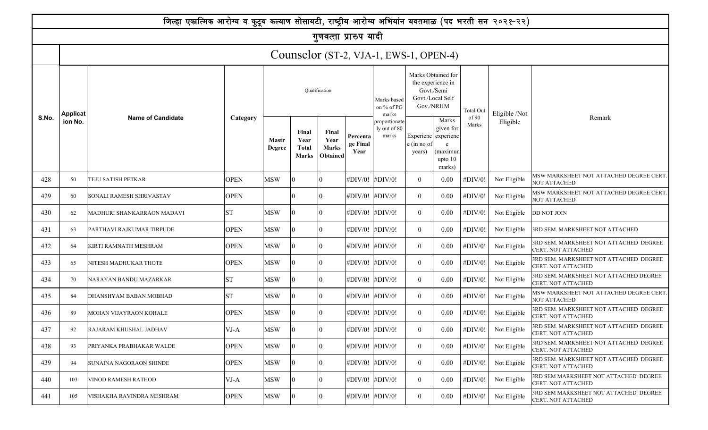|       |                 | जिल्हा एकात्मिक आरोग्य व कुटूब कल्याण सोसायटी, राष्ट्रीय आरोग्य अभियांन यवतमाळ (पद भरती सन २०२१-२२) |             |                               |                                               |                                                  |                              |                                        |                       |                                                                                        |                |               |                                                                |
|-------|-----------------|-----------------------------------------------------------------------------------------------------|-------------|-------------------------------|-----------------------------------------------|--------------------------------------------------|------------------------------|----------------------------------------|-----------------------|----------------------------------------------------------------------------------------|----------------|---------------|----------------------------------------------------------------|
|       |                 |                                                                                                     |             |                               |                                               | गुणवत्ता प्रारुप यादी                            |                              |                                        |                       |                                                                                        |                |               |                                                                |
|       |                 |                                                                                                     |             |                               |                                               |                                                  |                              | Counselor (ST-2, VJA-1, EWS-1, OPEN-4) |                       |                                                                                        |                |               |                                                                |
|       | <b>Applicat</b> |                                                                                                     |             |                               |                                               | Qualification                                    |                              | Marks based<br>on % of PG<br>marks     |                       | Marks Obtained for<br>the experience in<br>Govt./Semi<br>Govt./Local Self<br>Gov./NRHM | Total Out      | Eligible /Not |                                                                |
| S.No. | ion No.         | <b>Name of Candidate</b>                                                                            | Category    | <b>Mastr</b><br><b>Degree</b> | Final<br>Year<br><b>Total</b><br><b>Marks</b> | Final<br>Year<br><b>Marks</b><br><b>Obtained</b> | Percenta<br>ge Final<br>Year | proportionate<br>ly out of 80<br>marks | e (in no of<br>years) | Marks<br>given for<br>Experienc experienc<br>(maximun<br>upto 10<br>marks)             | of 90<br>Marks | Eligible      | Remark                                                         |
| 428   | 50              | TEJU SATISH PETKAR                                                                                  | <b>OPEN</b> | <b>MSW</b>                    |                                               |                                                  | #DIV/0!                      | #DIV/0!                                | $\theta$              | 0.00                                                                                   | #DIV/0!        | Not Eligible  | MSW MARKSHEET NOT ATTACHED DEGREE CERT<br><b>NOT ATTACHED</b>  |
| 429   | 60              | SONALI RAMESH SHRIVASTAV                                                                            | <b>OPEN</b> |                               |                                               |                                                  | #DIV/0!                      | #DIV/0!                                | $\mathbf{0}$          | 0.00                                                                                   | #DIV/0!        | Not Eligible  | MSW MARKSHEET NOT ATTACHED DEGREE CERT.<br><b>NOT ATTACHED</b> |
| 430   | 62              | MADHURI SHANKARRAON MADAVI                                                                          | <b>ST</b>   | <b>MSW</b>                    |                                               |                                                  | #DIV/0!                      | #DIV/0!                                | $\mathbf{0}$          | 0.00                                                                                   | #DIV/0!        | Not Eligible  | DD NOT JOIN                                                    |
| 431   | 63              | PARTHAVI RAJKUMAR TIRPUDE                                                                           | <b>OPEN</b> | MSW                           |                                               |                                                  | #DIV/0!                      | #DIV/0!                                | $\mathbf{0}$          | 0.00                                                                                   | #DIV/0!        | Not Eligible  | 3RD SEM. MARKSHEET NOT ATTACHED                                |
| 432   | 64              | KIRTI RAMNATH MESHRAM                                                                               | <b>OPEN</b> | <b>MSW</b>                    |                                               |                                                  | #DIV/0!                      | #DIV/0!                                | $\overline{0}$        | 0.00                                                                                   | #DIV/0!        | Not Eligible  | 3RD SEM. MARKSHEET NOT ATTACHED DEGREE<br>CERT. NOT ATTACHED   |
| 433   | 65              | NITESH MADHUKAR THOTE                                                                               | <b>OPEN</b> | <b>MSW</b>                    |                                               |                                                  | #DIV/0!                      | #DIV/0!                                | $\overline{0}$        | 0.00                                                                                   | #DIV/0!        | Not Eligible  | 3RD SEM. MARKSHEET NOT ATTACHED DEGREE<br>CERT. NOT ATTACHED   |
| 434   | 70              | NARAYAN BANDU MAZARKAR                                                                              | ST          | MSW                           |                                               |                                                  | #DIV/0!                      | #DIV/0!                                | $\theta$              | 0.00                                                                                   | #DIV/0!        | Not Eligible  | 3RD SEM. MARKSHEET NOT ATTACHED DEGREE<br>CERT. NOT ATTACHED   |
| 435   | 84              | DHANSHYAM BABAN MOBHAD                                                                              | <b>ST</b>   | MSW                           |                                               |                                                  | #DIV/0!                      | #DIV/0!                                | $\theta$              | 0.00                                                                                   | #DIV/0!        | Not Eligible  | MSW MARKSHEET NOT ATTACHED DEGREE CERT<br><b>NOT ATTACHED</b>  |
| 436   | 89              | MOHAN VIJAYRAON KOHALE                                                                              | <b>OPEN</b> | <b>MSW</b>                    |                                               |                                                  | #DIV/0!                      | #DIV/0!                                | $\theta$              | 0.00                                                                                   | #DIV/0!        | Not Eligible  | 3RD SEM. MARKSHEET NOT ATTACHED DEGREE<br>CERT. NOT ATTACHED   |
| 437   | 92              | RAJARAM KHUSHAL JADHAV                                                                              | $VJ-A$      | <b>MSW</b>                    | $\mathbf{0}$                                  | Ю                                                | #DIV/0! #DIV/0!              |                                        | $\boldsymbol{0}$      | $0.00\,$                                                                               | $\#$ DIV/0!    | Not Eligible  | 3RD SEM. MARKSHEET NOT ATTACHED DEGREE<br>CERT. NOT ATTACHED   |
| 438   | 93              | PRIYANKA PRABHAKAR WALDE                                                                            | <b>OPEN</b> | MSW                           | 10.                                           |                                                  | #DIV/0! #DIV/0!              |                                        | $\overline{0}$        | $0.00\,$                                                                               | #DIV/0!        | Not Eligible  | 3RD SEM. MARKSHEET NOT ATTACHED DEGREE<br>CERT. NOT ATTACHED   |
| 439   | 94              | SUNAINA NAGORAON SHINDE                                                                             | <b>OPEN</b> | MSW                           | 10.                                           |                                                  | #DIV/0! #DIV/0!              |                                        | $\overline{0}$        | $0.00\,$                                                                               | #DIV/0!        | Not Eligible  | 3RD SEM. MARKSHEET NOT ATTACHED DEGREE<br>CERT. NOT ATTACHED   |
| 440   | 103             | VINOD RAMESH RATHOD                                                                                 | $VJ-A$      | <b>MSW</b>                    | 10.                                           |                                                  | #DIV/0!  #DIV/0!             |                                        | $\overline{0}$        | $0.00\,$                                                                               | #DIV/0!        | Not Eligible  | 3RD SEM MARKSHEET NOT ATTACHED DEGREE<br>CERT. NOT ATTACHED    |
| 441   | 105             | VISHAKHA RAVINDRA MESHRAM                                                                           | <b>OPEN</b> | <b>MSW</b>                    |                                               |                                                  | #DIV/0! #DIV/0!              |                                        | $\overline{0}$        | $0.00\,$                                                                               | #DIV/0!        | Not Eligible  | 3RD SEM MARKSHEET NOT ATTACHED DEGREE<br>CERT. NOT ATTACHED    |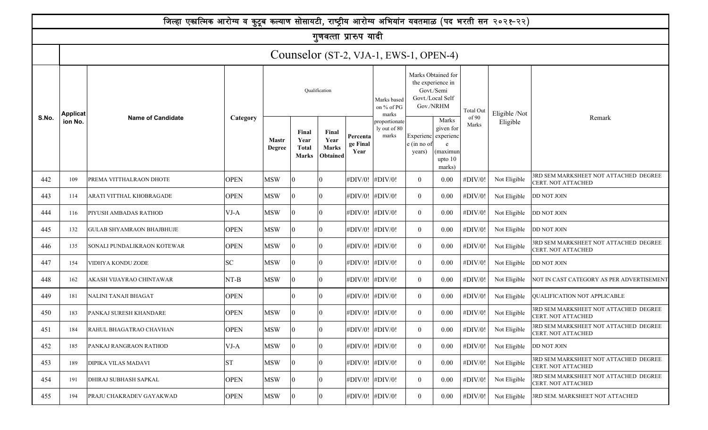|       |                 |                                  | जिल्हा एकात्मिक आरोग्य व कुटूब कल्याण सोसायटी, राष्ट्रीय आरोग्य अभियांन यवतमाळ (पद भरती सन २०२१-२२) |                               |                                               |                                                  |                              |                                        |                       |                                                                                        |                |               |                                                              |
|-------|-----------------|----------------------------------|-----------------------------------------------------------------------------------------------------|-------------------------------|-----------------------------------------------|--------------------------------------------------|------------------------------|----------------------------------------|-----------------------|----------------------------------------------------------------------------------------|----------------|---------------|--------------------------------------------------------------|
|       |                 |                                  |                                                                                                     |                               |                                               | गुणवत्ता प्रारुप यादी                            |                              |                                        |                       |                                                                                        |                |               |                                                              |
|       |                 |                                  |                                                                                                     |                               |                                               |                                                  |                              | Counselor (ST-2, VJA-1, EWS-1, OPEN-4) |                       |                                                                                        |                |               |                                                              |
|       | <b>Applicat</b> |                                  |                                                                                                     |                               |                                               | Qualification                                    |                              | Marks based<br>on % of PG<br>marks     |                       | Marks Obtained for<br>the experience in<br>Govt./Semi<br>Govt./Local Self<br>Gov./NRHM | Total Out      | Eligible /Not |                                                              |
| S.No. | ion No.         | <b>Name of Candidate</b>         | Category                                                                                            | <b>Mastr</b><br><b>Degree</b> | Final<br>Year<br><b>Total</b><br><b>Marks</b> | Final<br>Year<br><b>Marks</b><br><b>Obtained</b> | Percenta<br>ge Final<br>Year | proportionate<br>ly out of 80<br>marks | e (in no of<br>years) | Marks<br>given for<br>Experienc experienc<br>(maximun<br>upto $10$<br>marks)           | of 90<br>Marks | Eligible      | Remark                                                       |
| 442   | 109             | PREMA VITTHALRAON DHOTE          | <b>OPEN</b>                                                                                         | <b>MSW</b>                    |                                               |                                                  | #DIV/0!                      | #DIV/0!                                | $\mathbf{0}$          | 0.00                                                                                   | #DIV/0!        | Not Eligible  | 3RD SEM MARKSHEET NOT ATTACHED DEGREE<br>CERT. NOT ATTACHED  |
| 443   | 114             | ARATI VITTHAL KHOBRAGADE         | <b>OPEN</b>                                                                                         | <b>MSW</b>                    |                                               |                                                  | #DIV/0!                      | #DIV/0!                                | $\mathbf{0}$          | 0.00                                                                                   | #DIV/0!        | Not Eligible  | DD NOT JOIN                                                  |
| 444   | 116             | PIYUSH AMBADAS RATHOD            | $VJ-A$                                                                                              | <b>MSW</b>                    |                                               |                                                  | #DIV/0!                      | #DIV/0!                                | $\mathbf{0}$          | 0.00                                                                                   | #DIV/0!        | Not Eligible  | DD NOT JOIN                                                  |
| 445   | 132             | <b>GULAB SHYAMRAON BHAJBHUJE</b> | <b>OPEN</b>                                                                                         | MSW                           |                                               |                                                  | #DIV/0!                      | #DIV/0!                                | $\mathbf{0}$          | 0.00                                                                                   | #DIV/0!        | Not Eligible  | DD NOT JOIN                                                  |
| 446   | 135             | SONALI PUNDALIKRAON KOTEWAR      | <b>OPEN</b>                                                                                         | <b>MSW</b>                    |                                               |                                                  | #DIV/0!                      | #DIV/0!                                | $\overline{0}$        | 0.00                                                                                   | #DIV/0!        | Not Eligible  | 3RD SEM MARKSHEET NOT ATTACHED DEGREE<br>CERT. NOT ATTACHED  |
| 447   | 154             | VIDHYA KONDU ZODE                | SC                                                                                                  | MSW                           |                                               |                                                  | #DIV/0!                      | #DIV/0!                                | $\overline{0}$        | 0.00                                                                                   | #DIV/0!        | Not Eligible  | DD NOT JOIN                                                  |
| 448   | 162             | AKASH VIJAYRAO CHINTAWAR         | $NT-B$                                                                                              | MSW                           |                                               |                                                  | #DIV/0!                      | #DIV/0!                                | $\overline{0}$        | 0.00                                                                                   | #DIV/0!        | Not Eligible  | NOT IN CAST CATEGORY AS PER ADVERTISEMENT                    |
| 449   | 181             | <b>NALINI TANAJI BHAGAT</b>      | <b>OPEN</b>                                                                                         |                               |                                               |                                                  | #DIV/0!                      | #DIV/0!                                | $\overline{0}$        | 0.00                                                                                   | #DIV/0!        | Not Eligible  | <b>QUALIFICATION NOT APPLICABLE</b>                          |
| 450   | 183             | PANKAJ SURESH KHANDARE           | <b>OPEN</b>                                                                                         | <b>MSW</b>                    |                                               |                                                  | #DIV/0!                      | #DIV/0!                                | $\theta$              | 0.00                                                                                   | #DIV/0!        | Not Eligible  | 3RD SEM MARKSHEET NOT ATTACHED DEGREE<br>CERT. NOT ATTACHED  |
| 451   | 184             | RAHUL BHAGATRAO CHAVHAN          | <b>OPEN</b>                                                                                         | <b>MSW</b>                    | $\mathbf{0}$                                  | IО                                               | #DIV/0! #DIV/0!              |                                        | $\boldsymbol{0}$      | $0.00\,$                                                                               | #DIV/0!        | Not Eligible  | 3RD SEM MARKSHEET NOT ATTACHED DEGREE<br>CERT. NOT ATTACHED  |
| 452   | 185             | PANKAJ RANGRAON RATHOD           | $VJ-A$                                                                                              | MSW                           | 10                                            |                                                  | #DIV/0! #DIV/0!              |                                        | $\overline{0}$        | $0.00\,$                                                                               | #DIV/0!        | Not Eligible  | <b>DD NOT JOIN</b>                                           |
| 453   | 189             | <b>DIPIKA VILAS MADAVI</b>       | <b>ST</b>                                                                                           | MSW                           | 10                                            |                                                  | #DIV/0! #DIV/0!              |                                        | $\overline{0}$        | $0.00\,$                                                                               | #DIV/0!        | Not Eligible  | 3RD SEM MARKSHEET NOT ATTACHED  DEGREE<br>CERT. NOT ATTACHED |
| 454   | 191             | <b>DHIRAJ SUBHASH SAPKAL</b>     | <b>OPEN</b>                                                                                         | <b>MSW</b>                    | 10                                            |                                                  | #DIV/0! #DIV/0!              |                                        | $\overline{0}$        | $0.00\,$                                                                               | #DIV/0!        | Not Eligible  | 3RD SEM MARKSHEET NOT ATTACHED DEGREE<br>CERT. NOT ATTACHED  |
| 455   | 194             | PRAJU CHAKRADEV GAYAKWAD         | <b>OPEN</b>                                                                                         | <b>MSW</b>                    |                                               |                                                  | #DIV/0! #DIV/0!              |                                        | $\overline{0}$        | $0.00\,$                                                                               | #DIV/0!        | Not Eligible  | 3RD SEM. MARKSHEET NOT ATTACHED                              |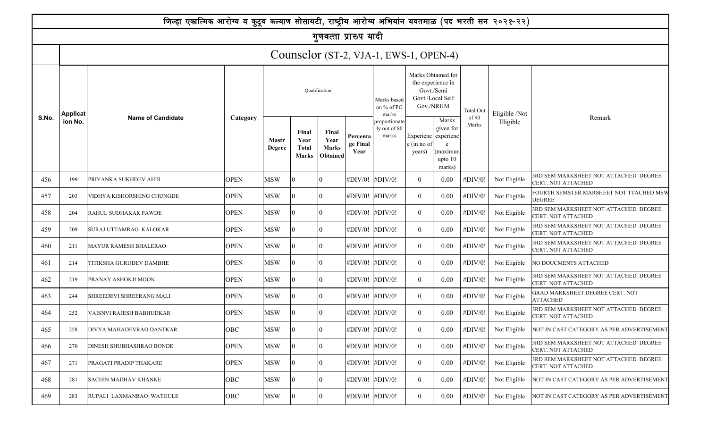|       |                 | जिल्हा एकात्मिक आरोग्य व कुटूब कल्याण सोसायटी, राष्ट्रीय आरोग्य अभियांन यवतमाळ (पद भरती सन २०२१-२२) |             |                               |                                               |                                                  |                              |                                        |                                    |                                                                                        |                  |               |                                                             |
|-------|-----------------|-----------------------------------------------------------------------------------------------------|-------------|-------------------------------|-----------------------------------------------|--------------------------------------------------|------------------------------|----------------------------------------|------------------------------------|----------------------------------------------------------------------------------------|------------------|---------------|-------------------------------------------------------------|
|       |                 |                                                                                                     |             |                               |                                               | गुणवत्ता प्रारुप यादी                            |                              |                                        |                                    |                                                                                        |                  |               |                                                             |
|       |                 |                                                                                                     |             |                               |                                               |                                                  |                              | Counselor (ST-2, VJA-1, EWS-1, OPEN-4) |                                    |                                                                                        |                  |               |                                                             |
|       | <b>Applicat</b> |                                                                                                     |             |                               |                                               | Qualification                                    |                              | Marks based<br>on % of PG<br>marks     |                                    | Marks Obtained for<br>the experience in<br>Govt./Semi<br>Govt./Local Self<br>Gov./NRHM | <b>Total Out</b> | Eligible /Not |                                                             |
| S.No. | ion No.         | <b>Name of Candidate</b>                                                                            | Category    | <b>Mastr</b><br><b>Degree</b> | Final<br>Year<br><b>Total</b><br><b>Marks</b> | Final<br>Year<br><b>Marks</b><br><b>Obtained</b> | Percenta<br>ge Final<br>Year | proportionate<br>ly out of 80<br>marks | Experienc<br>e (in no of<br>years) | Marks<br>given for<br>experienc<br>e<br>(maximur<br>upto $10$<br>marks)                | of 90<br>Marks   | Eligible      | Remark                                                      |
| 456   | 199             | PRIYANKA SUKHDEV AHIR                                                                               | <b>OPEN</b> | <b>MSW</b>                    |                                               | n                                                | #DIV/0!                      | #DIV/0!                                | $\theta$                           | 0.00                                                                                   | #DIV/0!          | Not Eligible  | 3RD SEM MARKSHEET NOT ATTACHED DEGREE<br>CERT. NOT ATTACHED |
| 457   | 203             | VIDHYA KISHORSHING CHUNGDE                                                                          | <b>OPEN</b> | <b>MSW</b>                    |                                               |                                                  | #DIV/0!                      | #DIV/0!                                | $\theta$                           | 0.00                                                                                   | #DIV/0!          | Not Eligible  | FOURTH SEMSTER MARSHEET NOT TTACHED MSW<br><b>DEGREE</b>    |
| 458   | 204             | RAHUL SUDHAKAR PAWDE                                                                                | <b>OPEN</b> | <b>MSW</b>                    |                                               |                                                  | #DIV/0!                      | #DIV/0!                                | $\theta$                           | 0.00                                                                                   | #DIV/0!          | Not Eligible  | 3RD SEM MARKSHEET NOT ATTACHED DEGREE<br>CERT. NOT ATTACHED |
| 459   | 209             | SURAJ UTTAMRAO KALOKAR                                                                              | <b>OPEN</b> | <b>MSW</b>                    |                                               |                                                  | #DIV/0!                      | #DIV/0!                                | $\theta$                           | 0.00                                                                                   | #DIV/0!          | Not Eligible  | 3RD SEM MARKSHEET NOT ATTACHED DEGREE<br>CERT. NOT ATTACHED |
| 460   | 211             | <b>MAYUR RAMESH BHALERAO</b>                                                                        | <b>OPEN</b> | MSW                           |                                               |                                                  | #DIV/0!                      | #DIV/0!                                | $\theta$                           | 0.00                                                                                   | #DIV/0!          | Not Eligible  | 3RD SEM MARKSHEET NOT ATTACHED DEGREE<br>CERT. NOT ATTACHED |
| 461   | 214             | TITIKSHA GURUDEV DAMBHE                                                                             | <b>OPEN</b> | MSW                           |                                               |                                                  | #DIV/0!                      | #DIV/0!                                | $\Omega$                           | 0.00                                                                                   | #DIV/0!          | Not Eligible  | NO DOUCMENTS ATTACHED                                       |
| 462   | 219             | PRANAY ASHOKJI MOON                                                                                 | <b>OPEN</b> | MSW                           |                                               |                                                  | $\sharp$ DIV/0!              | #DIV/0!                                | $\Omega$                           | 0.00                                                                                   | #DIV/0!          | Not Eligible  | 3RD SEM MARKSHEET NOT ATTACHED DEGREE<br>CERT. NOT ATTACHED |
| 463   | 244             | <b>SHREEDEVI SHREERANG MALI</b>                                                                     | <b>OPEN</b> | MSW                           |                                               |                                                  | #DIV/0! #DIV/0!              |                                        | $\theta$                           | 0.00                                                                                   | #DIV/0!          | Not Eligible  | GRAD MARKSHEET DEGREE CERT. NOT<br><b>ATTACHED</b>          |
| 464   | 252             | VAISNVI RAJESH BABHUDKAR                                                                            | <b>OPEN</b> | MSW                           |                                               |                                                  | #DIV/0! #DIV/0!              |                                        | $\theta$                           | 0.00                                                                                   | #DIV/0!          | Not Eligible  | 3RD SEM MARKSHEET NOT ATTACHED DEGREE<br>CERT. NOT ATTACHED |
| 465   | 258             | DIVYA MAHADEVRAO DANTKAR                                                                            | OBC         | <b>MSW</b>                    | 10.                                           | Ю                                                | #DIV/0! #DIV/0!              |                                        | $\boldsymbol{0}$                   | $0.00\,$                                                                               | #DIV/0!          | Not Eligible  | NOT IN CAST CATEGORY AS PER ADVERTISEMENT                   |
| 466   | 270             | <b>DINESH SHUBHASHRAO BONDE</b>                                                                     | <b>OPEN</b> | MSW                           |                                               | $\overline{0}$                                   | #DIV/0! #DIV/0!              |                                        | $\overline{0}$                     | 0.00                                                                                   | #DIV/0!          | Not Eligible  | 3RD SEM MARKSHEET NOT ATTACHED DEGREE<br>CERT. NOT ATTACHED |
| 467   | 271             | PRAGATI PRADIP THAKARE                                                                              | <b>OPEN</b> | MSW                           |                                               | 0                                                | #DIV/0! #DIV/0!              |                                        | $\overline{0}$                     | 0.00                                                                                   | #DIV/0!          | Not Eligible  | 3RD SEM MARKSHEET NOT ATTACHED DEGREE<br>CERT. NOT ATTACHED |
| 468   | 281             | <b>SACHIN MADHAV KHANKE</b>                                                                         | <b>OBC</b>  | MSW                           |                                               | 10.                                              | #DIV/0! #DIV/0!              |                                        | $\overline{0}$                     | $0.00\,$                                                                               | #DIV/0!          | Not Eligible  | NOT IN CAST CATEGORY AS PER ADVERTISEMENT                   |
| 469   | 283             | RUPALI LAXMANRAO WATGULE                                                                            | <b>OBC</b>  | MSW                           |                                               | n                                                | #DIV/0! #DIV/0!              |                                        | $\overline{0}$                     | $0.00\,$                                                                               | #DIV/0!          | Not Eligible  | NOT IN CAST CATEGORY AS PER ADVERTISEMENT                   |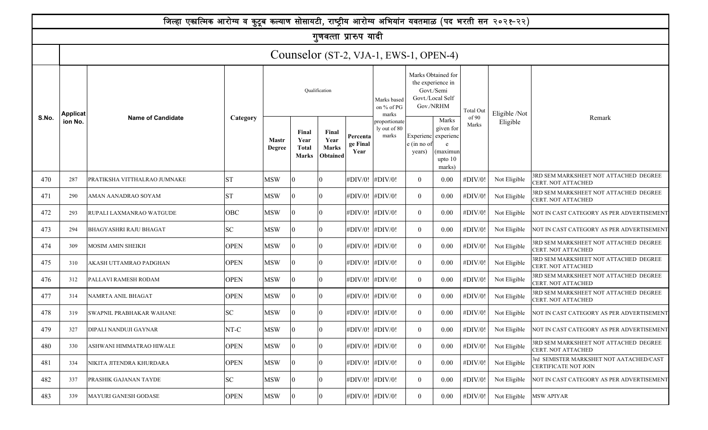|       |                 |                               | जिल्हा एकात्मिक आरोग्य व कुटूब कल्याण सोसायटी, राष्ट्रीय आरोग्य अभियांन यवतमाळ (पद भरती सन २०२१-२२) |                               |                                               |                                           |                              |                                        |                       |                                                                                        |                |               |                                                                 |
|-------|-----------------|-------------------------------|-----------------------------------------------------------------------------------------------------|-------------------------------|-----------------------------------------------|-------------------------------------------|------------------------------|----------------------------------------|-----------------------|----------------------------------------------------------------------------------------|----------------|---------------|-----------------------------------------------------------------|
|       |                 |                               |                                                                                                     |                               |                                               | गुणवत्ता प्रारुप यादी                     |                              |                                        |                       |                                                                                        |                |               |                                                                 |
|       |                 |                               |                                                                                                     |                               |                                               |                                           |                              | Counselor (ST-2, VJA-1, EWS-1, OPEN-4) |                       |                                                                                        |                |               |                                                                 |
|       | <b>Applicat</b> |                               |                                                                                                     |                               |                                               | Qualification                             |                              | Marks based<br>on % of PG<br>marks     |                       | Marks Obtained for<br>the experience in<br>Govt./Semi<br>Govt./Local Self<br>Gov./NRHM | Total Out      | Eligible /Not |                                                                 |
| S.No. | ion No.         | <b>Name of Candidate</b>      | Category                                                                                            | <b>Mastr</b><br><b>Degree</b> | Final<br>Year<br><b>Total</b><br><b>Marks</b> | Final<br>Year<br><b>Marks</b><br>Obtained | Percenta<br>ge Final<br>Year | proportionate<br>ly out of 80<br>marks | e (in no of<br>years) | Marks<br>given for<br>Experienc experienc<br>(maximun<br>upto $10$<br>marks)           | of 90<br>Marks | Eligible      | Remark                                                          |
| 470   | 287             | PRATIKSHA VITTHALRAO JUMNAKE  | <b>ST</b>                                                                                           | MSW                           |                                               |                                           | #DIV/0!                      | #DIV/0!                                | $\theta$              | 0.00                                                                                   | #DIV/0!        | Not Eligible  | 3RD SEM MARKSHEET NOT ATTACHED DEGREE<br>CERT. NOT ATTACHED     |
| 471   | 290             | AMAN AANADRAO SOYAM           | <b>ST</b>                                                                                           | <b>MSW</b>                    |                                               |                                           | #DIV/0!                      | #DIV/0!                                | $\mathbf{0}$          | 0.00                                                                                   | #DIV/0!        | Not Eligible  | 3RD SEM MARKSHEET NOT ATTACHED DEGREE<br>CERT. NOT ATTACHED     |
| 472   | 293             | RUPALI LAXMANRAO WATGUDE      | <b>OBC</b>                                                                                          | <b>MSW</b>                    |                                               |                                           | #DIV/0!                      | #DIV/0!                                | $\mathbf{0}$          | 0.00                                                                                   | #DIV/0!        | Not Eligible  | NOT IN CAST CATEGORY AS PER ADVERTISEMENT                       |
| 473   | 294             | <b>BHAGYASHRI RAJU BHAGAT</b> | SC                                                                                                  | MSW                           |                                               |                                           | #DIV/0!                      | #DIV/0!                                | $\mathbf{0}$          | 0.00                                                                                   | #DIV/0!        | Not Eligible  | NOT IN CAST CATEGORY AS PER ADVERTISEMENT                       |
| 474   | 309             | MOSIM AMIN SHEIKH             | <b>OPEN</b>                                                                                         | <b>MSW</b>                    |                                               |                                           | #DIV/0!                      | #DIV/0!                                | $\overline{0}$        | 0.00                                                                                   | #DIV/0!        | Not Eligible  | 3RD SEM MARKSHEET NOT ATTACHED DEGREE<br>CERT. NOT ATTACHED     |
| 475   | 310             | AKASH UTTAMRAO PADGHAN        | <b>OPEN</b>                                                                                         | MSW                           |                                               |                                           | #DIV/0!                      | #DIV/0!                                | $\overline{0}$        | 0.00                                                                                   | #DIV/0!        | Not Eligible  | 3RD SEM MARKSHEET NOT ATTACHED DEGREE<br>CERT. NOT ATTACHED     |
| 476   | 312             | PALLAVI RAMESH RODAM          | <b>OPEN</b>                                                                                         | MSW                           |                                               |                                           | #DIV/0!                      | #DIV/0!                                | $\theta$              | 0.00                                                                                   | #DIV/0!        | Not Eligible  | 3RD SEM MARKSHEET NOT ATTACHED DEGREE<br>CERT. NOT ATTACHED     |
| 477   | 314             | NAMRTA ANIL BHAGAT            | <b>OPEN</b>                                                                                         | <b>MSW</b>                    |                                               |                                           | #DIV/0!                      | #DIV/0!                                | $\theta$              | 0.00                                                                                   | #DIV/0!        | Not Eligible  | 3RD SEM MARKSHEET NOT ATTACHED DEGREE<br>CERT. NOT ATTACHED     |
| 478   | 319             | SWAPNIL PRABHAKAR WAHANE      | SC                                                                                                  | MSW                           |                                               |                                           | #DIV/0!                      | #DIV/0!                                | $\theta$              | 0.00                                                                                   | #DIV/0!        | Not Eligible  | NOT IN CAST CATEGORY AS PER ADVERTISEMENT                       |
| 479   | 327             | DIPALI NANDUJI GAYNAR         | NT-C                                                                                                | <b>MSW</b>                    | $\mathbf{0}$                                  | IО                                        |                              | #DIV/0! #DIV/0!                        | $\boldsymbol{0}$      | $0.00\,$                                                                               | #DIV/0!        | Not Eligible  | NOT IN CAST CATEGORY AS PER ADVERTISEMENT                       |
| 480   | 330             | ASHWANI HIMMATRAO HIWALE      | <b>OPEN</b>                                                                                         | MSW                           | 10                                            |                                           |                              | #DIV/0! #DIV/0!                        | $\overline{0}$        | $0.00\,$                                                                               | #DIV/0!        | Not Eligible  | 3RD SEM MARKSHEET NOT ATTACHED DEGREE<br>CERT. NOT ATTACHED     |
| 481   | 334             | NIKITA JITENDRA KHURDARA      | <b>OPEN</b>                                                                                         | MSW                           | 10                                            |                                           |                              | #DIV/0! #DIV/0!                        | $\overline{0}$        | $0.00\,$                                                                               | #DIV/0!        | Not Eligible  | 3rd SEMISTER MARKSHET NOT AATACHED/CAST<br>CERTIFICATE NOT JOIN |
| 482   | 337             | PRASHIK GAJANAN TAYDE         | SC                                                                                                  | MSW                           | 10.                                           |                                           |                              | #DIV/0! #DIV/0!                        | $\overline{0}$        | $0.00\,$                                                                               | #DIV/0!        | Not Eligible  | NOT IN CAST CATEGORY AS PER ADVERTISEMENT                       |
| 483   | 339             | MAYURI GANESH GODASE          | <b>OPEN</b>                                                                                         | <b>MSW</b>                    |                                               |                                           |                              | #DIV/0! #DIV/0!                        | $\overline{0}$        | $0.00\,$                                                                               | #DIV/0!        | Not Eligible  | <b>MSW APIYAR</b>                                               |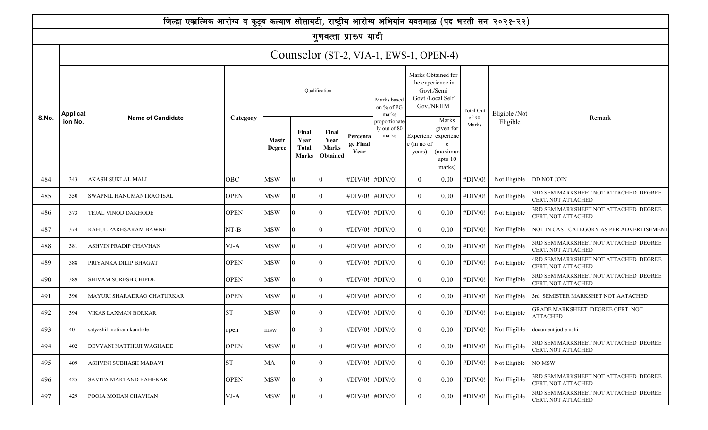|       |                 |                               | जिल्हा एकात्मिक आरोग्य व कुटूब कल्याण सोसायटी, राष्ट्रीय आरोग्य अभियांन यवतमाळ (पद भरती सन २०२१-२२) |                               |                                               |                                                  |                              |                                        |                       |                                                                                        |                |               |                                                             |
|-------|-----------------|-------------------------------|-----------------------------------------------------------------------------------------------------|-------------------------------|-----------------------------------------------|--------------------------------------------------|------------------------------|----------------------------------------|-----------------------|----------------------------------------------------------------------------------------|----------------|---------------|-------------------------------------------------------------|
|       |                 |                               |                                                                                                     |                               |                                               | गुणवत्ता प्रारुप यादी                            |                              |                                        |                       |                                                                                        |                |               |                                                             |
|       |                 |                               |                                                                                                     |                               |                                               |                                                  |                              | Counselor (ST-2, VJA-1, EWS-1, OPEN-4) |                       |                                                                                        |                |               |                                                             |
|       | <b>Applicat</b> |                               |                                                                                                     |                               |                                               | Qualification                                    |                              | Marks based<br>on % of PG<br>marks     |                       | Marks Obtained for<br>the experience in<br>Govt./Semi<br>Govt./Local Self<br>Gov./NRHM | Total Out      | Eligible /Not |                                                             |
| S.No. | ion No.         | <b>Name of Candidate</b>      | Category                                                                                            | <b>Mastr</b><br><b>Degree</b> | Final<br>Year<br><b>Total</b><br><b>Marks</b> | Final<br>Year<br><b>Marks</b><br><b>Obtained</b> | Percenta<br>ge Final<br>Year | proportionate<br>ly out of 80<br>marks | e (in no of<br>years) | Marks<br>given for<br>Experienc experienc<br>(maximun<br>upto $10$<br>marks)           | of 90<br>Marks | Eligible      | Remark                                                      |
| 484   | 343             | AKASH SUKLAL MALI             | OBC                                                                                                 | <b>MSW</b>                    |                                               |                                                  | #DIV/0!                      | #DIV/0!                                | $\theta$              | 0.00                                                                                   | #DIV/0!        | Not Eligible  | DD NOT JOIN                                                 |
| 485   | 350             | SWAPNIL HANUMANTRAO ISAL      | <b>OPEN</b>                                                                                         | <b>MSW</b>                    |                                               |                                                  | #DIV/0!                      | #DIV/0!                                | $\mathbf{0}$          | 0.00                                                                                   | #DIV/0!        | Not Eligible  | 3RD SEM MARKSHEET NOT ATTACHED DEGREE<br>CERT. NOT ATTACHED |
| 486   | 373             | TEJAL VINOD DAKHODE           | <b>OPEN</b>                                                                                         | <b>MSW</b>                    |                                               |                                                  | #DIV/0!                      | #DIV/0!                                | $\mathbf{0}$          | 0.00                                                                                   | #DIV/0!        | Not Eligible  | 3RD SEM MARKSHEET NOT ATTACHED DEGREE<br>CERT. NOT ATTACHED |
| 487   | 374             | RAHUL PARHSARAM BAWNE         | $NT-B$                                                                                              | MSW                           |                                               |                                                  | #DIV/0!                      | #DIV/0!                                | $\mathbf{0}$          | 0.00                                                                                   | #DIV/0!        | Not Eligible  | NOT IN CAST CATEGORY AS PER ADVERTISEMENT                   |
| 488   | 381             | ASHVIN PRADIP CHAVHAN         | $VJ-A$                                                                                              | <b>MSW</b>                    |                                               |                                                  | #DIV/0!                      | #DIV/0!                                | $\overline{0}$        | 0.00                                                                                   | #DIV/0!        | Not Eligible  | 3RD SEM MARKSHEET NOT ATTACHED DEGREE<br>CERT. NOT ATTACHED |
| 489   | 388             | PRIYANKA DILIP BHAGAT         | <b>OPEN</b>                                                                                         | MSW                           |                                               |                                                  | #DIV/0!                      | #DIV/0!                                | $\overline{0}$        | 0.00                                                                                   | #DIV/0!        | Not Eligible  | 4RD SEM MARKSHEET NOT ATTACHED DEGREE<br>CERT. NOT ATTACHED |
| 490   | 389             | SHIVAM SURESH CHIPDE          | <b>OPEN</b>                                                                                         | MSW                           |                                               |                                                  | #DIV/0!                      | #DIV/0!                                | $\theta$              | 0.00                                                                                   | #DIV/0!        | Not Eligible  | 3RD SEM MARKSHEET NOT ATTACHED DEGREE<br>CERT. NOT ATTACHED |
| 491   | 390             | MAYURI SHARADRAO CHATURKAR    | <b>OPEN</b>                                                                                         | <b>MSW</b>                    |                                               |                                                  | #DIV/0!                      | #DIV/0!                                | $\overline{0}$        | 0.00                                                                                   | #DIV/0!        | Not Eligible  | 3rd SEMISTER MARKSHET NOT AATACHED                          |
| 492   | 394             | VIKAS LAXMAN BORKAR           | <b>ST</b>                                                                                           | <b>MSW</b>                    |                                               |                                                  | #DIV/0!                      | #DIV/0!                                | $\theta$              | 0.00                                                                                   | #DIV/0!        | Not Eligible  | GRADE MARKSHEET DEGREE CERT. NOT<br><b>ATTACHED</b>         |
| 493   | 401             | satyashil motiram kambale     | open                                                                                                | msw                           | $\overline{10}$                               |                                                  | #DIV/0! #DIV/0!              |                                        | $\boldsymbol{0}$      | $0.00\,$                                                                               | #DIV/0!        | Not Eligible  | document jodle nahi                                         |
| 494   | 402             | DEVYANI NATTHUJI WAGHADE      | <b>OPEN</b>                                                                                         | <b>MSW</b>                    | 10                                            |                                                  | #DIV/0! #DIV/0!              |                                        | $\overline{0}$        | $0.00\,$                                                                               | #DIV/0!        | Not Eligible  | 3RD SEM MARKSHEET NOT ATTACHED DEGREE<br>CERT. NOT ATTACHED |
| 495   | 409             | ASHVINI SUBHASH MADAVI        | <b>ST</b>                                                                                           | MA                            |                                               |                                                  | #DIV/0! #DIV/0!              |                                        | $\overline{0}$        | $0.00\,$                                                                               | #DIV/0!        | Not Eligible  | NO MSW                                                      |
| 496   | 425             | <b>SAVITA MARTAND BAHEKAR</b> | <b>OPEN</b>                                                                                         | <b>MSW</b>                    | 10.                                           |                                                  | #DIV/0! #DIV/0!              |                                        | $\overline{0}$        | $0.00\,$                                                                               | #DIV/0!        | Not Eligible  | 3RD SEM MARKSHEET NOT ATTACHED DEGREE<br>CERT. NOT ATTACHED |
| 497   | 429             | POOJA MOHAN CHAVHAN           | $VJ-A$                                                                                              | <b>MSW</b>                    |                                               |                                                  | #DIV/0! #DIV/0!              |                                        | $\overline{0}$        | $0.00\,$                                                                               | #DIV/0!        | Not Eligible  | 3RD SEM MARKSHEET NOT ATTACHED DEGREE<br>CERT. NOT ATTACHED |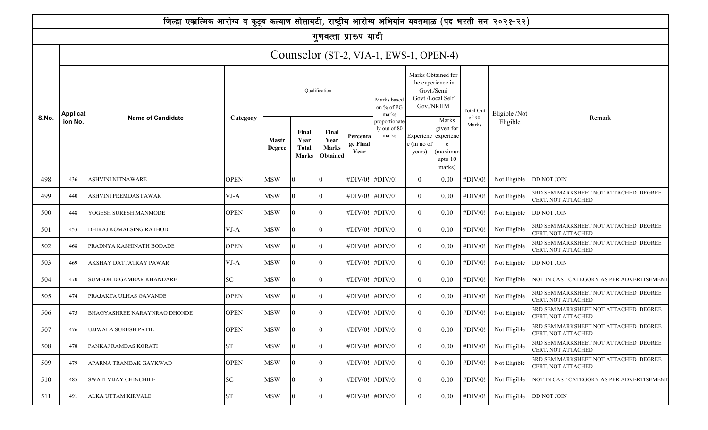| जिल्हा एकात्मिक आरोग्य व कुटूब कल्याण सोसायटी, राष्ट्रीय आरोग्य अभियांन यवतमाळ (पद भरती सन २०२१-२२) |                                        |                              |             |                               |                                               |                                                  |                              |                                        |                                                                                        |                                                                              |                |               |                                                             |
|-----------------------------------------------------------------------------------------------------|----------------------------------------|------------------------------|-------------|-------------------------------|-----------------------------------------------|--------------------------------------------------|------------------------------|----------------------------------------|----------------------------------------------------------------------------------------|------------------------------------------------------------------------------|----------------|---------------|-------------------------------------------------------------|
| गुणवत्ता प्रारुप यादी                                                                               |                                        |                              |             |                               |                                               |                                                  |                              |                                        |                                                                                        |                                                                              |                |               |                                                             |
|                                                                                                     | Counselor (ST-2, VJA-1, EWS-1, OPEN-4) |                              |             |                               |                                               |                                                  |                              |                                        |                                                                                        |                                                                              |                |               |                                                             |
| S.No.                                                                                               | <b>Applicat</b><br>ion No.             | <b>Name of Candidate</b>     |             | Qualification                 |                                               |                                                  |                              | Marks based<br>on % of PG<br>marks     | Marks Obtained for<br>the experience in<br>Govt./Semi<br>Govt./Local Self<br>Gov./NRHM |                                                                              | Total Out      | Eligible /Not |                                                             |
|                                                                                                     |                                        |                              | Category    | <b>Mastr</b><br><b>Degree</b> | Final<br>Year<br><b>Total</b><br><b>Marks</b> | Final<br>Year<br><b>Marks</b><br><b>Obtained</b> | Percenta<br>ge Final<br>Year | proportionate<br>ly out of 80<br>marks | e (in no of<br>years)                                                                  | Marks<br>given for<br>Experienc experienc<br>(maximun<br>upto $10$<br>marks) | of 90<br>Marks | Eligible      | Remark                                                      |
| 498                                                                                                 | 436                                    | ASHVINI NITNAWARE            | <b>OPEN</b> | <b>MSW</b>                    |                                               |                                                  | #DIV/0!                      | #DIV/0!                                | $\mathbf{0}$                                                                           | 0.00                                                                         | #DIV/0!        | Not Eligible  | DD NOT JOIN                                                 |
| 499                                                                                                 | 440                                    | ASHVINI PREMDAS PAWAR        | $VJ-A$      | <b>MSW</b>                    |                                               |                                                  | #DIV/0!                      | #DIV/0!                                | $\mathbf{0}$                                                                           | 0.00                                                                         | #DIV/0!        | Not Eligible  | 3RD SEM MARKSHEET NOT ATTACHED DEGREE<br>CERT. NOT ATTACHED |
| 500                                                                                                 | 448                                    | YOGESH SURESH MANMODE        | <b>OPEN</b> | <b>MSW</b>                    |                                               |                                                  | #DIV/0!                      | #DIV/0!                                | $\mathbf{0}$                                                                           | 0.00                                                                         | #DIV/0!        | Not Eligible  | DD NOT JOIN                                                 |
| 501                                                                                                 | 453                                    | DHIRAJ KOMALSING RATHOD      | $VJ-A$      | MSW                           |                                               |                                                  | #DIV/0!                      | #DIV/0!                                | $\mathbf{0}$                                                                           | 0.00                                                                         | #DIV/0!        | Not Eligible  | 3RD SEM MARKSHEET NOT ATTACHED DEGREE<br>CERT. NOT ATTACHED |
| 502                                                                                                 | 468                                    | PRADNYA KASHINATH BODADE     | <b>OPEN</b> | <b>MSW</b>                    |                                               |                                                  | #DIV/0!                      | #DIV/0!                                | $\overline{0}$                                                                         | 0.00                                                                         | #DIV/0!        | Not Eligible  | 3RD SEM MARKSHEET NOT ATTACHED DEGREE<br>CERT. NOT ATTACHED |
| 503                                                                                                 | 469                                    | AKSHAY DATTATRAY PAWAR       | $VJ-A$      | MSW                           |                                               |                                                  | #DIV/0!                      | #DIV/0!                                | $\overline{0}$                                                                         | 0.00                                                                         | #DIV/0!        | Not Eligible  | DD NOT JOIN                                                 |
| 504                                                                                                 | 470                                    | SUMEDH DIGAMBAR KHANDARE     | SC          | MSW                           |                                               |                                                  | #DIV/0!                      | #DIV/0!                                | $\theta$                                                                               | 0.00                                                                         | #DIV/0!        | Not Eligible  | NOT IN CAST CATEGORY AS PER ADVERTISEMENT                   |
| 505                                                                                                 | 474                                    | PRAJAKTA ULHAS GAVANDE       | <b>OPEN</b> | <b>MSW</b>                    |                                               |                                                  | #DIV/0!                      | #DIV/0!                                | $\overline{0}$                                                                         | 0.00                                                                         | #DIV/0!        | Not Eligible  | 3RD SEM MARKSHEET NOT ATTACHED DEGREE<br>CERT. NOT ATTACHED |
| 506                                                                                                 | 475                                    | BHAGYASHREE NARAYNRAO DHONDE | <b>OPEN</b> | <b>MSW</b>                    |                                               |                                                  | #DIV/0!                      | #DIV/0!                                | $\theta$                                                                               | 0.00                                                                         | #DIV/0!        | Not Eligible  | 3RD SEM MARKSHEET NOT ATTACHED DEGREE<br>CERT. NOT ATTACHED |
| 507                                                                                                 | 476                                    | <b>UJJWALA SURESH PATIL</b>  | <b>OPEN</b> | <b>MSW</b>                    | $\mathbf{0}$                                  | IО                                               | #DIV/0! #DIV/0!              |                                        | $\boldsymbol{0}$                                                                       | $0.00\,$                                                                     | $\#$ DIV/0!    | Not Eligible  | 3RD SEM MARKSHEET NOT ATTACHED DEGREE<br>CERT. NOT ATTACHED |
| 508                                                                                                 | 478                                    | PANKAJ RAMDAS KORATI         | <b>ST</b>   | MSW                           | 10                                            |                                                  | #DIV/0! #DIV/0!              |                                        | $\overline{0}$                                                                         | $0.00\,$                                                                     | #DIV/0!        | Not Eligible  | 3RD SEM MARKSHEET NOT ATTACHED DEGREE<br>CERT. NOT ATTACHED |
| 509                                                                                                 | 479                                    | APARNA TRAMBAK GAYKWAD       | <b>OPEN</b> | MSW                           | 10                                            |                                                  | #DIV/0! #DIV/0!              |                                        | $\overline{0}$                                                                         | $0.00\,$                                                                     | #DIV/0!        | Not Eligible  | 3RD SEM MARKSHEET NOT ATTACHED DEGREE<br>CERT. NOT ATTACHED |
| 510                                                                                                 | 485                                    | <b>SWATI VIJAY CHINCHILE</b> | SC          | <b>MSW</b>                    | 10.                                           |                                                  | #DIV/0! #DIV/0!              |                                        | $\overline{0}$                                                                         | $0.00\,$                                                                     | #DIV/0!        | Not Eligible  | NOT IN CAST CATEGORY AS PER ADVERTISEMENT                   |
| 511                                                                                                 | 491                                    | <b>ALKA UTTAM KIRVALE</b>    | <b>ST</b>   | <b>MSW</b>                    |                                               |                                                  | #DIV/0! #DIV/0!              |                                        | $\overline{0}$                                                                         | $0.00\,$                                                                     | #DIV/0!        | Not Eligible  | <b>DD NOT JOIN</b>                                          |